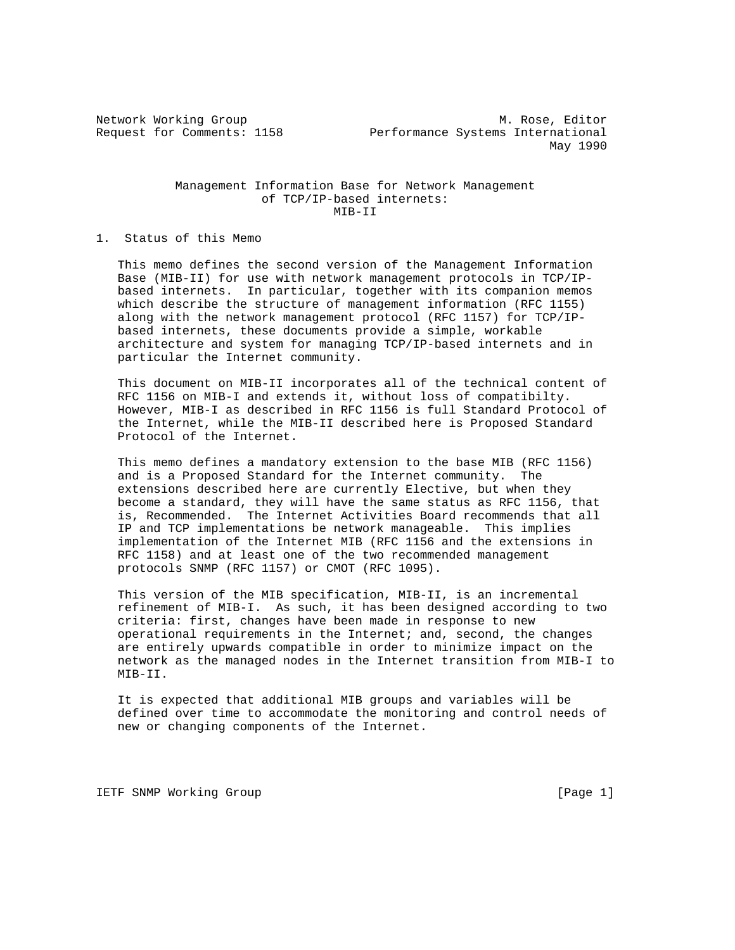## Management Information Base for Network Management of TCP/IP-based internets: MIB-II

## 1. Status of this Memo

 This memo defines the second version of the Management Information Base (MIB-II) for use with network management protocols in TCP/IP based internets. In particular, together with its companion memos which describe the structure of management information (RFC 1155) along with the network management protocol (RFC 1157) for TCP/IP based internets, these documents provide a simple, workable architecture and system for managing TCP/IP-based internets and in particular the Internet community.

 This document on MIB-II incorporates all of the technical content of RFC 1156 on MIB-I and extends it, without loss of compatibilty. However, MIB-I as described in RFC 1156 is full Standard Protocol of the Internet, while the MIB-II described here is Proposed Standard Protocol of the Internet.

 This memo defines a mandatory extension to the base MIB (RFC 1156) and is a Proposed Standard for the Internet community. The extensions described here are currently Elective, but when they become a standard, they will have the same status as RFC 1156, that is, Recommended. The Internet Activities Board recommends that all IP and TCP implementations be network manageable. This implies implementation of the Internet MIB (RFC 1156 and the extensions in RFC 1158) and at least one of the two recommended management protocols SNMP (RFC 1157) or CMOT (RFC 1095).

 This version of the MIB specification, MIB-II, is an incremental refinement of MIB-I. As such, it has been designed according to two criteria: first, changes have been made in response to new operational requirements in the Internet; and, second, the changes are entirely upwards compatible in order to minimize impact on the network as the managed nodes in the Internet transition from MIB-I to MIB-II.

 It is expected that additional MIB groups and variables will be defined over time to accommodate the monitoring and control needs of new or changing components of the Internet.

IETF SNMP Working Group **Example 2018** [Page 1]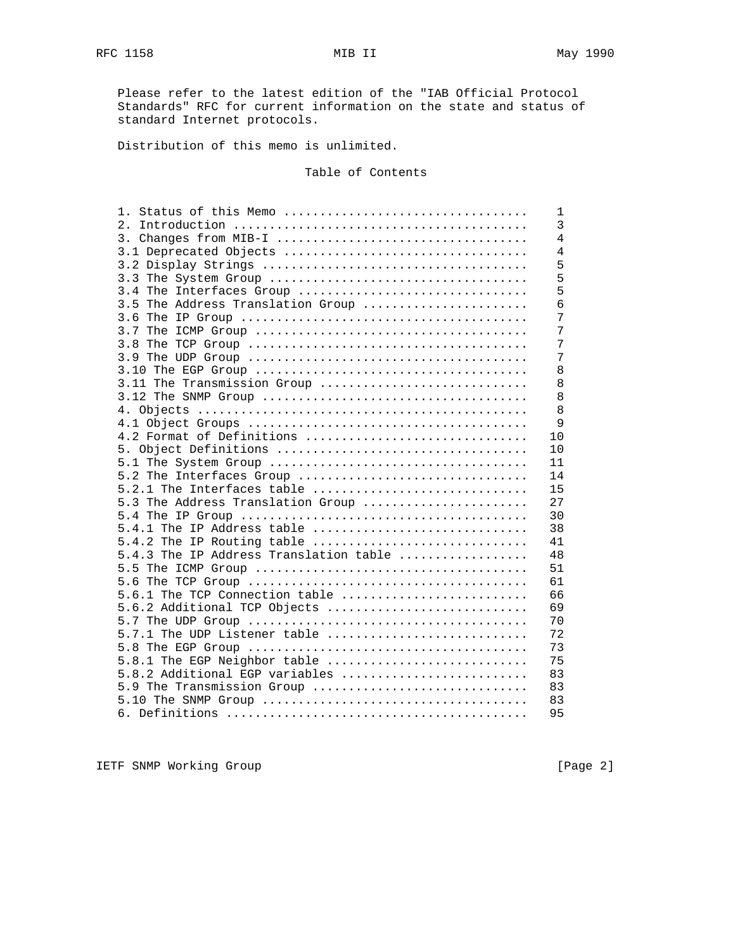Please refer to the latest edition of the "IAB Official Protocol Standards" RFC for current information on the state and status of standard Internet protocols.

Distribution of this memo is unlimited.

# Table of Contents

| 1. Status of this Memo                 | 1              |
|----------------------------------------|----------------|
|                                        | $\overline{3}$ |
|                                        | $\overline{4}$ |
| 3.1 Deprecated Objects                 | $\overline{4}$ |
|                                        | 5              |
|                                        | 5              |
| 3.4 The Interfaces Group               | 5              |
| 3.5 The Address Translation Group      | 6              |
|                                        | 7              |
|                                        | 7              |
|                                        | 7              |
|                                        | 7              |
|                                        | 8              |
| 3.11 The Transmission Group            | 8              |
|                                        | 8              |
|                                        | 8              |
|                                        | 9              |
| 4.2 Format of Definitions              | 10             |
|                                        | 10             |
|                                        | 11             |
| 5.2 The Interfaces Group               | 14             |
| 5.2.1 The Interfaces table             | 15             |
| 5.3 The Address Translation Group      | 27             |
|                                        | 30             |
| 5.4.1 The IP Address table             | 38             |
| 5.4.2 The IP Routing table             | 41             |
| 5.4.3 The IP Address Translation table | 48             |
|                                        | 51             |
|                                        | 61             |
| 5.6.1 The TCP Connection table         | 66             |
| 5.6.2 Additional TCP Objects           | 69             |
|                                        | 70             |
| 5.7.1 The UDP Listener table           | 72             |
|                                        | 73             |
| 5.8.1 The EGP Neighbor table           | 75             |
| 5.8.2 Additional EGP variables         | 83             |
| 5.9 The Transmission Group             | 83             |
|                                        | 83             |
|                                        | 95             |
|                                        |                |

IETF SNMP Working Group [Page 2]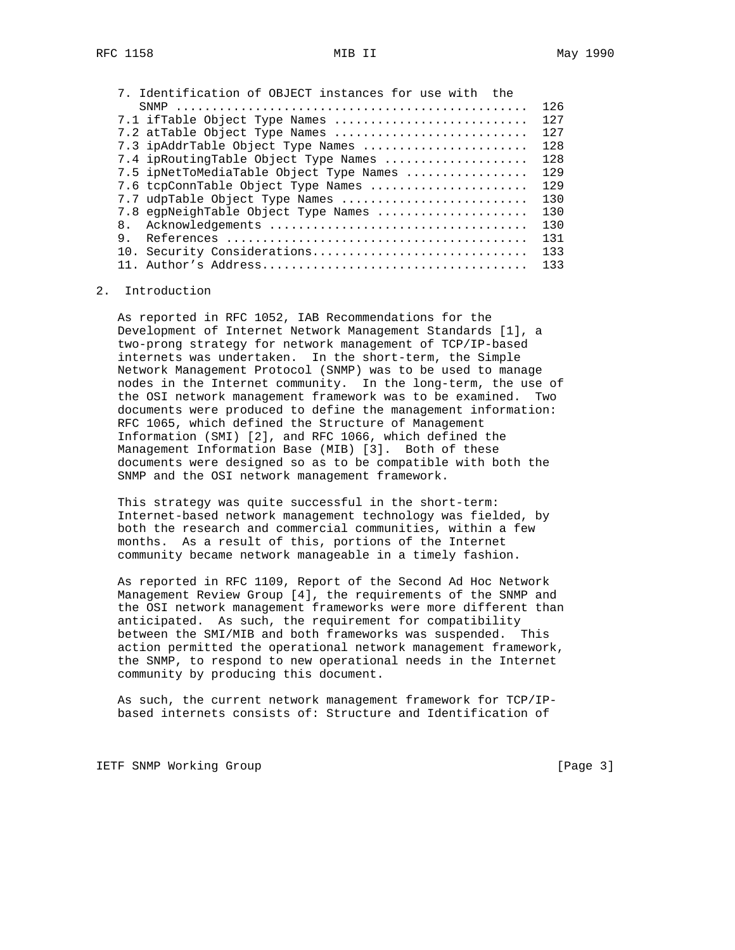|    | 126                                                                                                                                                                                                                                                                                                                                                                                            |
|----|------------------------------------------------------------------------------------------------------------------------------------------------------------------------------------------------------------------------------------------------------------------------------------------------------------------------------------------------------------------------------------------------|
|    | 127                                                                                                                                                                                                                                                                                                                                                                                            |
|    | 127                                                                                                                                                                                                                                                                                                                                                                                            |
|    | 128                                                                                                                                                                                                                                                                                                                                                                                            |
|    | 128                                                                                                                                                                                                                                                                                                                                                                                            |
|    | 129                                                                                                                                                                                                                                                                                                                                                                                            |
|    | 129                                                                                                                                                                                                                                                                                                                                                                                            |
|    | 130                                                                                                                                                                                                                                                                                                                                                                                            |
|    | 130                                                                                                                                                                                                                                                                                                                                                                                            |
| 8. | 130                                                                                                                                                                                                                                                                                                                                                                                            |
| 9. | 131                                                                                                                                                                                                                                                                                                                                                                                            |
|    | 133                                                                                                                                                                                                                                                                                                                                                                                            |
|    | 133                                                                                                                                                                                                                                                                                                                                                                                            |
|    | 7. Identification of OBJECT instances for use with the<br>7.1 ifTable Object Type Names<br>7.2 atTable Object Type Names<br>7.3 ipAddrTable Object Type Names<br>7.4 ipRoutingTable Object Type Names<br>7.5 ipNetToMediaTable Object Type Names<br>7.6 tcpConnTable Object Type Names<br>7.7 udpTable Object Type Names<br>7.8 eqpNeighTable Object Type Names<br>10. Security Considerations |

## 2. Introduction

 As reported in RFC 1052, IAB Recommendations for the Development of Internet Network Management Standards [1], a two-prong strategy for network management of TCP/IP-based internets was undertaken. In the short-term, the Simple Network Management Protocol (SNMP) was to be used to manage nodes in the Internet community. In the long-term, the use of the OSI network management framework was to be examined. Two documents were produced to define the management information: RFC 1065, which defined the Structure of Management Information (SMI) [2], and RFC 1066, which defined the Management Information Base (MIB) [3]. Both of these documents were designed so as to be compatible with both the SNMP and the OSI network management framework.

 This strategy was quite successful in the short-term: Internet-based network management technology was fielded, by both the research and commercial communities, within a few months. As a result of this, portions of the Internet community became network manageable in a timely fashion.

 As reported in RFC 1109, Report of the Second Ad Hoc Network Management Review Group [4], the requirements of the SNMP and the OSI network management frameworks were more different than anticipated. As such, the requirement for compatibility between the SMI/MIB and both frameworks was suspended. This action permitted the operational network management framework, the SNMP, to respond to new operational needs in the Internet community by producing this document.

 As such, the current network management framework for TCP/IP based internets consists of: Structure and Identification of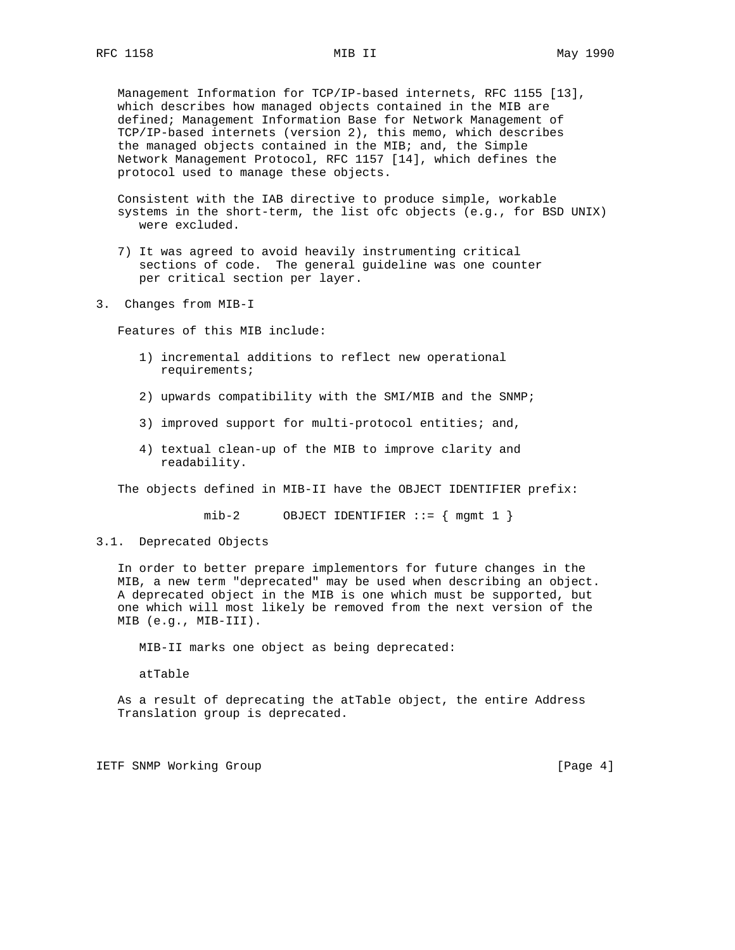Management Information for TCP/IP-based internets, RFC 1155 [13], which describes how managed objects contained in the MIB are defined; Management Information Base for Network Management of TCP/IP-based internets (version 2), this memo, which describes the managed objects contained in the MIB; and, the Simple Network Management Protocol, RFC 1157 [14], which defines the protocol used to manage these objects.

 Consistent with the IAB directive to produce simple, workable systems in the short-term, the list ofc objects (e.g., for BSD UNIX) were excluded.

- 7) It was agreed to avoid heavily instrumenting critical sections of code. The general guideline was one counter per critical section per layer.
- 3. Changes from MIB-I

Features of this MIB include:

- 1) incremental additions to reflect new operational requirements;
- 2) upwards compatibility with the SMI/MIB and the SNMP;
- 3) improved support for multi-protocol entities; and,
- 4) textual clean-up of the MIB to improve clarity and readability.

The objects defined in MIB-II have the OBJECT IDENTIFIER prefix:

mib-2 OBJECT IDENTIFIER  $::=$  { mgmt 1 }

## 3.1. Deprecated Objects

 In order to better prepare implementors for future changes in the MIB, a new term "deprecated" may be used when describing an object. A deprecated object in the MIB is one which must be supported, but one which will most likely be removed from the next version of the MIB (e.g., MIB-III).

MIB-II marks one object as being deprecated:

atTable

 As a result of deprecating the atTable object, the entire Address Translation group is deprecated.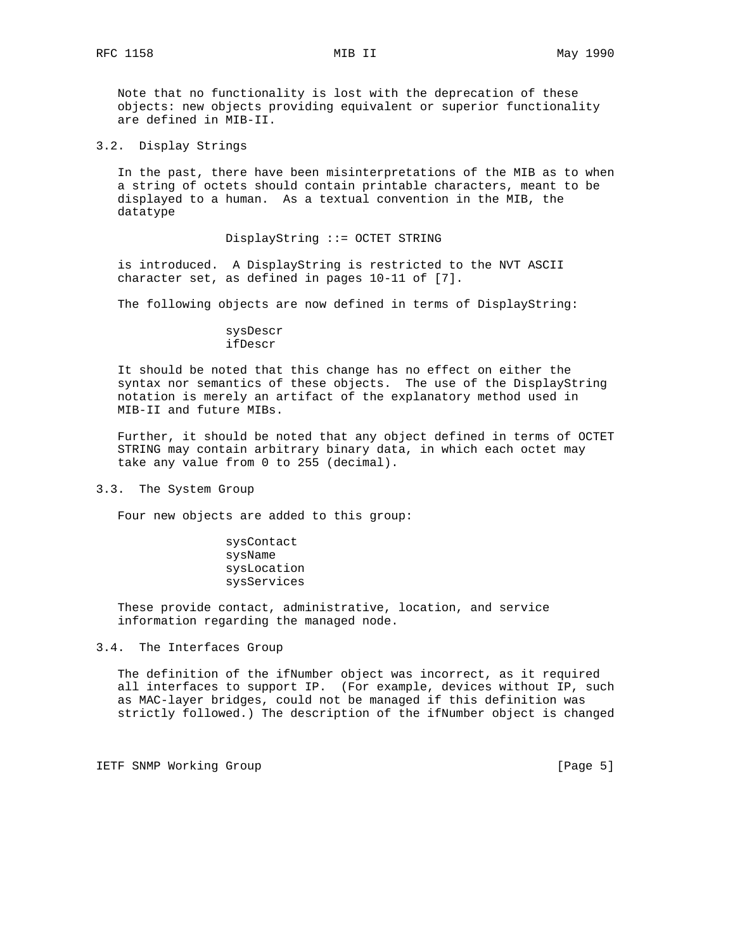Note that no functionality is lost with the deprecation of these objects: new objects providing equivalent or superior functionality are defined in MIB-II.

3.2. Display Strings

 In the past, there have been misinterpretations of the MIB as to when a string of octets should contain printable characters, meant to be displayed to a human. As a textual convention in the MIB, the datatype

## DisplayString ::= OCTET STRING

 is introduced. A DisplayString is restricted to the NVT ASCII character set, as defined in pages 10-11 of [7].

The following objects are now defined in terms of DisplayString:

## sysDescr ifDescr

 It should be noted that this change has no effect on either the syntax nor semantics of these objects. The use of the DisplayString notation is merely an artifact of the explanatory method used in MIB-II and future MIBs.

 Further, it should be noted that any object defined in terms of OCTET STRING may contain arbitrary binary data, in which each octet may take any value from 0 to 255 (decimal).

3.3. The System Group

Four new objects are added to this group:

 sysContact sysName sysLocation sysServices

 These provide contact, administrative, location, and service information regarding the managed node.

3.4. The Interfaces Group

 The definition of the ifNumber object was incorrect, as it required all interfaces to support IP. (For example, devices without IP, such as MAC-layer bridges, could not be managed if this definition was strictly followed.) The description of the ifNumber object is changed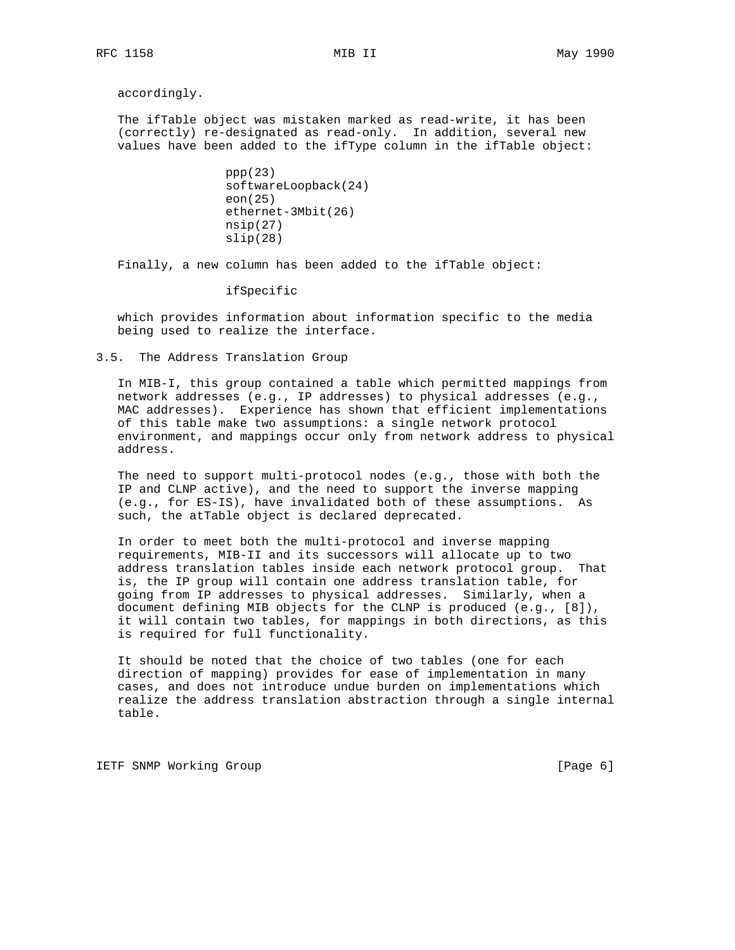accordingly.

 The ifTable object was mistaken marked as read-write, it has been (correctly) re-designated as read-only. In addition, several new values have been added to the ifType column in the ifTable object:

```
ppp(23) softwareLoopback(24)
eon(25)
ethernet-3Mbit(26)
nsip(27)
slip(28)
```
Finally, a new column has been added to the ifTable object:

ifSpecific

 which provides information about information specific to the media being used to realize the interface.

3.5. The Address Translation Group

 In MIB-I, this group contained a table which permitted mappings from network addresses (e.g., IP addresses) to physical addresses (e.g., MAC addresses). Experience has shown that efficient implementations of this table make two assumptions: a single network protocol environment, and mappings occur only from network address to physical address.

 The need to support multi-protocol nodes (e.g., those with both the IP and CLNP active), and the need to support the inverse mapping (e.g., for ES-IS), have invalidated both of these assumptions. As such, the atTable object is declared deprecated.

 In order to meet both the multi-protocol and inverse mapping requirements, MIB-II and its successors will allocate up to two address translation tables inside each network protocol group. That is, the IP group will contain one address translation table, for going from IP addresses to physical addresses. Similarly, when a document defining MIB objects for the CLNP is produced (e.g., [8]), it will contain two tables, for mappings in both directions, as this is required for full functionality.

 It should be noted that the choice of two tables (one for each direction of mapping) provides for ease of implementation in many cases, and does not introduce undue burden on implementations which realize the address translation abstraction through a single internal table.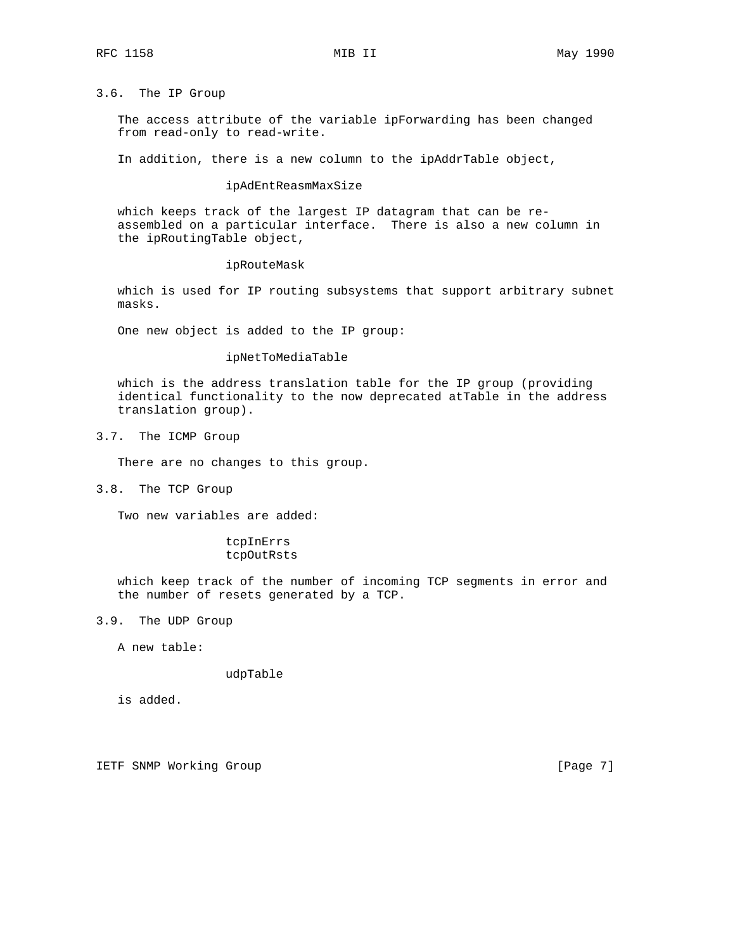# 3.6. The IP Group

 The access attribute of the variable ipForwarding has been changed from read-only to read-write.

In addition, there is a new column to the ipAddrTable object,

# ipAdEntReasmMaxSize

 which keeps track of the largest IP datagram that can be re assembled on a particular interface. There is also a new column in the ipRoutingTable object,

#### ipRouteMask

 which is used for IP routing subsystems that support arbitrary subnet masks.

One new object is added to the IP group:

## ipNetToMediaTable

 which is the address translation table for the IP group (providing identical functionality to the now deprecated atTable in the address translation group).

3.7. The ICMP Group

There are no changes to this group.

3.8. The TCP Group

Two new variables are added:

## tcpInErrs tcpOutRsts

 which keep track of the number of incoming TCP segments in error and the number of resets generated by a TCP.

3.9. The UDP Group

A new table:

### udpTable

is added.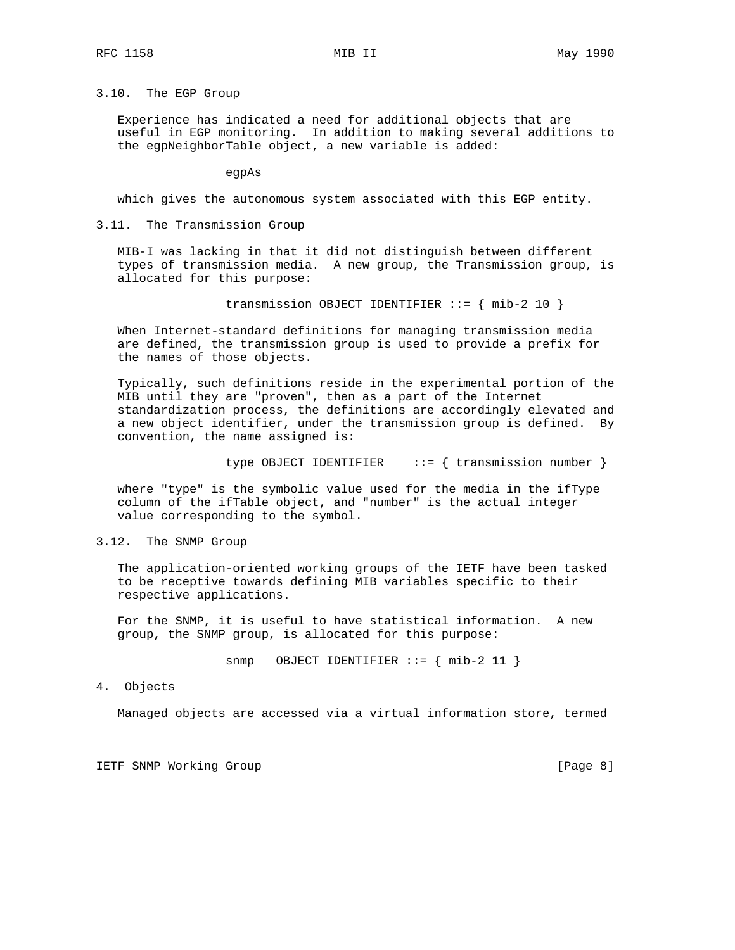## 3.10. The EGP Group

 Experience has indicated a need for additional objects that are useful in EGP monitoring. In addition to making several additions to the egpNeighborTable object, a new variable is added:

egpAs

which gives the autonomous system associated with this EGP entity.

## 3.11. The Transmission Group

 MIB-I was lacking in that it did not distinguish between different types of transmission media. A new group, the Transmission group, is allocated for this purpose:

transmission OBJECT IDENTIFIER ::= { mib-2 10 }

 When Internet-standard definitions for managing transmission media are defined, the transmission group is used to provide a prefix for the names of those objects.

 Typically, such definitions reside in the experimental portion of the MIB until they are "proven", then as a part of the Internet standardization process, the definitions are accordingly elevated and a new object identifier, under the transmission group is defined. By convention, the name assigned is:

type OBJECT IDENTIFIER  $\cdots = \{$  transmission number  $\}$ 

 where "type" is the symbolic value used for the media in the ifType column of the ifTable object, and "number" is the actual integer value corresponding to the symbol.

## 3.12. The SNMP Group

 The application-oriented working groups of the IETF have been tasked to be receptive towards defining MIB variables specific to their respective applications.

 For the SNMP, it is useful to have statistical information. A new group, the SNMP group, is allocated for this purpose:

 $s n m p$  OBJECT IDENTIFIER ::=  $\{ m i b - 2 11 \}$ 

4. Objects

Managed objects are accessed via a virtual information store, termed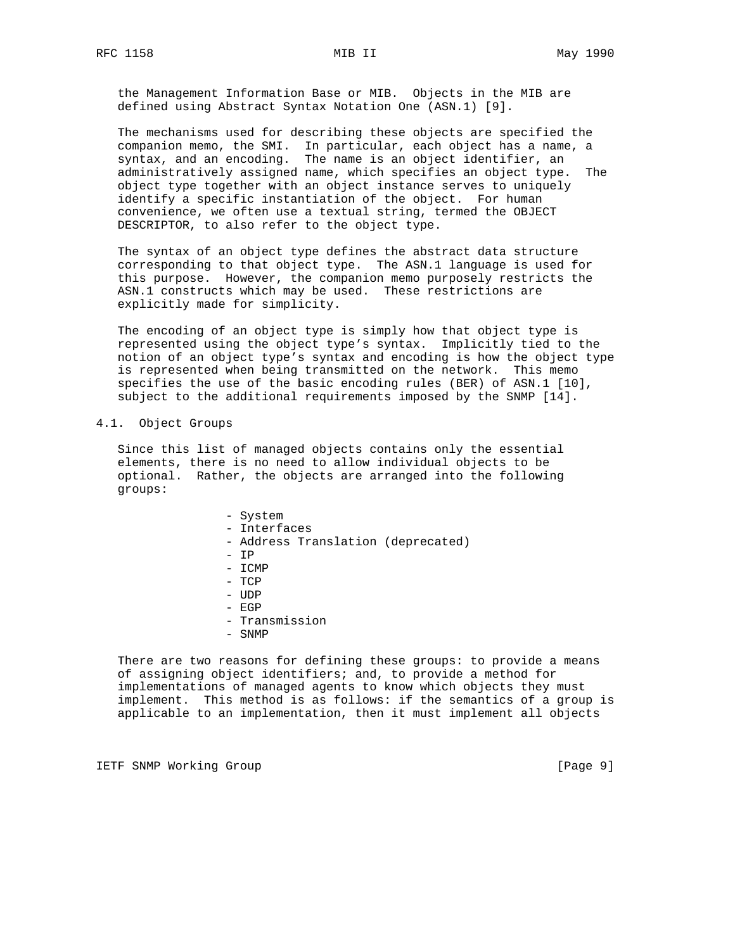the Management Information Base or MIB. Objects in the MIB are defined using Abstract Syntax Notation One (ASN.1) [9].

 The mechanisms used for describing these objects are specified the companion memo, the SMI. In particular, each object has a name, a syntax, and an encoding. The name is an object identifier, an administratively assigned name, which specifies an object type. The object type together with an object instance serves to uniquely identify a specific instantiation of the object. For human convenience, we often use a textual string, termed the OBJECT DESCRIPTOR, to also refer to the object type.

 The syntax of an object type defines the abstract data structure corresponding to that object type. The ASN.1 language is used for this purpose. However, the companion memo purposely restricts the ASN.1 constructs which may be used. These restrictions are explicitly made for simplicity.

 The encoding of an object type is simply how that object type is represented using the object type's syntax. Implicitly tied to the notion of an object type's syntax and encoding is how the object type is represented when being transmitted on the network. This memo specifies the use of the basic encoding rules (BER) of ASN.1 [10], subject to the additional requirements imposed by the SNMP [14].

#### 4.1. Object Groups

 Since this list of managed objects contains only the essential elements, there is no need to allow individual objects to be optional. Rather, the objects are arranged into the following groups:

- System - Interfaces - Address Translation (deprecated) - IP - ICMP - TCP - UDP - EGP - Transmission
- SNMP

 There are two reasons for defining these groups: to provide a means of assigning object identifiers; and, to provide a method for implementations of managed agents to know which objects they must implement. This method is as follows: if the semantics of a group is applicable to an implementation, then it must implement all objects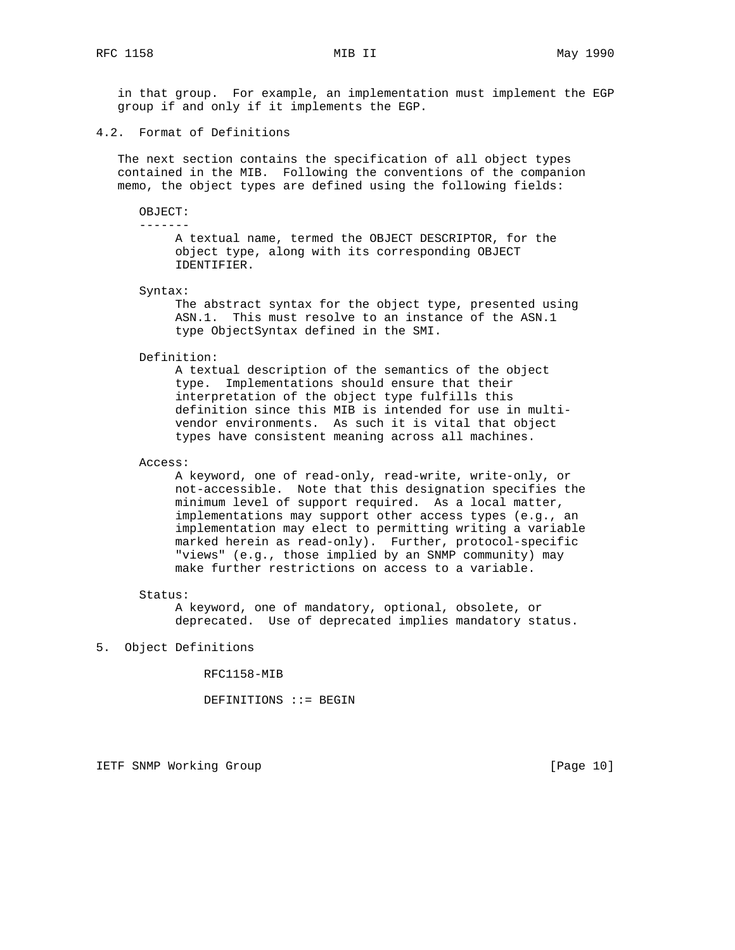in that group. For example, an implementation must implement the EGP group if and only if it implements the EGP.

4.2. Format of Definitions

 The next section contains the specification of all object types contained in the MIB. Following the conventions of the companion memo, the object types are defined using the following fields:

#### OBJECT: -------

 A textual name, termed the OBJECT DESCRIPTOR, for the object type, along with its corresponding OBJECT IDENTIFIER.

Syntax:

 The abstract syntax for the object type, presented using ASN.1. This must resolve to an instance of the ASN.1 type ObjectSyntax defined in the SMI.

Definition:

 A textual description of the semantics of the object type. Implementations should ensure that their interpretation of the object type fulfills this definition since this MIB is intended for use in multi vendor environments. As such it is vital that object types have consistent meaning across all machines.

Access:

 A keyword, one of read-only, read-write, write-only, or not-accessible. Note that this designation specifies the minimum level of support required. As a local matter, implementations may support other access types (e.g., an implementation may elect to permitting writing a variable marked herein as read-only). Further, protocol-specific "views" (e.g., those implied by an SNMP community) may make further restrictions on access to a variable.

#### Status:

 A keyword, one of mandatory, optional, obsolete, or deprecated. Use of deprecated implies mandatory status.

## 5. Object Definitions

RFC1158-MIB

DEFINITIONS ::= BEGIN

IETF SNMP Working Group **Example 2018** [Page 10]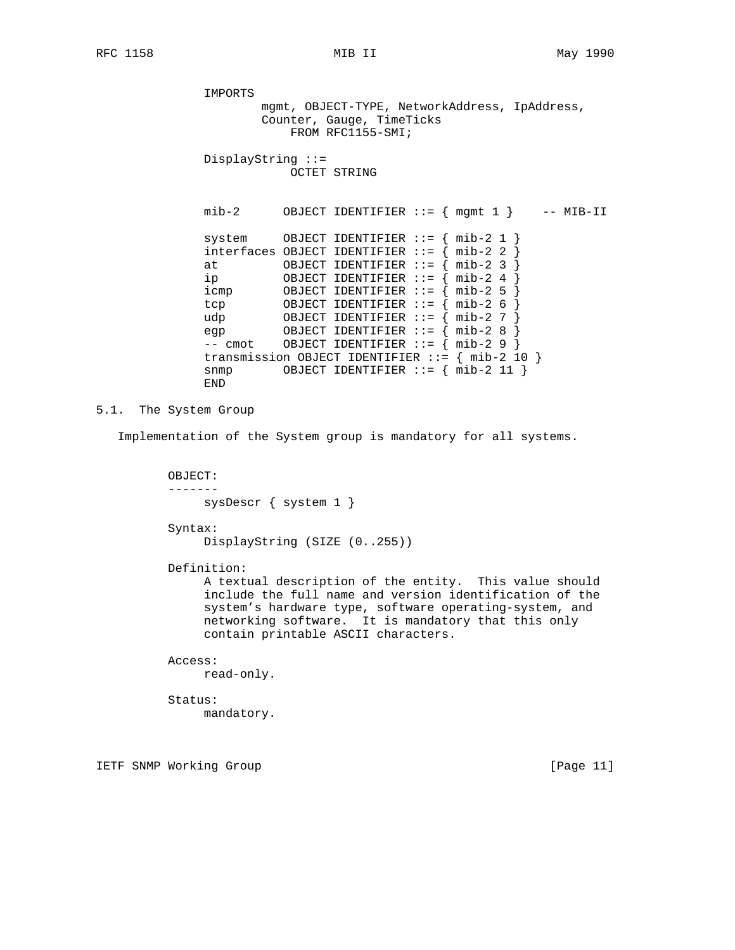IMPORTS mgmt, OBJECT-TYPE, NetworkAddress, IpAddress, Counter, Gauge, TimeTicks FROM RFC1155-SMI; DisplayString ::= OCTET STRING mib-2 OBJECT IDENTIFIER  $::=$  { mgmt 1 } -- MIB-II system OBJECT IDENTIFIER ::= { mib-2 1 } interfaces OBJECT IDENTIFIER  $::=$  { mib-2 2 at OBJECT IDENTIFIER ::= { mib-2 3 } ip OBJECT IDENTIFIER ::= { mib-2 4 } icmp OBJECT IDENTIFIER ::= { mib-2 5 } tcp OBJECT IDENTIFIER ::= { mib-2 6 } udp OBJECT IDENTIFIER ::= { mib-2 7 } egp 0BJECT IDENTIFIER ::= { mib-2 8 }  $--$  cmot OBJECT IDENTIFIER  $:= \{ mib-2 9 \}$  transmission OBJECT IDENTIFIER ::= { mib-2 10 } snmp OBJECT IDENTIFIER ::= { mib-2 11 } END

## 5.1. The System Group

Implementation of the System group is mandatory for all systems.

 OBJECT: ------ sysDescr { system 1 }

Syntax:

DisplayString (SIZE (0..255))

Definition:

 A textual description of the entity. This value should include the full name and version identification of the system's hardware type, software operating-system, and networking software. It is mandatory that this only contain printable ASCII characters.

### Access:

read-only.

 Status: mandatory.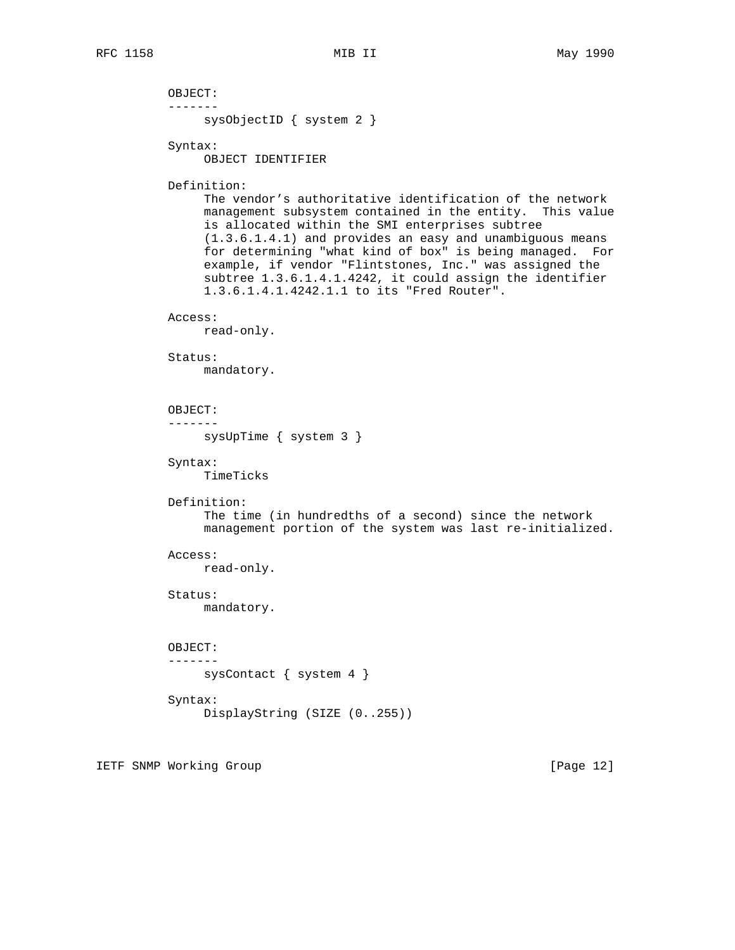OBJECT: ------ sysObjectID { system 2 } Syntax: OBJECT IDENTIFIER Definition: The vendor's authoritative identification of the network management subsystem contained in the entity. This value is allocated within the SMI enterprises subtree (1.3.6.1.4.1) and provides an easy and unambiguous means for determining "what kind of box" is being managed. For example, if vendor "Flintstones, Inc." was assigned the subtree 1.3.6.1.4.1.4242, it could assign the identifier 1.3.6.1.4.1.4242.1.1 to its "Fred Router". Access: read-only. Status: mandatory. OBJECT: ------ sysUpTime { system 3 } Syntax: TimeTicks Definition: The time (in hundredths of a second) since the network management portion of the system was last re-initialized. Access: read-only. Status: mandatory. OBJECT: ------ sysContact { system 4 } Syntax: DisplayString (SIZE (0..255))

IETF SNMP Working Group **Example 2018** [Page 12]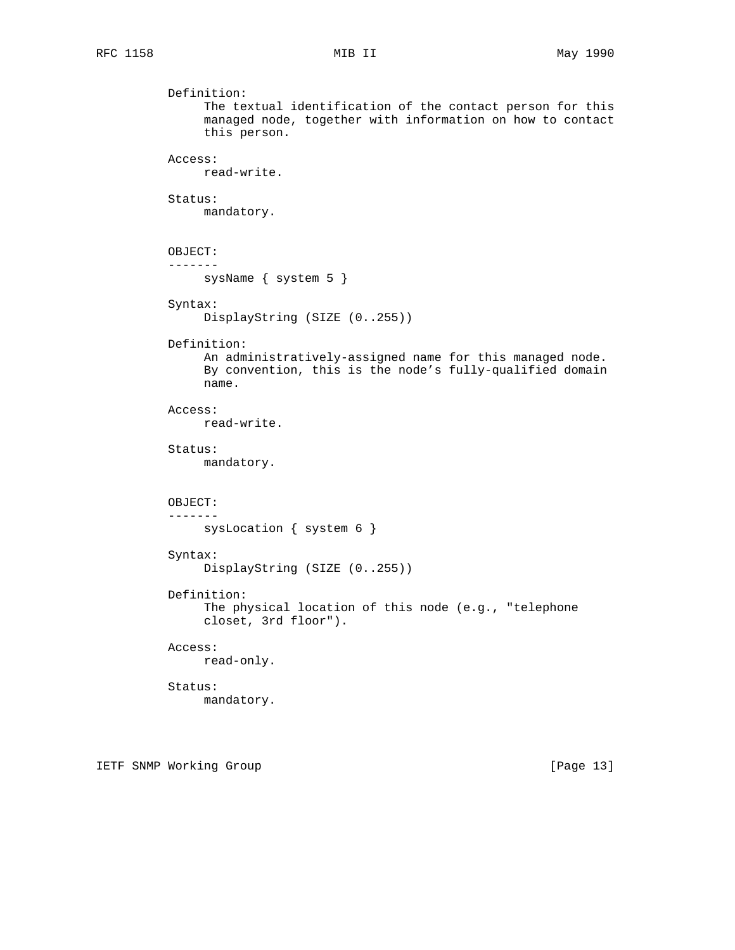```
 Definition:
     The textual identification of the contact person for this
     managed node, together with information on how to contact
     this person.
Access:
     read-write.
Status:
     mandatory.
OBJECT:
-------
    sysName { system 5 }
Syntax:
     DisplayString (SIZE (0..255))
Definition:
     An administratively-assigned name for this managed node.
     By convention, this is the node's fully-qualified domain
     name.
Access:
     read-write.
Status:
     mandatory.
OBJECT:
-------
    sysLocation { system 6 }
Syntax:
     DisplayString (SIZE (0..255))
Definition:
     The physical location of this node (e.g., "telephone
     closet, 3rd floor").
Access:
    read-only.
Status:
     mandatory.
```
IETF SNMP Working Group **Example 2018** [Page 13]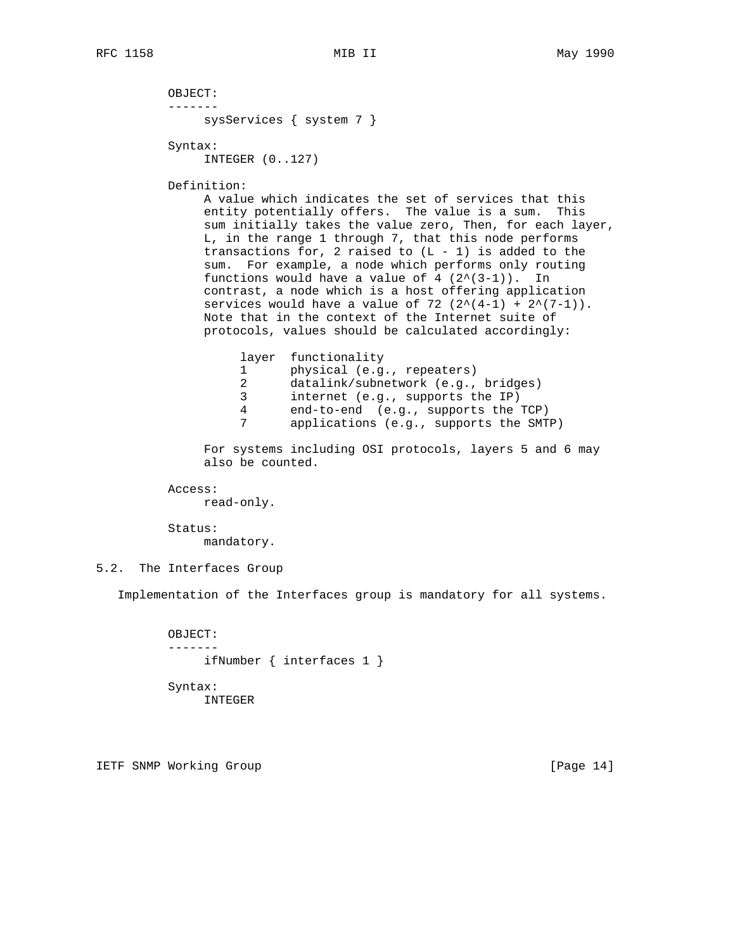```
 OBJECT:
-------
     sysServices { system 7 }
```
Syntax:

INTEGER (0..127)

Definition:

 A value which indicates the set of services that this entity potentially offers. The value is a sum. This sum initially takes the value zero, Then, for each layer, L, in the range 1 through 7, that this node performs transactions for, 2 raised to  $(L - 1)$  is added to the sum. For example, a node which performs only routing functions would have a value of  $4$   $(2^{(3-1)})$ . In contrast, a node which is a host offering application services would have a value of 72  $(2^*(4-1) + 2^*(7-1))$ . Note that in the context of the Internet suite of protocols, values should be calculated accordingly:

layer functionality

- 1 physical (e.g., repeaters)
- 2 datalink/subnetwork (e.g., bridges)
- 3 internet (e.g., supports the IP)
- 4 end-to-end (e.g., supports the TCP)
	- applications (e.g., supports the SMTP)

 For systems including OSI protocols, layers 5 and 6 may also be counted.

Access:

read-only.

Status:

mandatory.

5.2. The Interfaces Group

Implementation of the Interfaces group is mandatory for all systems.

 OBJECT: ------ ifNumber { interfaces 1 }

 Syntax: INTEGER

IETF SNMP Working Group **Example 2018** [Page 14]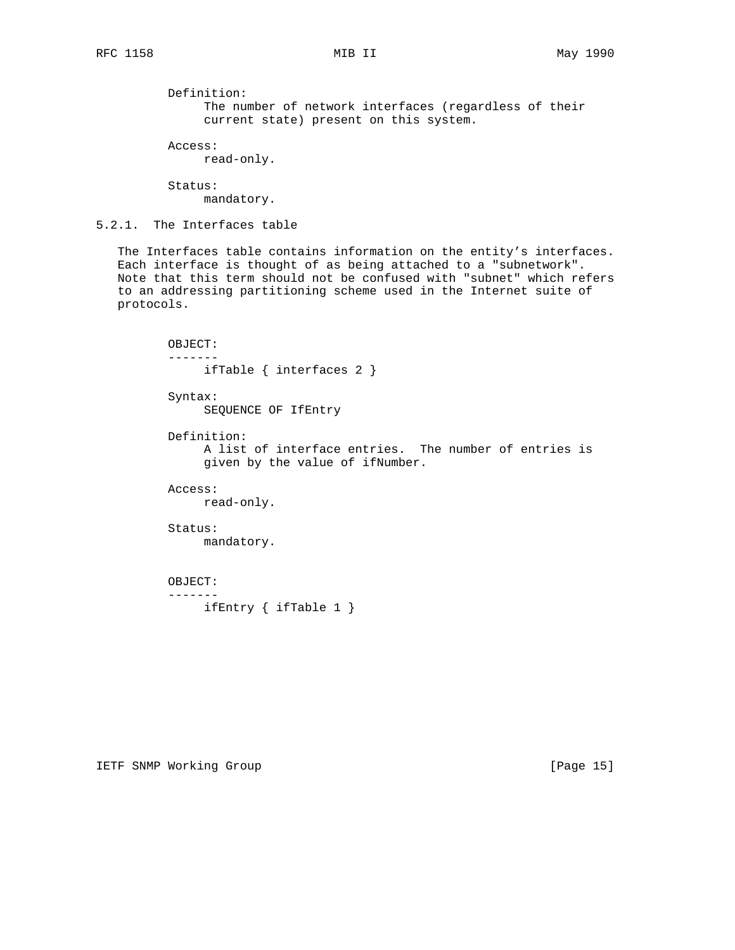Definition: The number of network interfaces (regardless of their current state) present on this system.

 Access: read-only.

 Status: mandatory.

5.2.1. The Interfaces table

 The Interfaces table contains information on the entity's interfaces. Each interface is thought of as being attached to a "subnetwork". Note that this term should not be confused with "subnet" which refers to an addressing partitioning scheme used in the Internet suite of protocols.

 OBJECT: ------ ifTable { interfaces 2 } Syntax: SEQUENCE OF IfEntry Definition: A list of interface entries. The number of entries is given by the value of ifNumber. Access: read-only. Status: mandatory. OBJECT:

-------

ifEntry { ifTable 1 }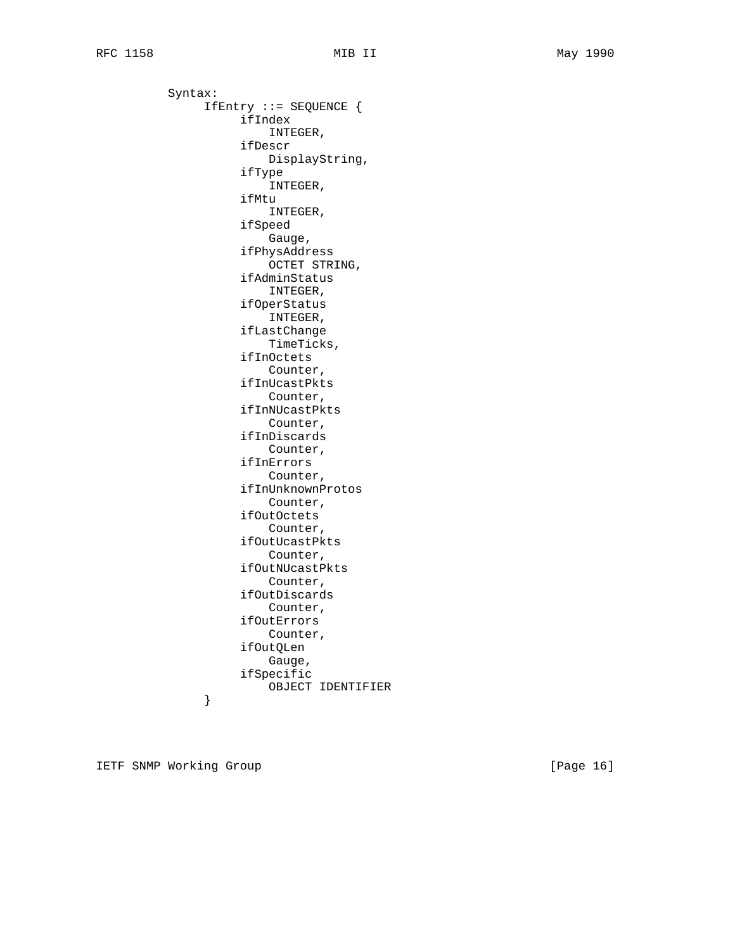Syntax: IfEntry ::= SEQUENCE { ifIndex INTEGER, ifDescr DisplayString, ifType INTEGER, ifMtu INTEGER, ifSpeed Gauge, ifPhysAddress OCTET STRING, ifAdminStatus INTEGER, ifOperStatus INTEGER, ifLastChange TimeTicks, ifInOctets Counter, ifInUcastPkts Counter, ifInNUcastPkts Counter, ifInDiscards Counter, ifInErrors Counter, ifInUnknownProtos Counter, ifOutOctets Counter, ifOutUcastPkts Counter, ifOutNUcastPkts Counter, ifOutDiscards Counter, ifOutErrors Counter, ifOutQLen Gauge, ifSpecific OBJECT IDENTIFIER } }

IETF SNMP Working Group **Example 2018** [Page 16]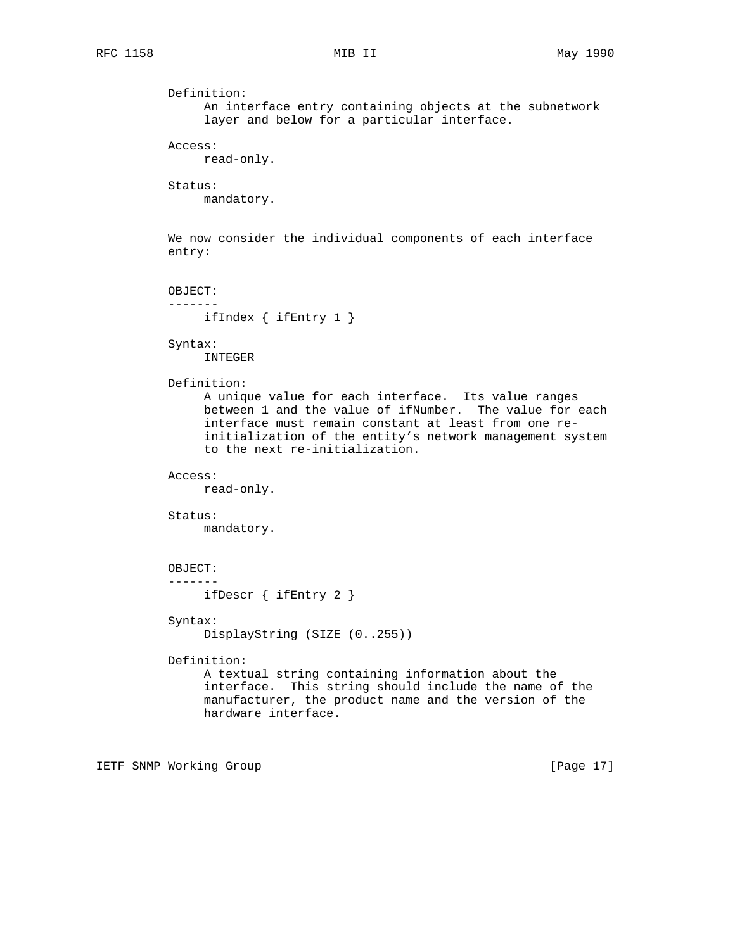```
 Definition:
     An interface entry containing objects at the subnetwork
     layer and below for a particular interface.
Access:
     read-only.
Status:
     mandatory.
We now consider the individual components of each interface
entry:
OBJECT:
-------
    ifIndex { ifEntry 1 }
Syntax:
     INTEGER
Definition:
     A unique value for each interface. Its value ranges
     between 1 and the value of ifNumber. The value for each
     interface must remain constant at least from one re-
     initialization of the entity's network management system
     to the next re-initialization.
Access:
     read-only.
Status:
     mandatory.
OBJECT:
-------
     ifDescr { ifEntry 2 }
Syntax:
     DisplayString (SIZE (0..255))
Definition:
     A textual string containing information about the
     interface. This string should include the name of the
     manufacturer, the product name and the version of the
     hardware interface.
```
IETF SNMP Working Group **Example 2018** [Page 17]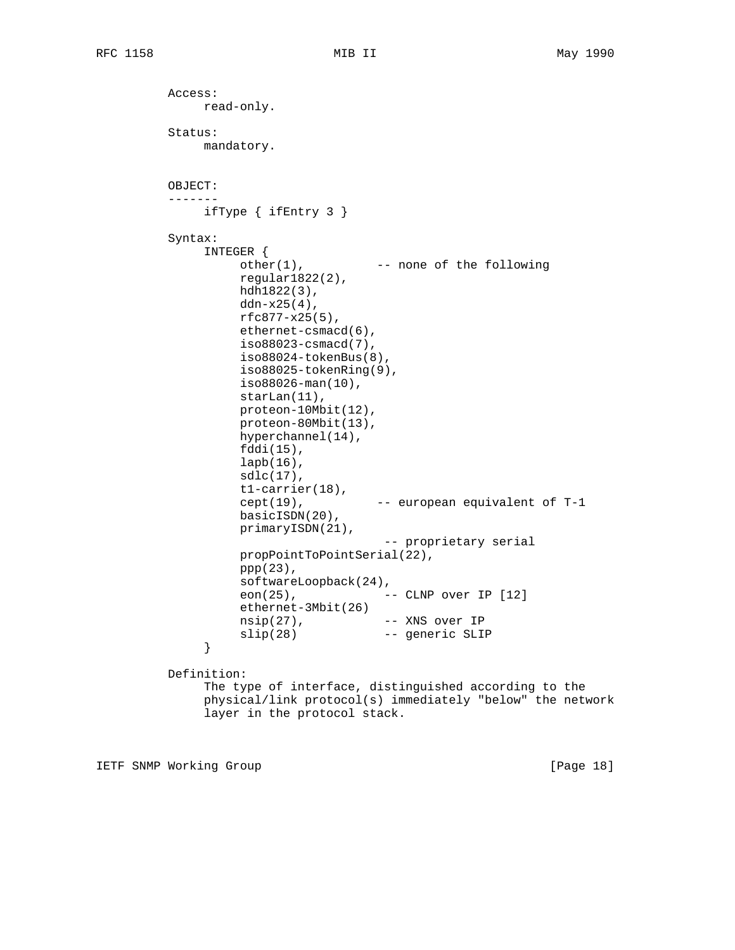Access: read-only. Status: mandatory. OBJECT: ------ ifType { ifEntry 3 } Syntax: INTEGER { other(1), The none of the following regular1822(2), hdh1822(3),  $ddn-x25(4)$ , rfc877-x25(5), ethernet-csmacd(6), iso88023-csmacd(7), iso88024-tokenBus(8), iso88025-tokenRing(9), iso88026-man(10), starLan(11), proteon-10Mbit(12), proteon-80Mbit(13), hyperchannel(14), fddi(15), lapb(16),  $sdlc(17)$ , t1-carrier(18),  $cept(19)$ ,  $--$  european equivalent of T-1 basicISDN(20), primaryISDN(21), -- proprietary serial propPointToPointSerial(22), ppp(23), softwareLoopback(24), eon(25), -- CLNP over IP [12] ethernet-3Mbit(26) nsip(27), -- XNS over IP slip(28) -- generic SLIP } Definition: The type of interface, distinguished according to the physical/link protocol(s) immediately "below" the network layer in the protocol stack.

IETF SNMP Working Group **Example 2018** [Page 18]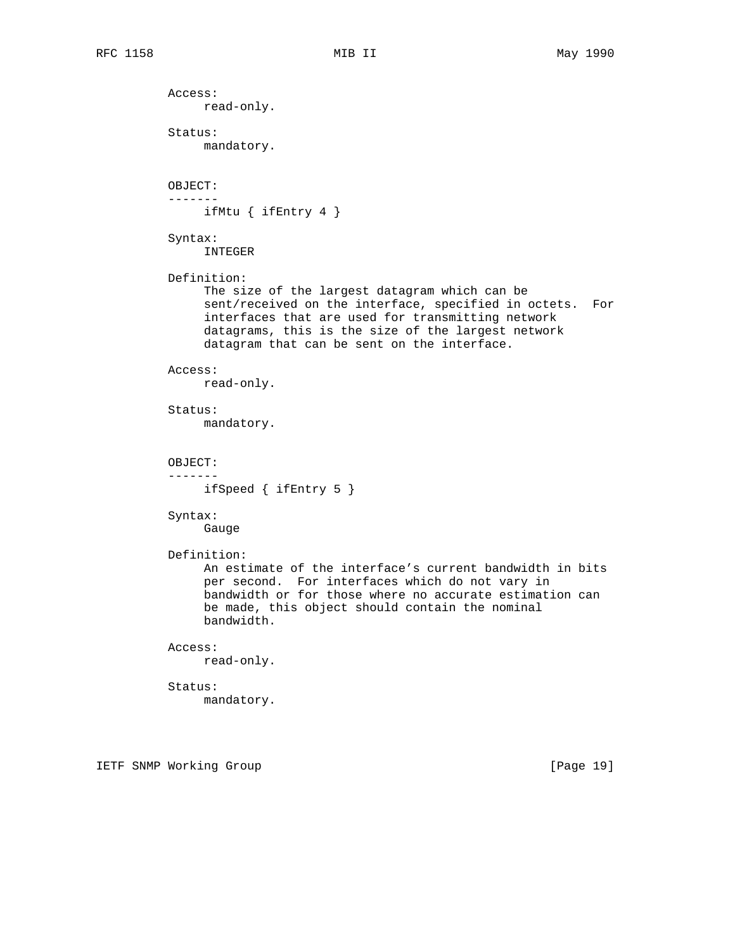Access: read-only. Status: mandatory. OBJECT: ------ ifMtu { ifEntry 4 } Syntax: INTEGER Definition: The size of the largest datagram which can be sent/received on the interface, specified in octets. For interfaces that are used for transmitting network datagrams, this is the size of the largest network datagram that can be sent on the interface. Access: read-only. Status: mandatory. OBJECT: ------ ifSpeed { ifEntry 5 } Syntax: Gauge Definition: An estimate of the interface's current bandwidth in bits per second. For interfaces which do not vary in bandwidth or for those where no accurate estimation can be made, this object should contain the nominal bandwidth. Access: read-only. Status: mandatory.

IETF SNMP Working Group **Example 2018** [Page 19]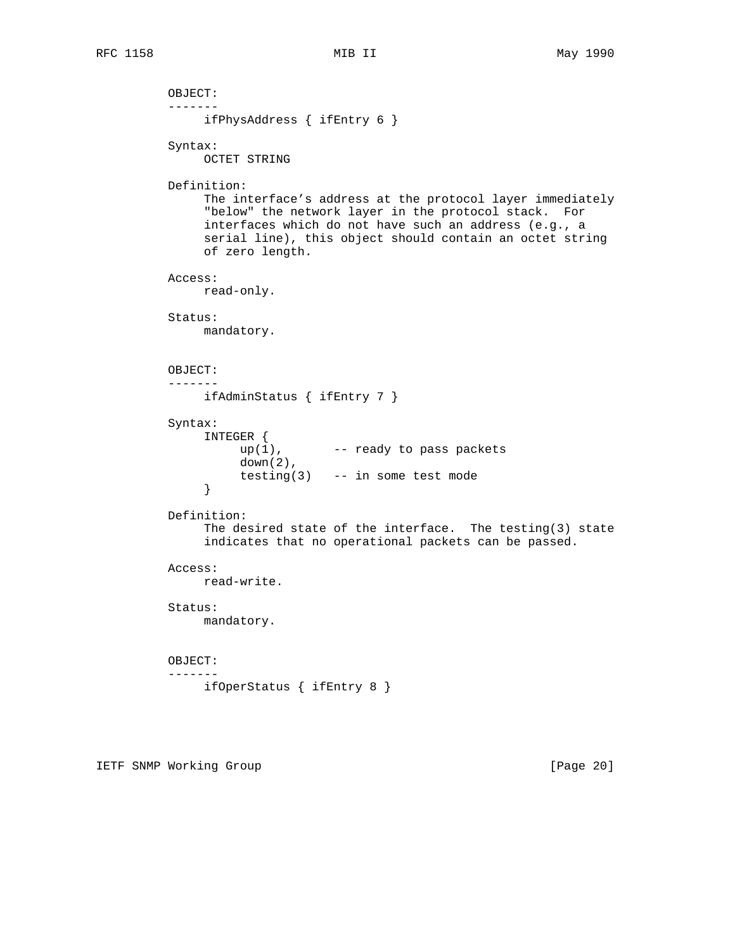```
 OBJECT:
          -------
              ifPhysAddress { ifEntry 6 }
         Syntax:
              OCTET STRING
         Definition:
               The interface's address at the protocol layer immediately
               "below" the network layer in the protocol stack. For
               interfaces which do not have such an address (e.g., a
               serial line), this object should contain an octet string
              of zero length.
         Access:
              read-only.
         Status:
              mandatory.
         OBJECT:
          -------
              ifAdminStatus { ifEntry 7 }
         Syntax:
               INTEGER {
                  up(1), -- ready to pass packets
                    down(2),
              testing(3) -- in some test mode }
}
         Definition:
               The desired state of the interface. The testing(3) state
               indicates that no operational packets can be passed.
         Access:
              read-write.
         Status:
              mandatory.
         OBJECT:
          -------
              ifOperStatus { ifEntry 8 }
```
IETF SNMP Working Group **Example 20** 1 and 20 1 and 20 1 and 20 1 and 20 1 and 20 1 and 20 1 and 20 1 and 20 1 and 20 1 and 20 1 and 20 1 and 20 1 and 20 1 and 20 1 and 20 1 and 20 1 and 20 2 2 3 and 20 2 2 3 and 20 2 2 3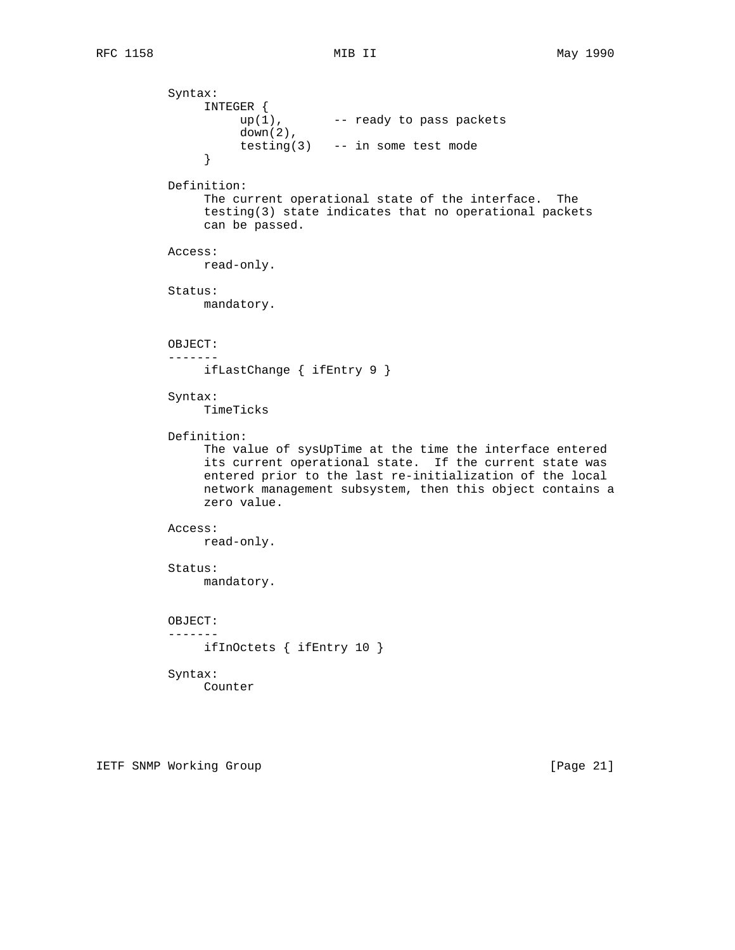Syntax: INTEGER {  $up(1)$ ,  $--$  ready to pass packets down(2), testing(3) -- in some test mode<br>} } Definition: The current operational state of the interface. The testing(3) state indicates that no operational packets can be passed. Access: read-only. Status: mandatory. OBJECT: ------ ifLastChange { ifEntry 9 } Syntax: TimeTicks Definition: The value of sysUpTime at the time the interface entered its current operational state. If the current state was entered prior to the last re-initialization of the local network management subsystem, then this object contains a zero value. Access: read-only. Status: mandatory. OBJECT: ------ ifInOctets { ifEntry 10 } Syntax: Counter

IETF SNMP Working Group **Example 21** and the state of  $[Page 21]$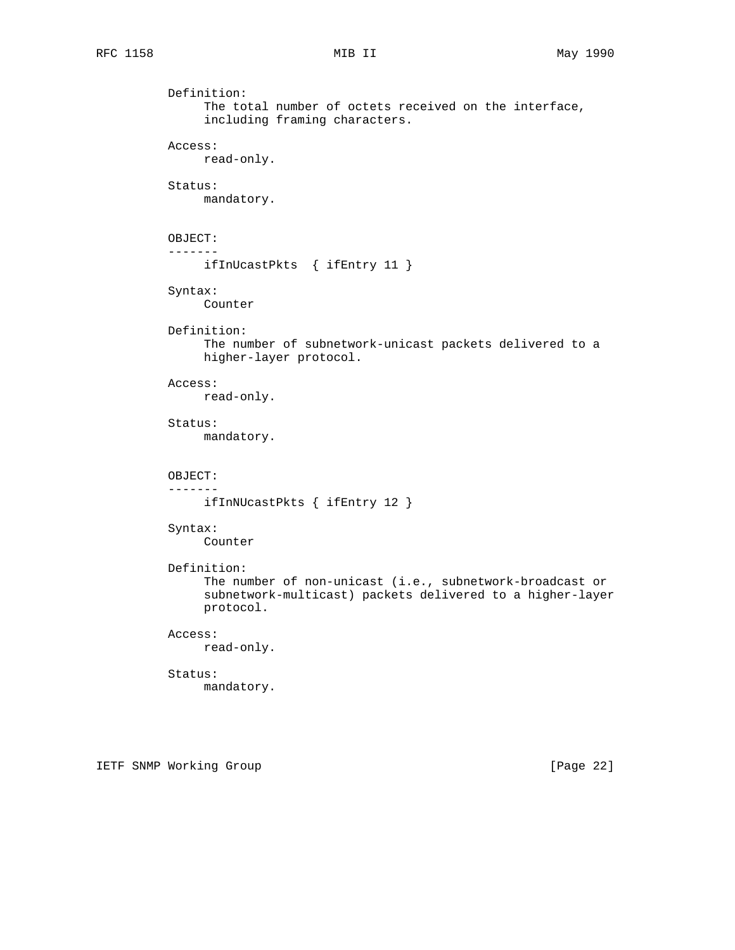```
 Definition:
     The total number of octets received on the interface,
     including framing characters.
Access:
     read-only.
Status:
     mandatory.
OBJECT:
-------
     ifInUcastPkts { ifEntry 11 }
Syntax:
     Counter
Definition:
     The number of subnetwork-unicast packets delivered to a
     higher-layer protocol.
Access:
     read-only.
Status:
     mandatory.
OBJECT:
-------
     ifInNUcastPkts { ifEntry 12 }
Syntax:
     Counter
Definition:
     The number of non-unicast (i.e., subnetwork-broadcast or
     subnetwork-multicast) packets delivered to a higher-layer
     protocol.
Access:
     read-only.
Status:
     mandatory.
```
IETF SNMP Working Group **Example 22** 1 and 22 and 22 and 22 and 22 and 22 and 22 and 22 and 22 and 22 and 22 and 22 and 22 and 22 and 22 and 22 and 22 and 22 and 22 and 22 and 22 and 22 and 22 and 22 and 22 and 22 and 22 a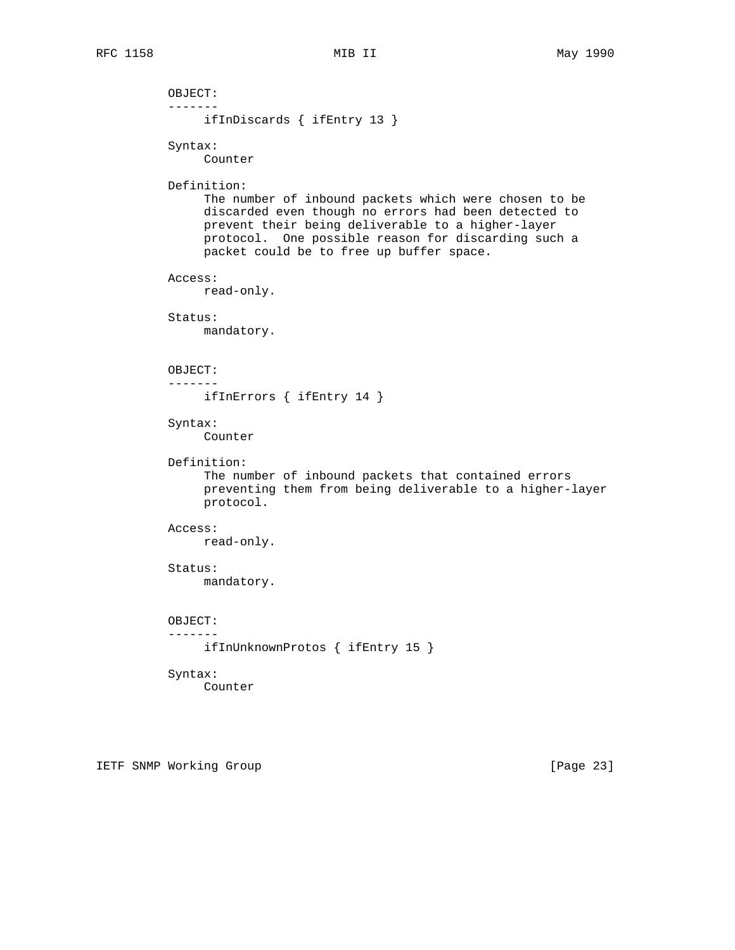```
 OBJECT:
-------
     ifInDiscards { ifEntry 13 }
Syntax:
     Counter
Definition:
     The number of inbound packets which were chosen to be
     discarded even though no errors had been detected to
     prevent their being deliverable to a higher-layer
     protocol. One possible reason for discarding such a
     packet could be to free up buffer space.
Access:
    read-only.
Status:
    mandatory.
OBJECT:
-------
     ifInErrors { ifEntry 14 }
Syntax:
     Counter
Definition:
     The number of inbound packets that contained errors
     preventing them from being deliverable to a higher-layer
     protocol.
Access:
     read-only.
Status:
    mandatory.
OBJECT:
-------
     ifInUnknownProtos { ifEntry 15 }
Syntax:
     Counter
```
IETF SNMP Working Group **Example 23** and the state of  $[Page 23]$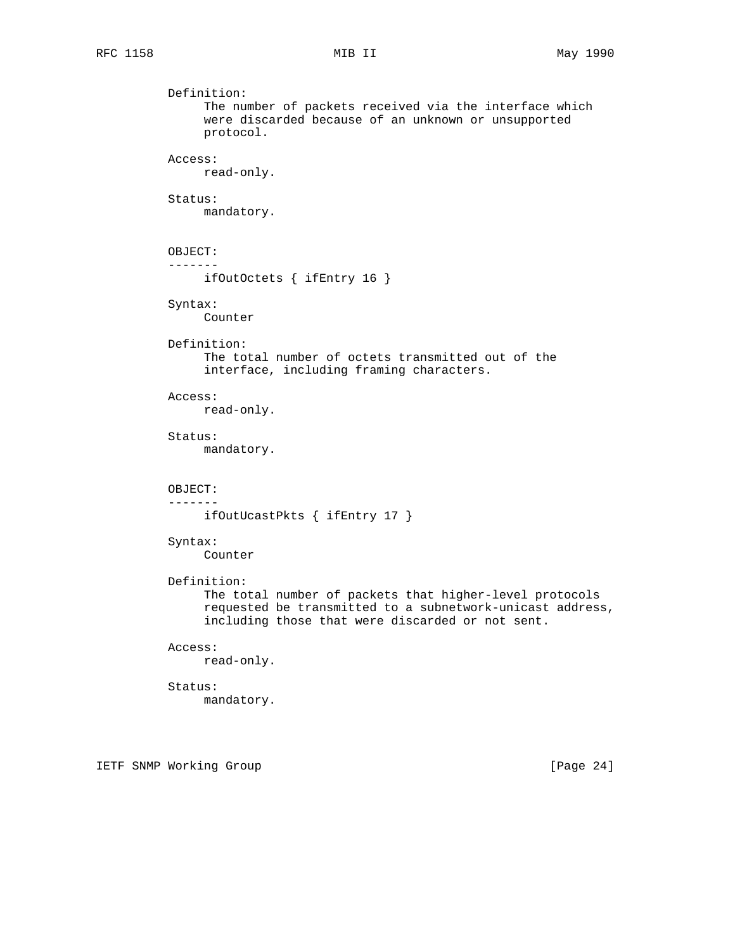```
 Definition:
     The number of packets received via the interface which
     were discarded because of an unknown or unsupported
     protocol.
Access:
     read-only.
Status:
     mandatory.
OBJECT:
-------
     ifOutOctets { ifEntry 16 }
Syntax:
     Counter
Definition:
     The total number of octets transmitted out of the
     interface, including framing characters.
Access:
     read-only.
Status:
     mandatory.
OBJECT:
-------
     ifOutUcastPkts { ifEntry 17 }
Syntax:
     Counter
Definition:
     The total number of packets that higher-level protocols
     requested be transmitted to a subnetwork-unicast address,
     including those that were discarded or not sent.
Access:
    read-only.
Status:
     mandatory.
```
IETF SNMP Working Group **Example 24** 1 and 24 1 and 24 1 and 24 1 and 24 1 and 24 1  $\sqrt{2}$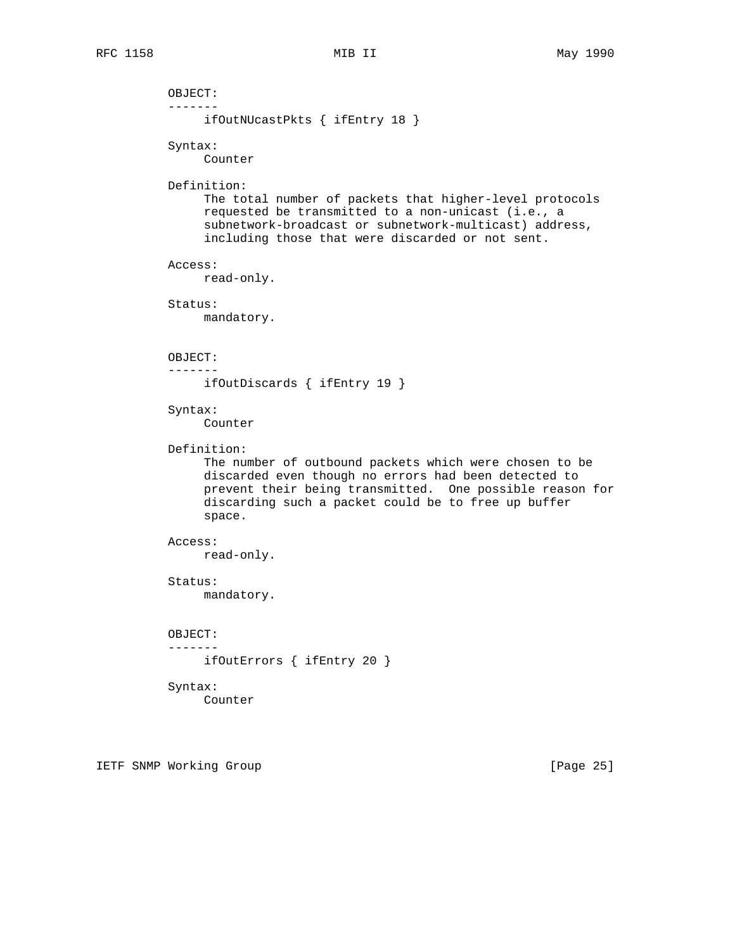OBJECT: ------ ifOutNUcastPkts { ifEntry 18 } Syntax: Counter Definition: The total number of packets that higher-level protocols requested be transmitted to a non-unicast (i.e., a subnetwork-broadcast or subnetwork-multicast) address, including those that were discarded or not sent. Access: read-only. Status: mandatory. OBJECT: ------ ifOutDiscards { ifEntry 19 } Syntax: Counter Definition: The number of outbound packets which were chosen to be discarded even though no errors had been detected to prevent their being transmitted. One possible reason for discarding such a packet could be to free up buffer space. Access: read-only. Status: mandatory. OBJECT: ------ ifOutErrors { ifEntry 20 } Syntax: Counter

IETF SNMP Working Group **Example 25** and the state of  $[Page 25]$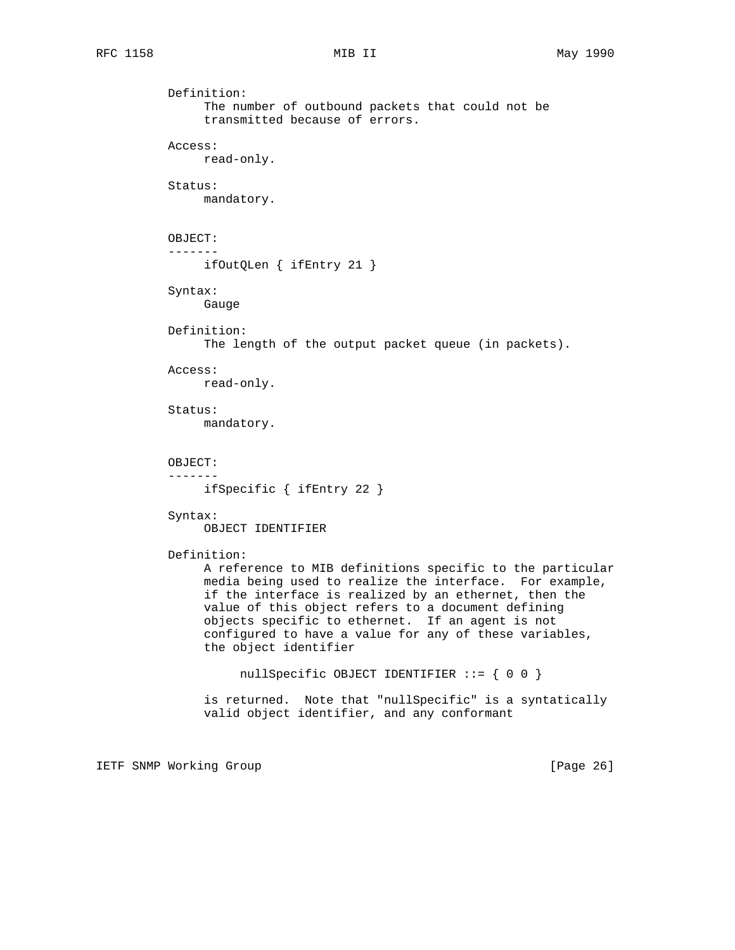Definition: The number of outbound packets that could not be transmitted because of errors. Access: read-only. Status: mandatory. OBJECT: ------ ifOutQLen { ifEntry 21 } Syntax: Gauge Definition: The length of the output packet queue (in packets). Access: read-only. Status: mandatory. OBJECT: ------ ifSpecific { ifEntry 22 } Syntax: OBJECT IDENTIFIER Definition: A reference to MIB definitions specific to the particular media being used to realize the interface. For example, if the interface is realized by an ethernet, then the value of this object refers to a document defining objects specific to ethernet. If an agent is not configured to have a value for any of these variables, the object identifier nullSpecific OBJECT IDENTIFIER ::= { 0 0 } is returned. Note that "nullSpecific" is a syntatically valid object identifier, and any conformant

IETF SNMP Working Group **Example 26** and the state of  $[Page 26]$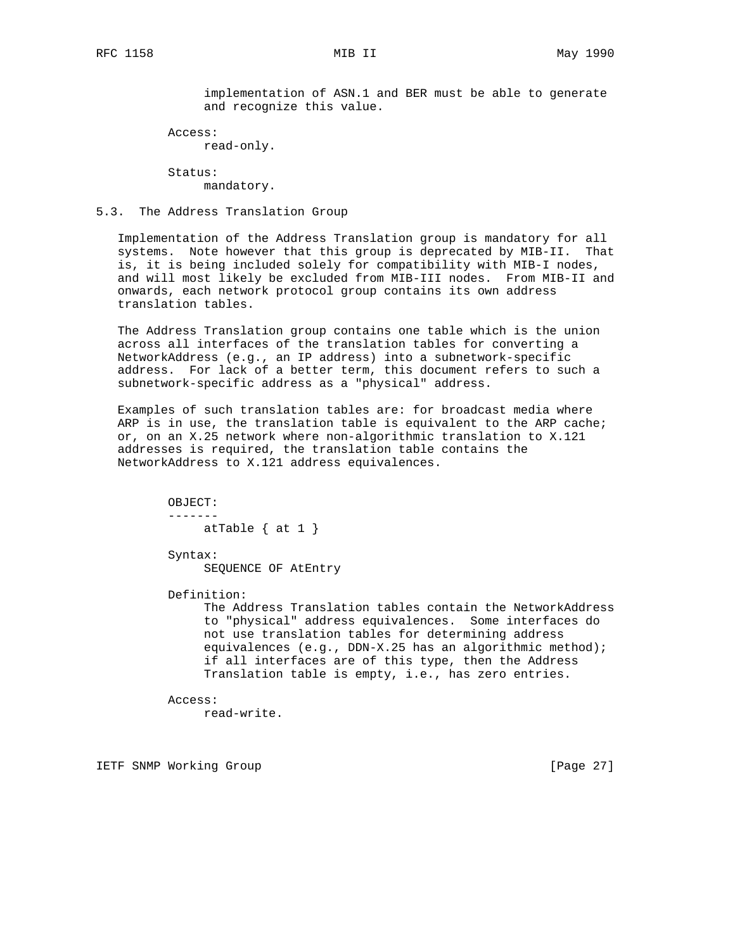implementation of ASN.1 and BER must be able to generate and recognize this value.

Access:

read-only.

 Status: mandatory.

## 5.3. The Address Translation Group

 Implementation of the Address Translation group is mandatory for all systems. Note however that this group is deprecated by MIB-II. That is, it is being included solely for compatibility with MIB-I nodes, and will most likely be excluded from MIB-III nodes. From MIB-II and onwards, each network protocol group contains its own address translation tables.

 The Address Translation group contains one table which is the union across all interfaces of the translation tables for converting a NetworkAddress (e.g., an IP address) into a subnetwork-specific address. For lack of a better term, this document refers to such a subnetwork-specific address as a "physical" address.

 Examples of such translation tables are: for broadcast media where ARP is in use, the translation table is equivalent to the ARP cache; or, on an X.25 network where non-algorithmic translation to X.121 addresses is required, the translation table contains the NetworkAddress to X.121 address equivalences.

> OBJECT: ------ atTable  $\{$  at  $1 \}$

 Syntax: SEQUENCE OF AtEntry

Definition:

 The Address Translation tables contain the NetworkAddress to "physical" address equivalences. Some interfaces do not use translation tables for determining address equivalences (e.g., DDN-X.25 has an algorithmic method); if all interfaces are of this type, then the Address Translation table is empty, i.e., has zero entries.

 Access: read-write.

IETF SNMP Working Group **Example 27** 1 and 2011 1 and 2011 1 and 2011 1 and 2011 1 and 2011 1 and 2011 1 and 2011 2 and 2011 2 and 2011 2 and 2012 2 and 2012 2 and 2012 2 and 2012 2 and 2012 2 and 2012 2 and 2012 2 and 201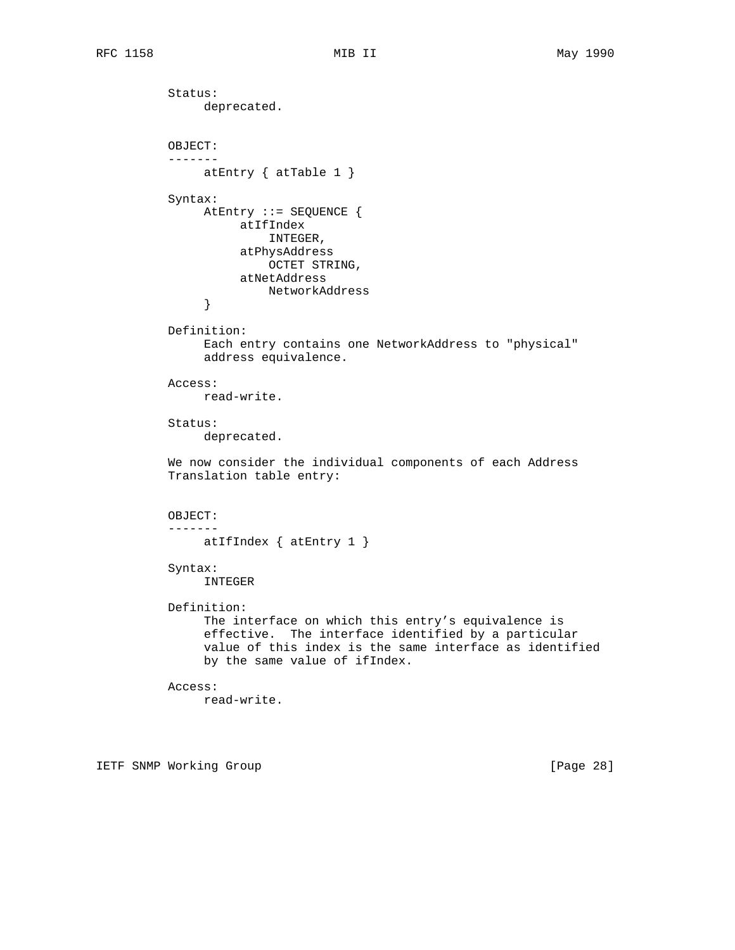Status: deprecated. OBJECT: ------ atEntry { atTable 1 } Syntax: AtEntry ::= SEQUENCE { atIfIndex INTEGER, atPhysAddress OCTET STRING, atNetAddress NetworkAddress } Definition: Each entry contains one NetworkAddress to "physical" address equivalence. Access: read-write. Status: deprecated. We now consider the individual components of each Address Translation table entry: OBJECT: ------ atIfIndex { atEntry 1 } Syntax: INTEGER Definition: The interface on which this entry's equivalence is effective. The interface identified by a particular value of this index is the same interface as identified by the same value of ifIndex. Access: read-write.

IETF SNMP Working Group **Example 28** and the state of the state of  $[Page 28]$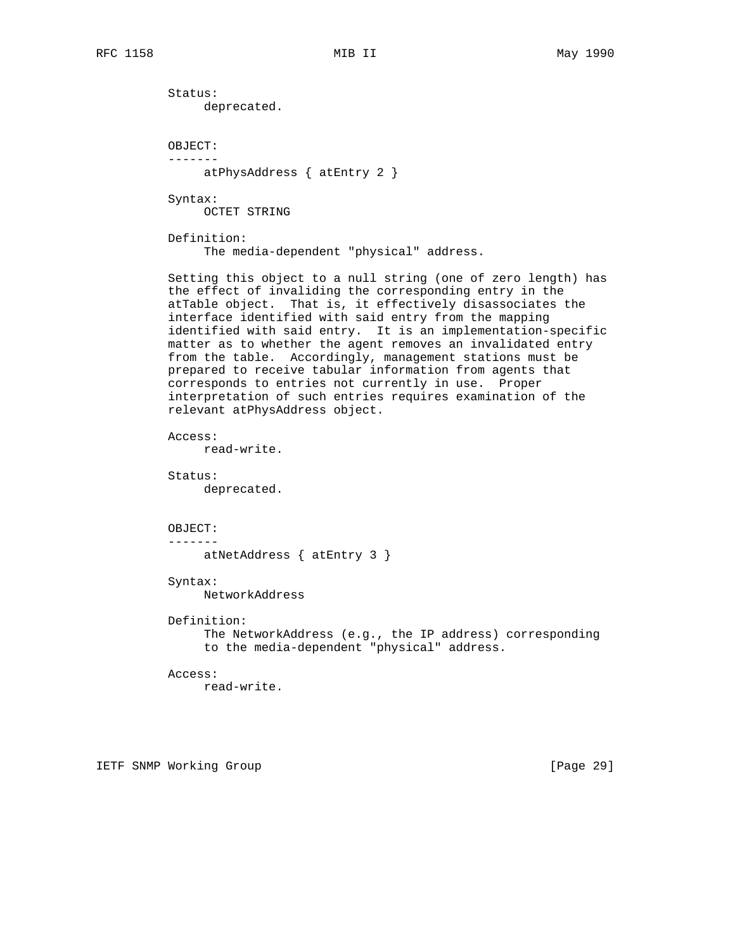Status: deprecated. OBJECT: ------ atPhysAddress { atEntry 2 } Syntax: OCTET STRING Definition: The media-dependent "physical" address. Setting this object to a null string (one of zero length) has the effect of invaliding the corresponding entry in the atTable object. That is, it effectively disassociates the interface identified with said entry from the mapping identified with said entry. It is an implementation-specific matter as to whether the agent removes an invalidated entry from the table. Accordingly, management stations must be prepared to receive tabular information from agents that corresponds to entries not currently in use. Proper interpretation of such entries requires examination of the relevant atPhysAddress object. Access: read-write. Status: deprecated. OBJECT: ------ atNetAddress { atEntry 3 } Syntax: NetworkAddress Definition: The NetworkAddress (e.g., the IP address) corresponding to the media-dependent "physical" address. Access: read-write. IETF SNMP Working Group **Example 2018** [Page 29]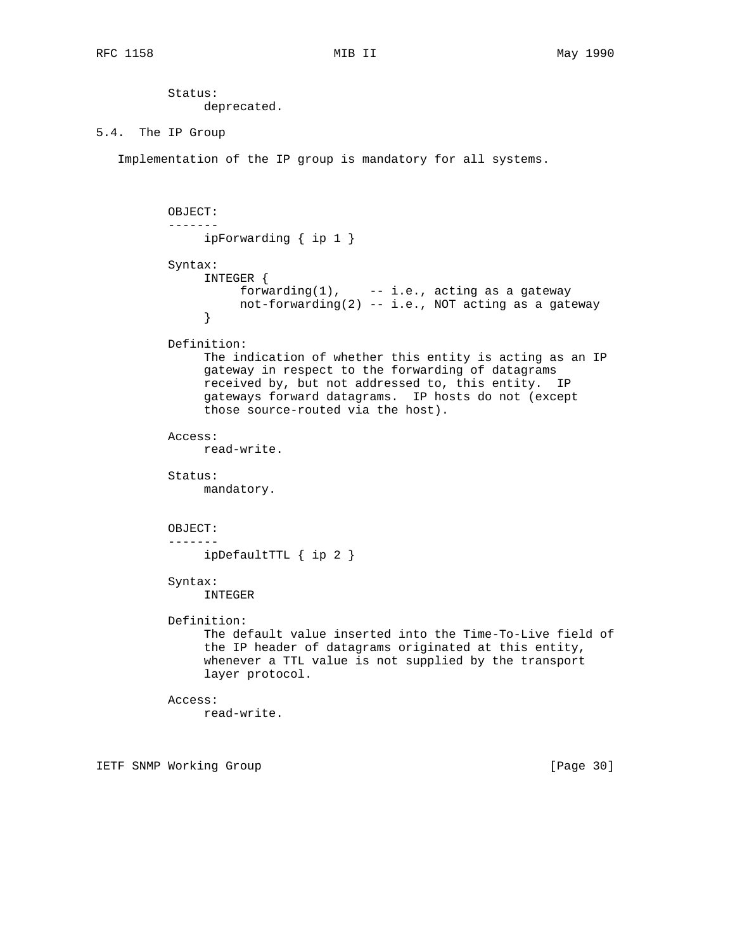Status: deprecated.

## 5.4. The IP Group

Implementation of the IP group is mandatory for all systems.

```
 OBJECT:
          -------
              ipForwarding { ip 1 }
         Syntax:
               INTEGER {
                  forwarding(1), - - i.e., acting as a gateway
               not-forwarding(2) -- i.e., NOT acting as a gateway
}
         Definition:
               The indication of whether this entity is acting as an IP
               gateway in respect to the forwarding of datagrams
              received by, but not addressed to, this entity. IP
              gateways forward datagrams. IP hosts do not (except
               those source-routed via the host).
         Access:
              read-write.
         Status:
              mandatory.
         OBJECT:
          -------
              ipDefaultTTL { ip 2 }
         Syntax:
              INTEGER
         Definition:
               The default value inserted into the Time-To-Live field of
               the IP header of datagrams originated at this entity,
               whenever a TTL value is not supplied by the transport
               layer protocol.
         Access:
              read-write.
```
IETF SNMP Working Group **Example 2018** [Page 30]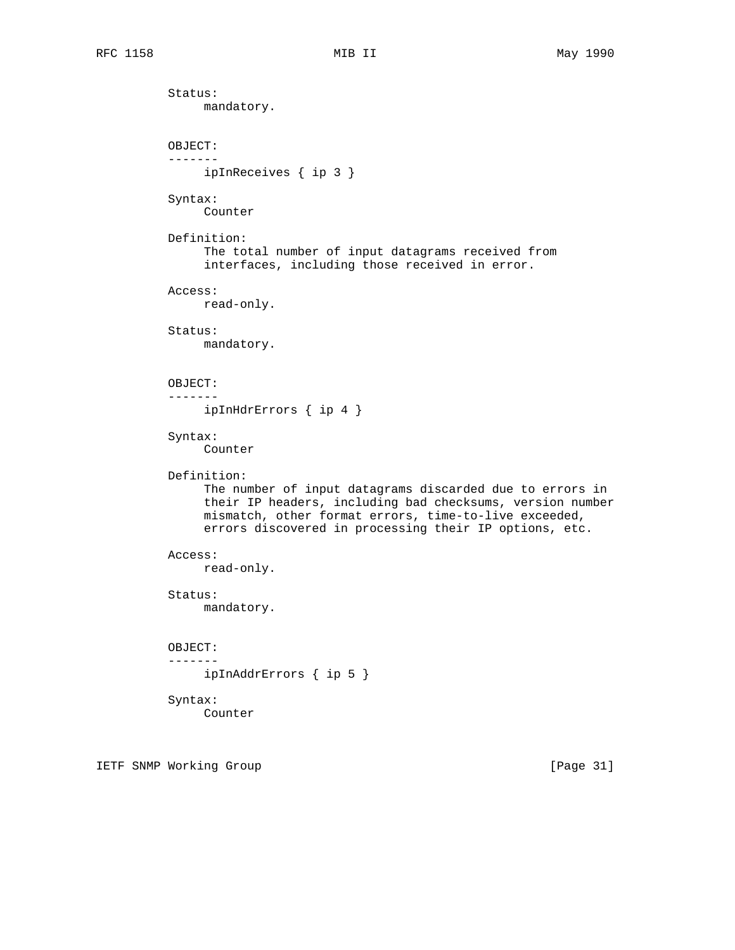Status: mandatory. OBJECT: ------ ipInReceives { ip 3 } Syntax: Counter Definition: The total number of input datagrams received from interfaces, including those received in error. Access: read-only. Status: mandatory. OBJECT: ------ ipInHdrErrors { ip 4 } Syntax: Counter Definition: The number of input datagrams discarded due to errors in their IP headers, including bad checksums, version number mismatch, other format errors, time-to-live exceeded, errors discovered in processing their IP options, etc. Access: read-only. Status: mandatory. OBJECT: ------ ipInAddrErrors { ip 5 } Syntax: Counter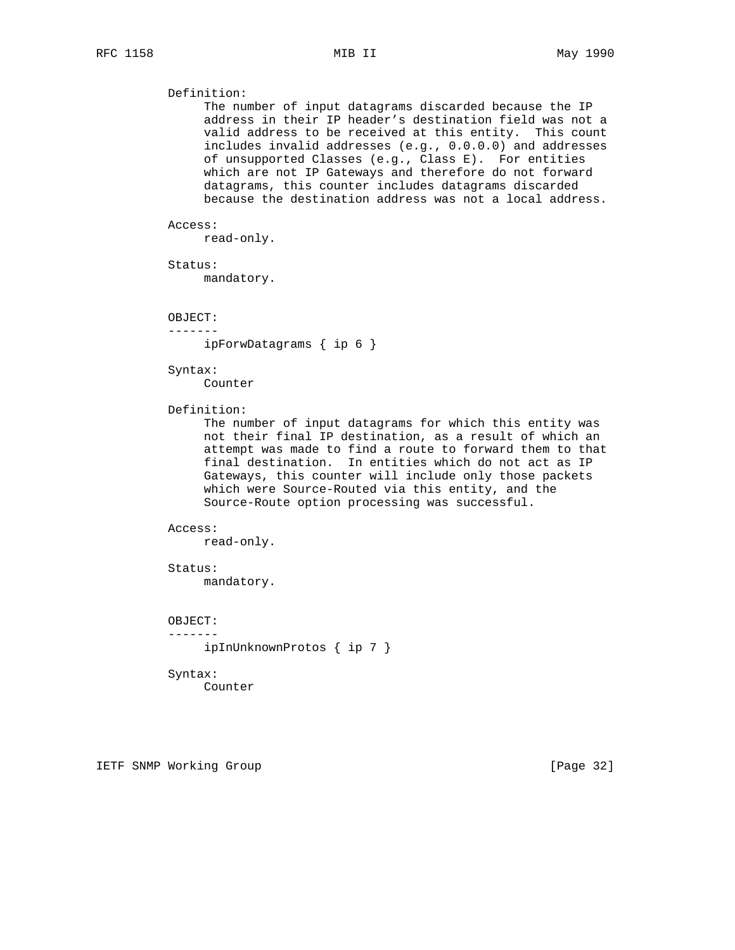# Definition:

 The number of input datagrams discarded because the IP address in their IP header's destination field was not a valid address to be received at this entity. This count includes invalid addresses (e.g., 0.0.0.0) and addresses of unsupported Classes (e.g., Class E). For entities which are not IP Gateways and therefore do not forward datagrams, this counter includes datagrams discarded because the destination address was not a local address.

## Access:

read-only.

Status:

mandatory.

OBJECT:

-------

ipForwDatagrams { ip 6 }

## Syntax:

Counter

Definition:

 The number of input datagrams for which this entity was not their final IP destination, as a result of which an attempt was made to find a route to forward them to that final destination. In entities which do not act as IP Gateways, this counter will include only those packets which were Source-Routed via this entity, and the Source-Route option processing was successful.

## Access:

read-only.

#### Status:

mandatory.

# OBJECT:

-------

ipInUnknownProtos { ip 7 }

### Syntax:

Counter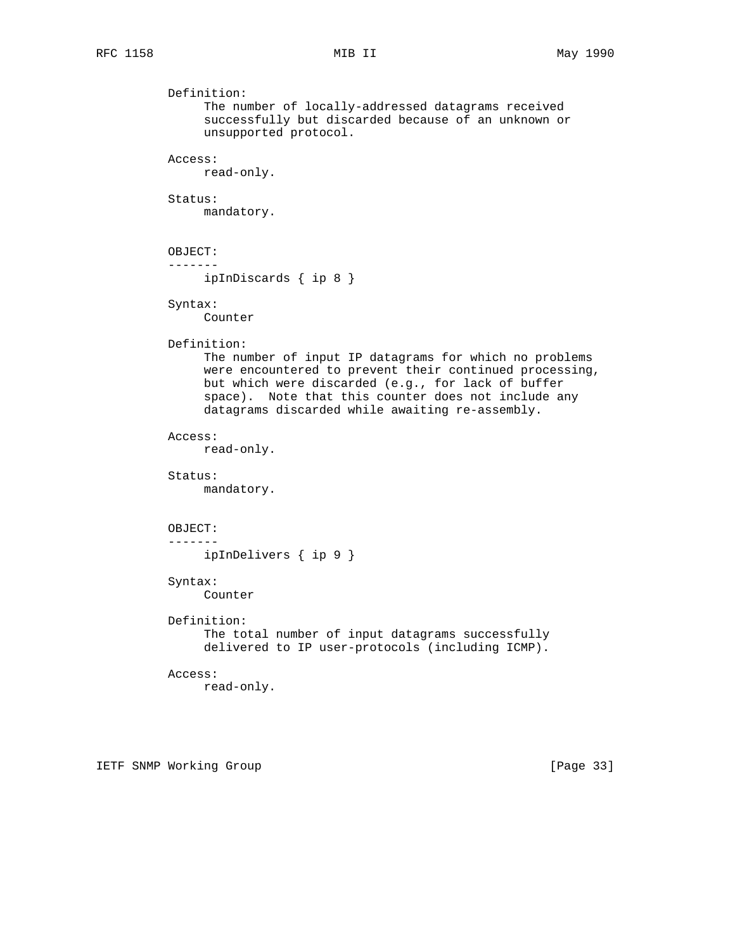```
 Definition:
     The number of locally-addressed datagrams received
     successfully but discarded because of an unknown or
     unsupported protocol.
Access:
     read-only.
Status:
     mandatory.
OBJECT:
-------
     ipInDiscards { ip 8 }
Syntax:
    Counter
Definition:
     The number of input IP datagrams for which no problems
     were encountered to prevent their continued processing,
     but which were discarded (e.g., for lack of buffer
     space). Note that this counter does not include any
     datagrams discarded while awaiting re-assembly.
Access:
     read-only.
Status:
     mandatory.
OBJECT:
-------
     ipInDelivers { ip 9 }
Syntax:
     Counter
Definition:
     The total number of input datagrams successfully
     delivered to IP user-protocols (including ICMP).
Access:
     read-only.
```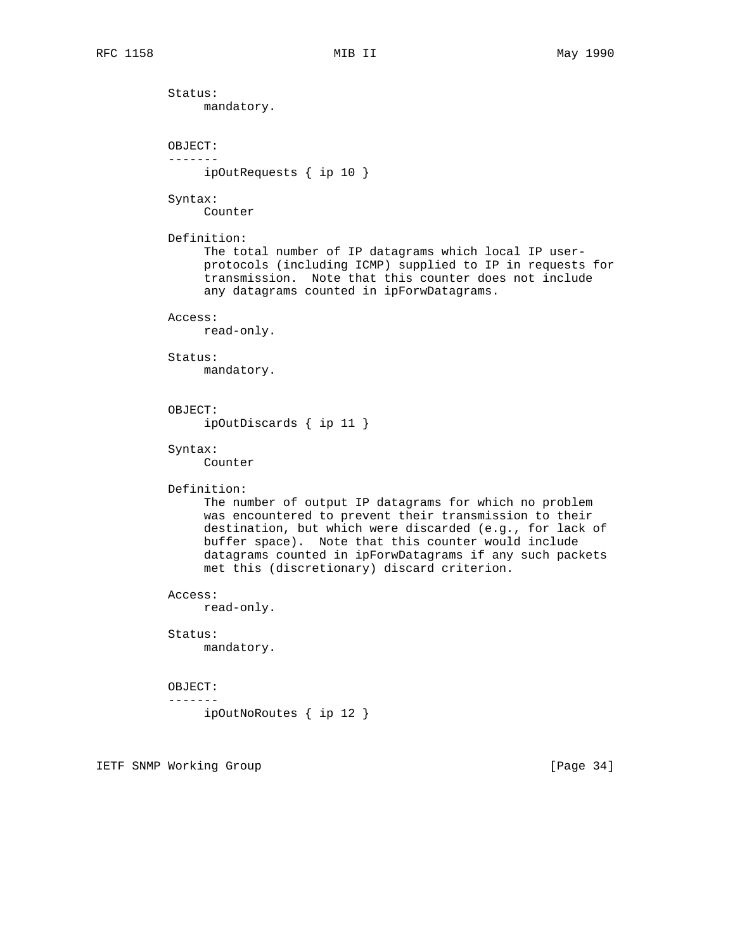Status: mandatory. OBJECT: ------ ipOutRequests { ip 10 } Syntax: Counter Definition: The total number of IP datagrams which local IP user protocols (including ICMP) supplied to IP in requests for transmission. Note that this counter does not include any datagrams counted in ipForwDatagrams. Access: read-only. Status: mandatory. OBJECT: ipOutDiscards { ip 11 } Syntax: Counter Definition: The number of output IP datagrams for which no problem was encountered to prevent their transmission to their destination, but which were discarded (e.g., for lack of buffer space). Note that this counter would include datagrams counted in ipForwDatagrams if any such packets met this (discretionary) discard criterion. Access: read-only. Status: mandatory. OBJECT: ------ ipOutNoRoutes { ip 12 }

IETF SNMP Working Group **Example 2018** [Page 34]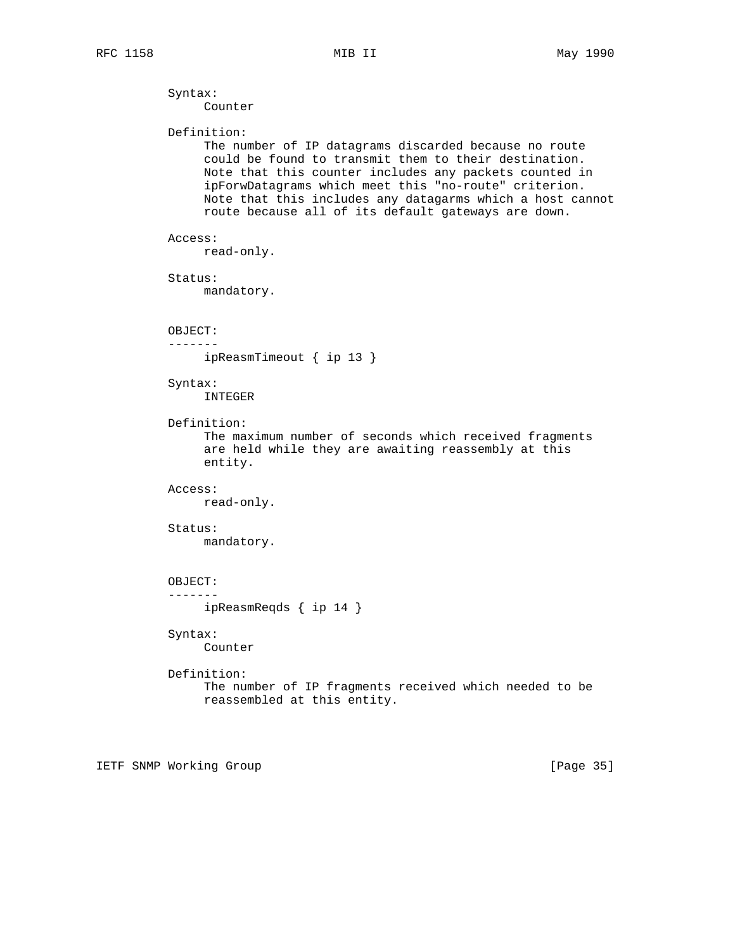```
 Syntax:
     Counter
Definition:
     The number of IP datagrams discarded because no route
     could be found to transmit them to their destination.
     Note that this counter includes any packets counted in
     ipForwDatagrams which meet this "no-route" criterion.
     Note that this includes any datagarms which a host cannot
     route because all of its default gateways are down.
Access:
     read-only.
Status:
     mandatory.
OBJECT:
-------
    ipReasmTimeout { ip 13 }
Syntax:
     INTEGER
Definition:
     The maximum number of seconds which received fragments
     are held while they are awaiting reassembly at this
     entity.
Access:
     read-only.
Status:
     mandatory.
OBJECT:
-------
     ipReasmReqds { ip 14 }
Syntax:
     Counter
Definition:
     The number of IP fragments received which needed to be
     reassembled at this entity.
```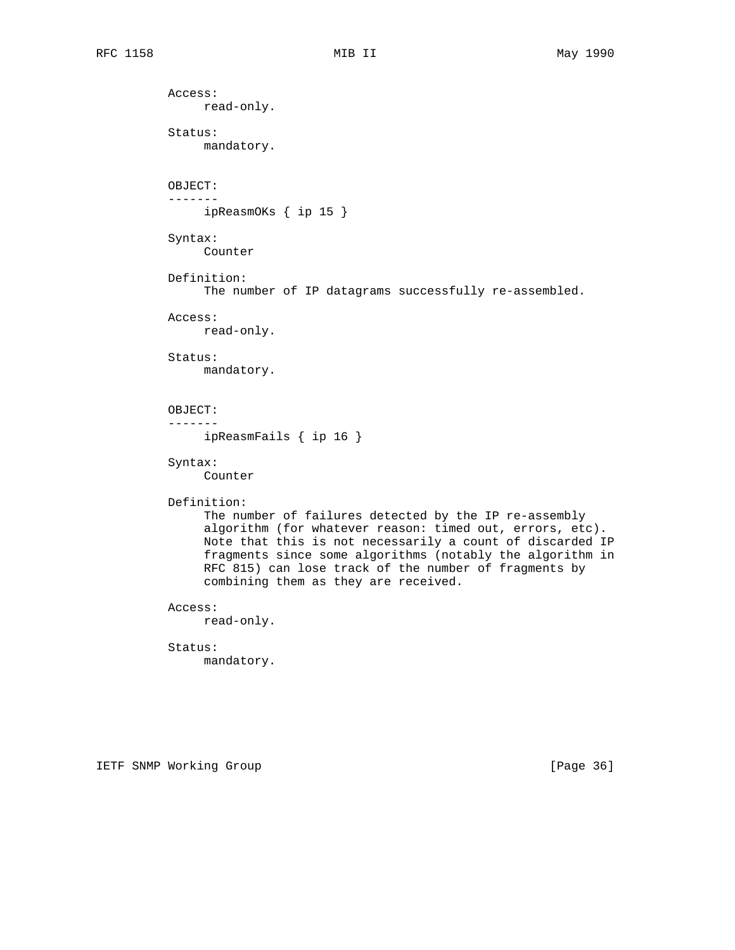Access: read-only. Status: mandatory. OBJECT: ------ ipReasmOKs { ip 15 } Syntax: Counter Definition: The number of IP datagrams successfully re-assembled. Access: read-only. Status: mandatory. OBJECT: ------ ipReasmFails { ip 16 } Syntax: Counter Definition: The number of failures detected by the IP re-assembly algorithm (for whatever reason: timed out, errors, etc). Note that this is not necessarily a count of discarded IP fragments since some algorithms (notably the algorithm in RFC 815) can lose track of the number of fragments by combining them as they are received. Access: read-only. Status: mandatory.

IETF SNMP Working Group **Example 2018** [Page 36]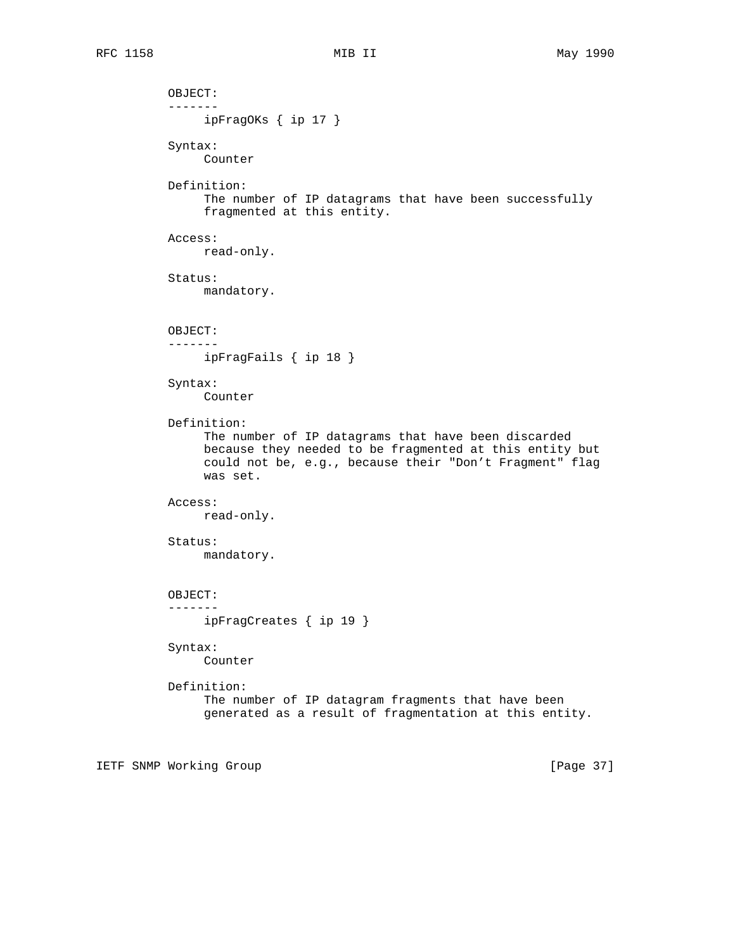```
 OBJECT:
 -------
      ipFragOKs { ip 17 }
 Syntax:
      Counter
 Definition:
      The number of IP datagrams that have been successfully
      fragmented at this entity.
 Access:
      read-only.
 Status:
      mandatory.
 OBJECT:
 -------
     ipFragFails { ip 18 }
 Syntax:
      Counter
 Definition:
      The number of IP datagrams that have been discarded
      because they needed to be fragmented at this entity but
      could not be, e.g., because their "Don't Fragment" flag
      was set.
 Access:
      read-only.
 Status:
      mandatory.
 OBJECT:
 -------
      ipFragCreates { ip 19 }
 Syntax:
      Counter
 Definition:
      The number of IP datagram fragments that have been
      generated as a result of fragmentation at this entity.
```
IETF SNMP Working Group and the state of the state of the state of the state of the state of the state of the state of the state of the state of the state of the state of the state of the state of the state of the state of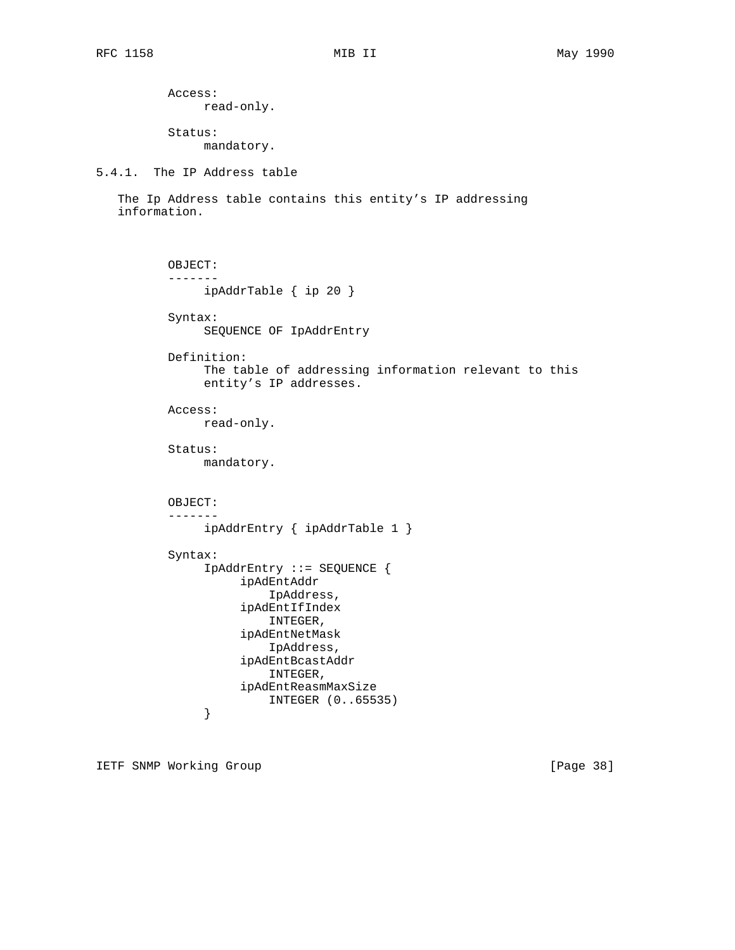Access: read-only.

 Status: mandatory.

5.4.1. The IP Address table

 The Ip Address table contains this entity's IP addressing information.

```
 OBJECT:
           -------
                ipAddrTable { ip 20 }
           Syntax:
                SEQUENCE OF IpAddrEntry
           Definition:
                The table of addressing information relevant to this
                entity's IP addresses.
           Access:
                read-only.
           Status:
               mandatory.
           OBJECT:
           -------
                ipAddrEntry { ipAddrTable 1 }
           Syntax:
                IpAddrEntry ::= SEQUENCE {
                     ipAdEntAddr
                         IpAddress,
                     ipAdEntIfIndex
                         INTEGER,
                     ipAdEntNetMask
                         IpAddress,
                     ipAdEntBcastAddr
                         INTEGER,
                     ipAdEntReasmMaxSize
               INTEGER (0..65535)
 }
```
IETF SNMP Working Group **Example 28** 1 and 20 and 20 and 20 and 20 and 20 and 20 and 20 and 20 and 20 and 20 and 20 and 20 and 20 and 20 and 20 and 20 and 20 and 20 and 20 and 20 and 20 and 20 and 20 and 20 and 20 and 20 a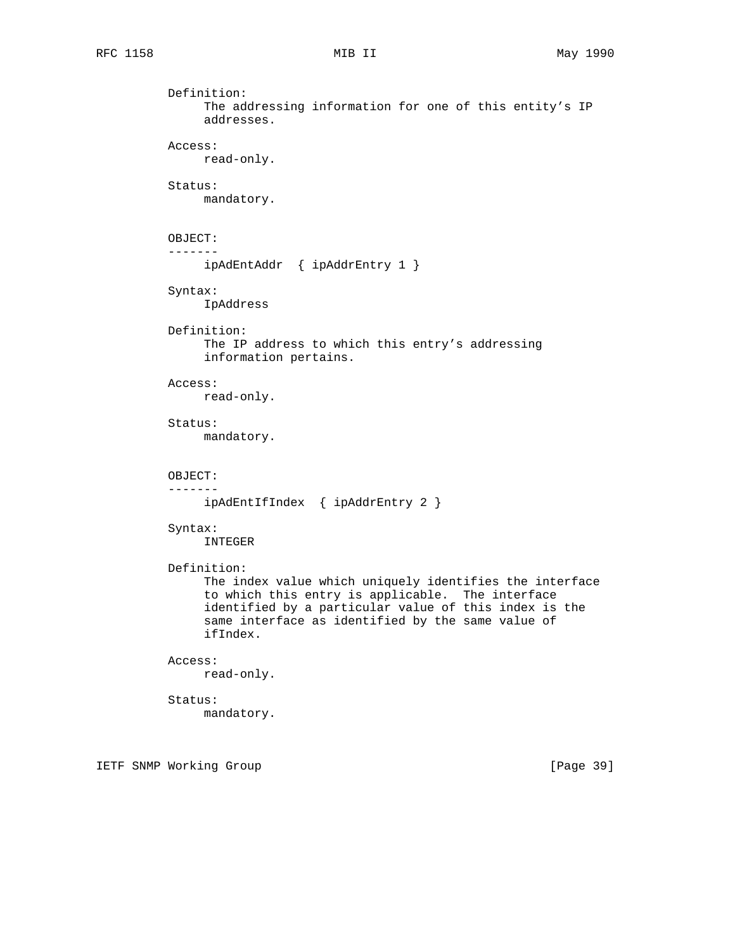```
 Definition:
      The addressing information for one of this entity's IP
      addresses.
 Access:
      read-only.
 Status:
      mandatory.
 OBJECT:
 -------
      ipAdEntAddr { ipAddrEntry 1 }
 Syntax:
      IpAddress
 Definition:
      The IP address to which this entry's addressing
      information pertains.
 Access:
     read-only.
 Status:
      mandatory.
 OBJECT:
 -------
      ipAdEntIfIndex { ipAddrEntry 2 }
 Syntax:
      INTEGER
 Definition:
      The index value which uniquely identifies the interface
      to which this entry is applicable. The interface
      identified by a particular value of this index is the
      same interface as identified by the same value of
      ifIndex.
 Access:
      read-only.
 Status:
      mandatory.
```
IETF SNMP Working Group **Example 2018** [Page 39]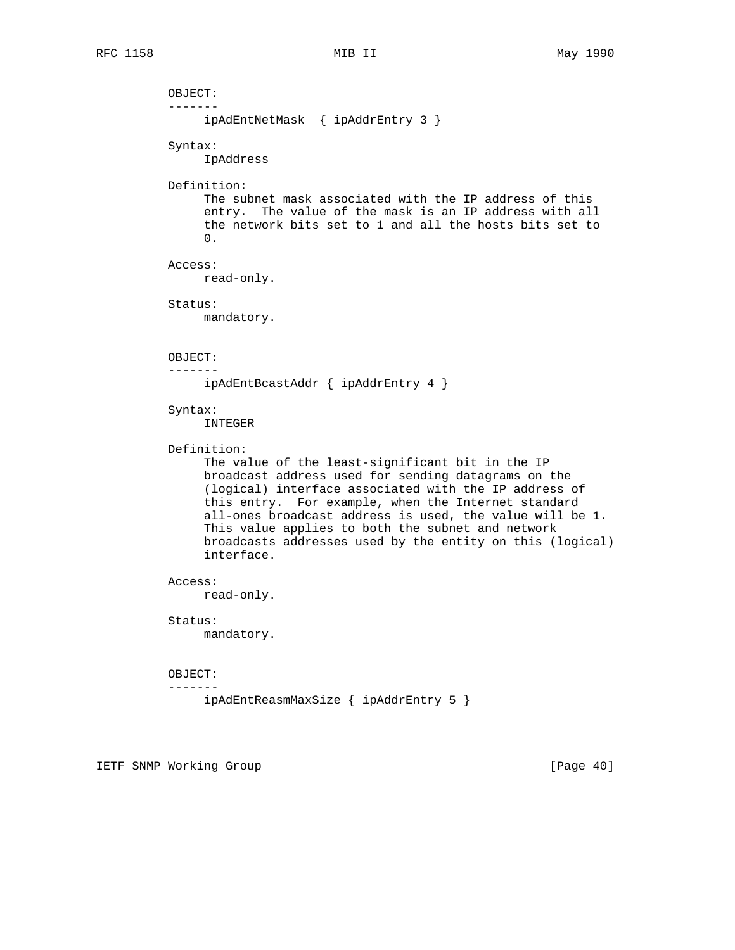OBJECT: ------ ipAdEntNetMask { ipAddrEntry 3 } Syntax: IpAddress Definition: The subnet mask associated with the IP address of this entry. The value of the mask is an IP address with all the network bits set to 1 and all the hosts bits set to 0. Access: read-only. Status: mandatory. OBJECT: ------ ipAdEntBcastAddr { ipAddrEntry 4 } Syntax: INTEGER Definition: The value of the least-significant bit in the IP broadcast address used for sending datagrams on the (logical) interface associated with the IP address of this entry. For example, when the Internet standard all-ones broadcast address is used, the value will be 1. This value applies to both the subnet and network broadcasts addresses used by the entity on this (logical) interface. Access: read-only. Status: mandatory. OBJECT: ------ ipAdEntReasmMaxSize { ipAddrEntry 5 }

IETF SNMP Working Group **Example 2018** [Page 40]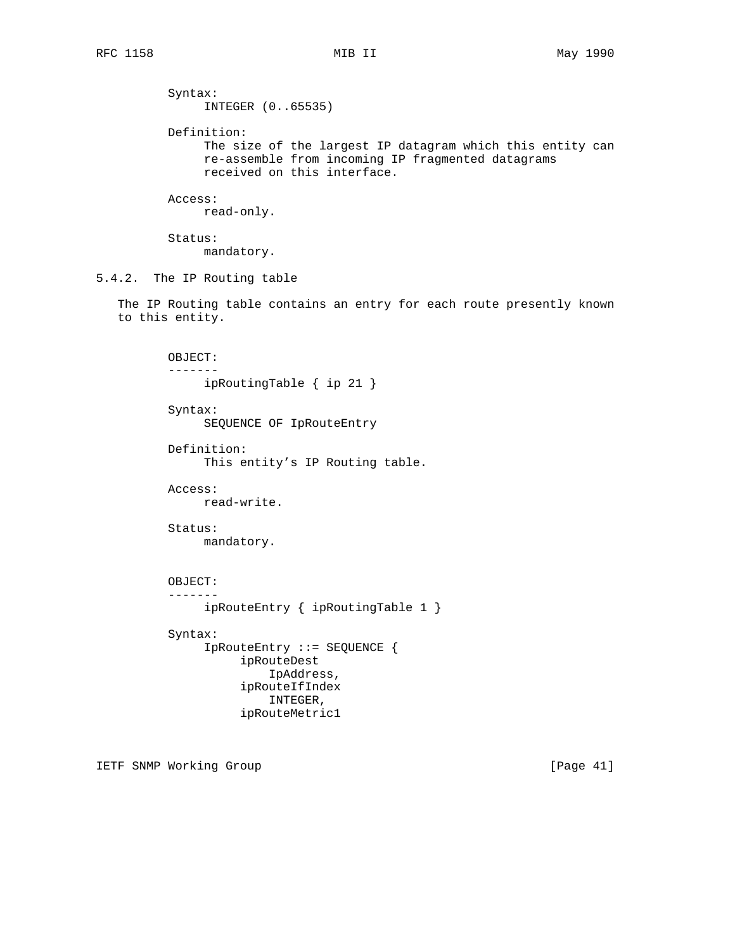Syntax: INTEGER (0..65535) Definition: The size of the largest IP datagram which this entity can re-assemble from incoming IP fragmented datagrams received on this interface. Access: read-only. Status: mandatory. 5.4.2. The IP Routing table The IP Routing table contains an entry for each route presently known to this entity. OBJECT: ------ ipRoutingTable { ip 21 } Syntax: SEQUENCE OF IpRouteEntry Definition: This entity's IP Routing table. Access: read-write. Status: mandatory. OBJECT: ------ ipRouteEntry { ipRoutingTable 1 } Syntax: IpRouteEntry ::= SEQUENCE { ipRouteDest IpAddress, ipRouteIfIndex INTEGER, ipRouteMetric1

IETF SNMP Working Group and the state of the state of the state of the state of the state of the state of the state of the state of the state of the state of the state of the state of the state of the state of the state of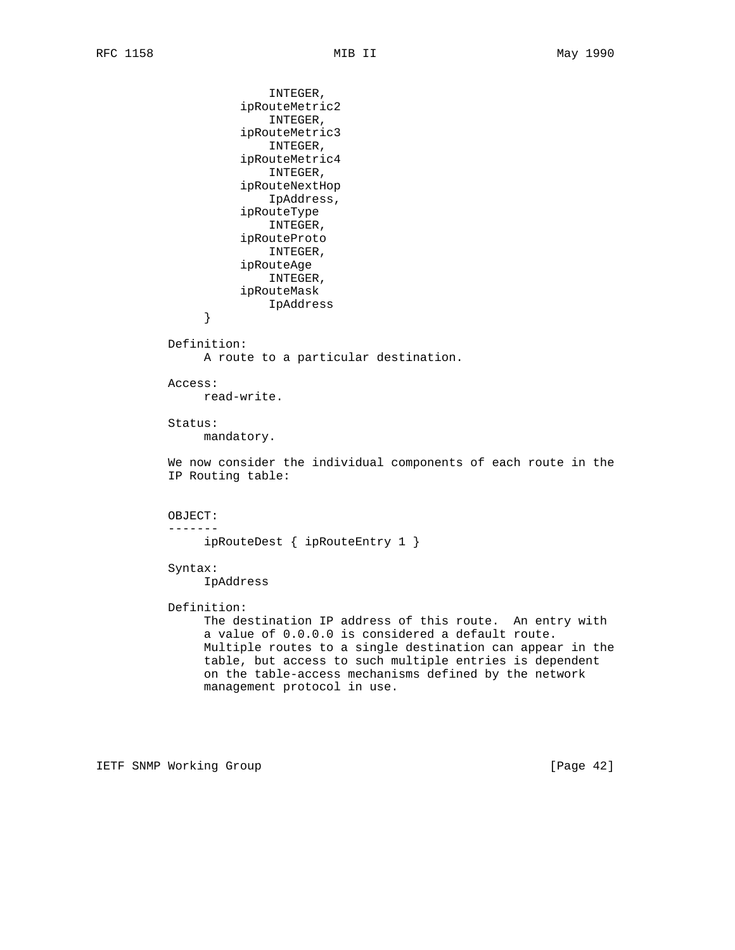INTEGER, ipRouteMetric2 INTEGER, ipRouteMetric3 INTEGER, ipRouteMetric4 INTEGER, ipRouteNextHop IpAddress, ipRouteType INTEGER, ipRouteProto INTEGER, ipRouteAge INTEGER, ipRouteMask IpAddress } Definition: A route to a particular destination. Access: read-write. Status: mandatory. We now consider the individual components of each route in the IP Routing table: OBJECT: ------ ipRouteDest { ipRouteEntry 1 } Syntax: IpAddress Definition: The destination IP address of this route. An entry with a value of 0.0.0.0 is considered a default route. Multiple routes to a single destination can appear in the table, but access to such multiple entries is dependent on the table-access mechanisms defined by the network management protocol in use.

IETF SNMP Working Group [Page 42]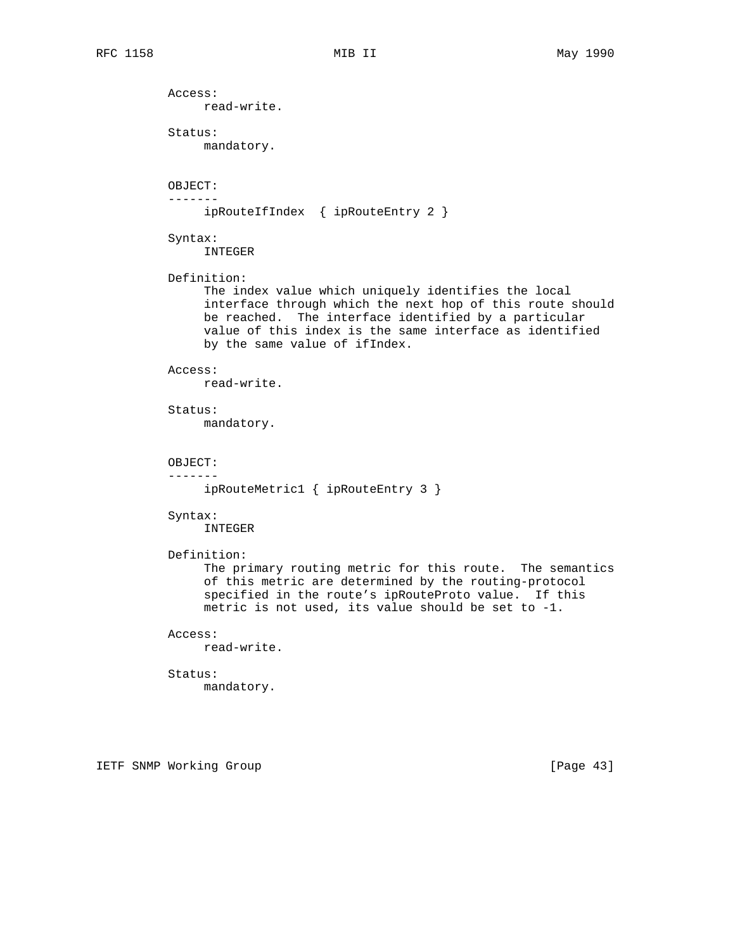Access: read-write. Status: mandatory. OBJECT: ------ ipRouteIfIndex { ipRouteEntry 2 } Syntax: INTEGER Definition: The index value which uniquely identifies the local interface through which the next hop of this route should be reached. The interface identified by a particular value of this index is the same interface as identified by the same value of ifIndex. Access: read-write. Status: mandatory. OBJECT: ------ ipRouteMetric1 { ipRouteEntry 3 } Syntax: INTEGER Definition: The primary routing metric for this route. The semantics of this metric are determined by the routing-protocol specified in the route's ipRouteProto value. If this metric is not used, its value should be set to -1. Access: read-write. Status: mandatory.

IETF SNMP Working Group **Example 2018** [Page 43]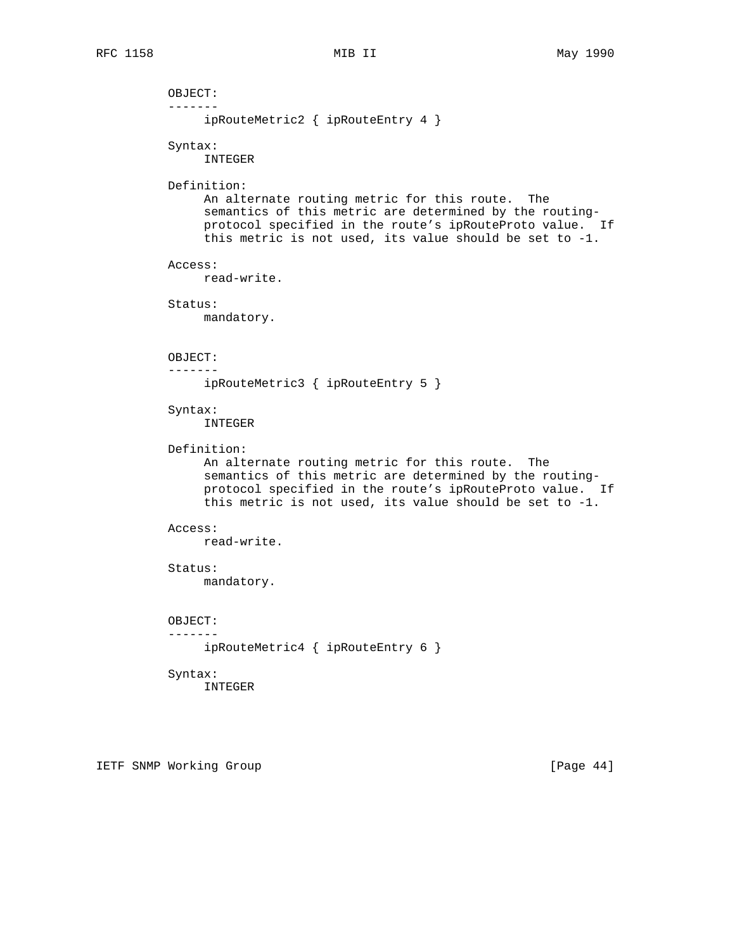OBJECT: ------ ipRouteMetric2 { ipRouteEntry 4 } Syntax: INTEGER Definition: An alternate routing metric for this route. The semantics of this metric are determined by the routing protocol specified in the route's ipRouteProto value. If this metric is not used, its value should be set to -1. Access: read-write. Status: mandatory. OBJECT: ------ ipRouteMetric3 { ipRouteEntry 5 } Syntax: INTEGER Definition: An alternate routing metric for this route. The semantics of this metric are determined by the routing protocol specified in the route's ipRouteProto value. If this metric is not used, its value should be set to -1. Access: read-write. Status: mandatory. OBJECT: ------ ipRouteMetric4 { ipRouteEntry 6 } Syntax: INTEGER

IETF SNMP Working Group [Page 44]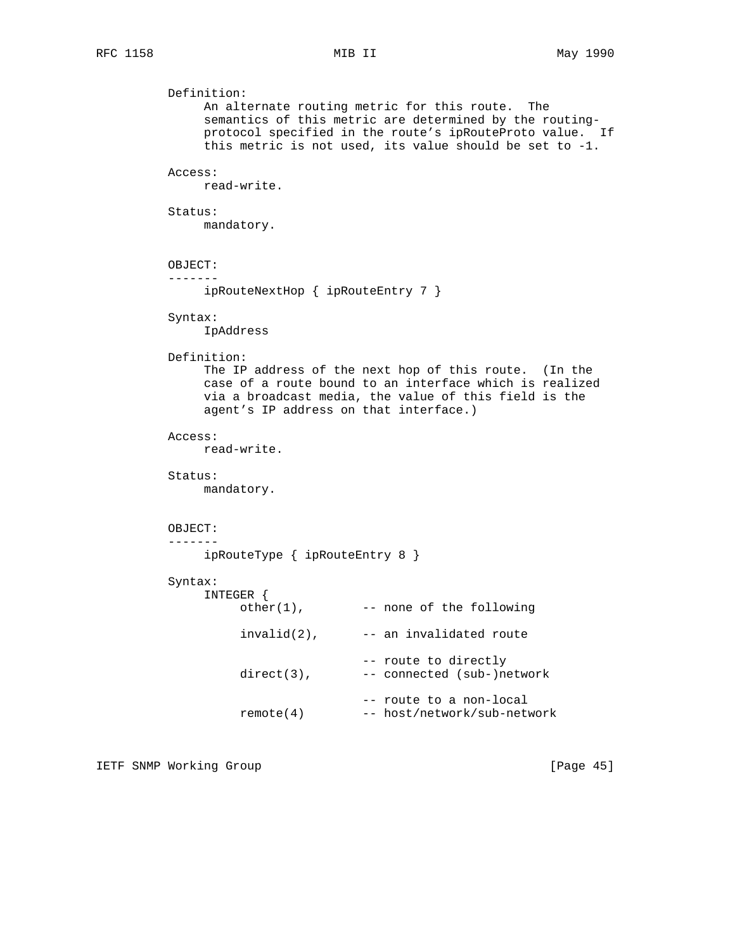```
 Definition:
      An alternate routing metric for this route. The
      semantics of this metric are determined by the routing-
      protocol specified in the route's ipRouteProto value. If
      this metric is not used, its value should be set to -1.
 Access:
     read-write.
 Status:
     mandatory.
 OBJECT:
 -------
     ipRouteNextHop { ipRouteEntry 7 }
 Syntax:
     IpAddress
 Definition:
      The IP address of the next hop of this route. (In the
      case of a route bound to an interface which is realized
     via a broadcast media, the value of this field is the
      agent's IP address on that interface.)
 Access:
     read-write.
 Status:
     mandatory.
 OBJECT:
 -------
     ipRouteType { ipRouteEntry 8 }
 Syntax:
      INTEGER {
          other(1), --- none of the following
          invalid(2), --- an invalidated route -- route to directly
          direct(3), -- connected (sub-)network
                            -- route to a non-local
           remote(4) -- host/network/sub-network
```
IETF SNMP Working Group **Example 2018** [Page 45]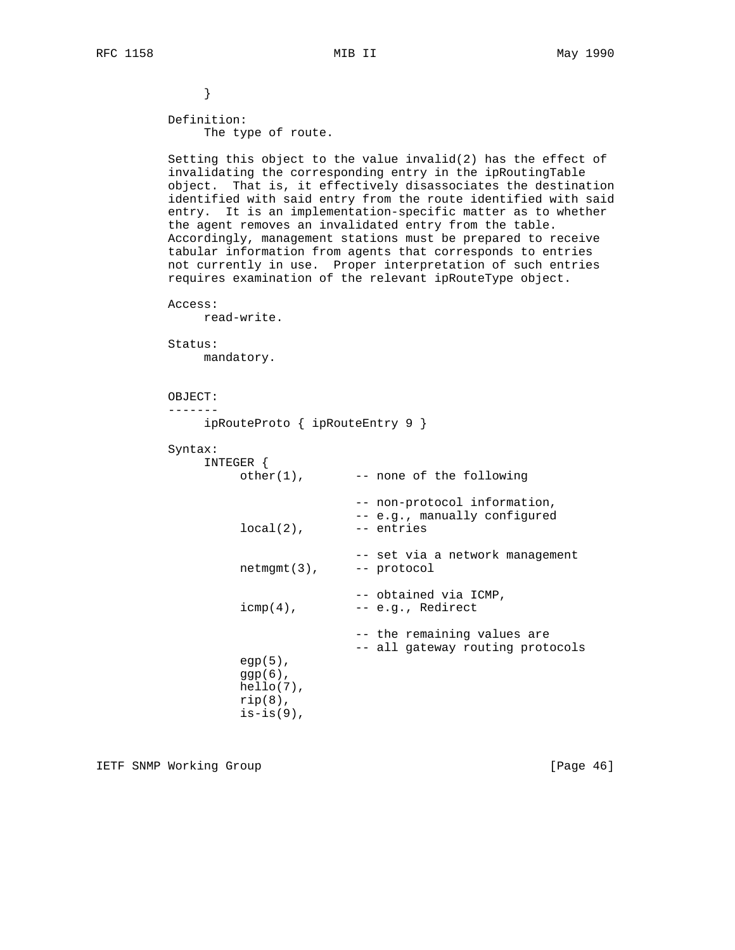}

 Definition: The type of route.

 Setting this object to the value invalid(2) has the effect of invalidating the corresponding entry in the ipRoutingTable object. That is, it effectively disassociates the destination identified with said entry from the route identified with said entry. It is an implementation-specific matter as to whether the agent removes an invalidated entry from the table. Accordingly, management stations must be prepared to receive tabular information from agents that corresponds to entries not currently in use. Proper interpretation of such entries requires examination of the relevant ipRouteType object.

```
 Access:
```
read-write.

```
 Status:
```
mandatory.

```
 OBJECT:
```
-------

```
 ipRouteProto { ipRouteEntry 9 }
```

```
 Syntax:
```

| Syntax: |                                                                        |                                                                            |
|---------|------------------------------------------------------------------------|----------------------------------------------------------------------------|
|         | INTEGER {<br>$other(1)$ ,                                              | -- none of the following                                                   |
|         | $local(2)$ ,                                                           | -- non-protocol information,<br>-- e.g., manually configured<br>-- entries |
|         | $netmgmt(3)$ ,                                                         | -- set via a network management<br>-- protocol                             |
|         | $icmp(4)$ ,                                                            | -- obtained via ICMP,<br>-- e.g., Redirect                                 |
|         | $eqp(5)$ ,<br>$qqp(6)$ ,<br>$hello(7)$ ,<br>$rip(8)$ ,<br>$is-is(9)$ , | -- the remaining values are<br>-- all gateway routing protocols            |

IETF SNMP Working Group **Example 2018** [Page 46]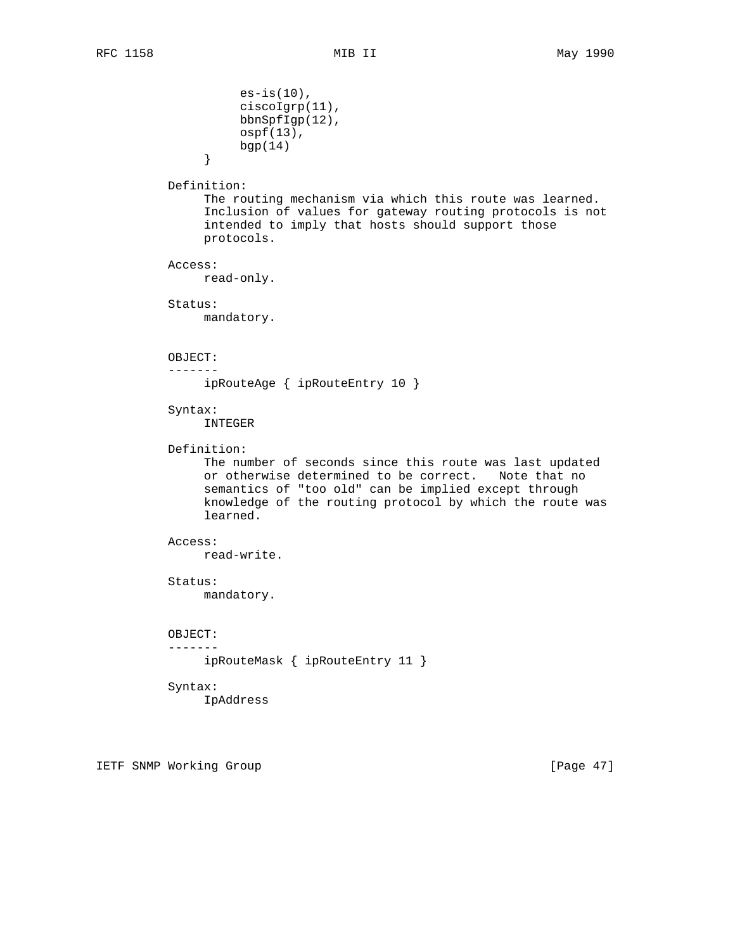```
es-is(10),
                      ciscoIgrp(11),
                      bbnSpfIgp(12),
                      ospf(13),
                \begin{matrix} \texttt{bgp}(14) \end{matrix} }
           Definition:
                 The routing mechanism via which this route was learned.
                 Inclusion of values for gateway routing protocols is not
                 intended to imply that hosts should support those
                 protocols.
           Access:
                read-only.
           Status:
                mandatory.
           OBJECT:
           -------
                ipRouteAge { ipRouteEntry 10 }
           Syntax:
                 INTEGER
           Definition:
                 The number of seconds since this route was last updated
                 or otherwise determined to be correct. Note that no
                 semantics of "too old" can be implied except through
                 knowledge of the routing protocol by which the route was
                 learned.
           Access:
                read-write.
           Status:
                mandatory.
           OBJECT:
           -------
                 ipRouteMask { ipRouteEntry 11 }
           Syntax:
                 IpAddress
```
IETF SNMP Working Group **Example 2018** [Page 47]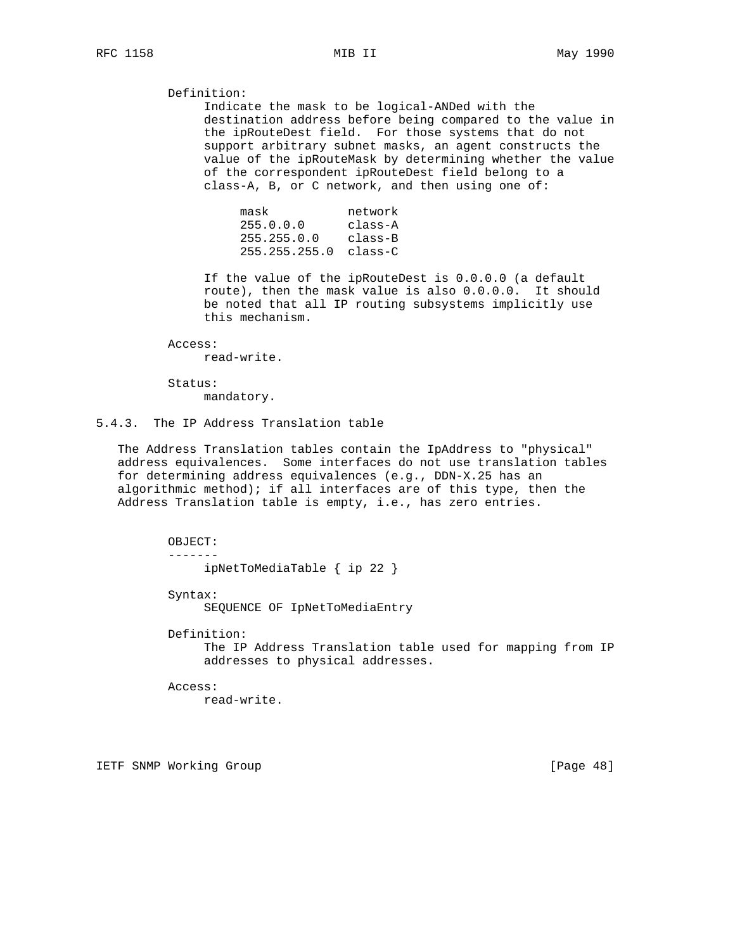Definition:

 Indicate the mask to be logical-ANDed with the destination address before being compared to the value in the ipRouteDest field. For those systems that do not support arbitrary subnet masks, an agent constructs the value of the ipRouteMask by determining whether the value of the correspondent ipRouteDest field belong to a class-A, B, or C network, and then using one of:

| mask                    | network |
|-------------------------|---------|
| 255.0.0.0               | class-A |
| 255.255.0.0             | class-B |
| $255.255.255.0$ class-C |         |

 If the value of the ipRouteDest is 0.0.0.0 (a default route), then the mask value is also 0.0.0.0. It should be noted that all IP routing subsystems implicitly use this mechanism.

Access:

read-write.

 Status: mandatory.

# 5.4.3. The IP Address Translation table

 The Address Translation tables contain the IpAddress to "physical" address equivalences. Some interfaces do not use translation tables for determining address equivalences (e.g., DDN-X.25 has an algorithmic method); if all interfaces are of this type, then the Address Translation table is empty, i.e., has zero entries.

OBJECT:

-------

ipNetToMediaTable { ip 22 }

Syntax:

SEQUENCE OF IpNetToMediaEntry

Definition:

 The IP Address Translation table used for mapping from IP addresses to physical addresses.

Access:

read-write.

IETF SNMP Working Group **Example 2018** [Page 48]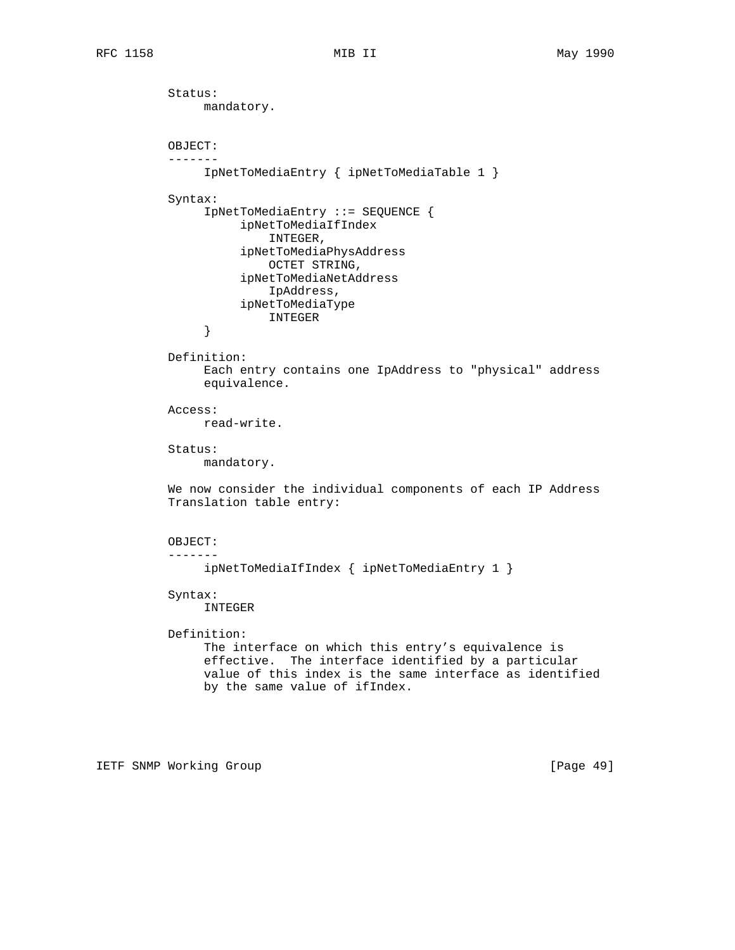Status: mandatory. OBJECT: ------- IpNetToMediaEntry { ipNetToMediaTable 1 } Syntax: IpNetToMediaEntry ::= SEQUENCE { ipNetToMediaIfIndex INTEGER, ipNetToMediaPhysAddress OCTET STRING, ipNetToMediaNetAddress IpAddress, ipNetToMediaType INTEGER } Definition: Each entry contains one IpAddress to "physical" address equivalence. Access: read-write. Status: mandatory. We now consider the individual components of each IP Address Translation table entry: OBJECT: ------ ipNetToMediaIfIndex { ipNetToMediaEntry 1 } Syntax: INTEGER Definition: The interface on which this entry's equivalence is effective. The interface identified by a particular value of this index is the same interface as identified by the same value of ifIndex.

IETF SNMP Working Group [Page 49]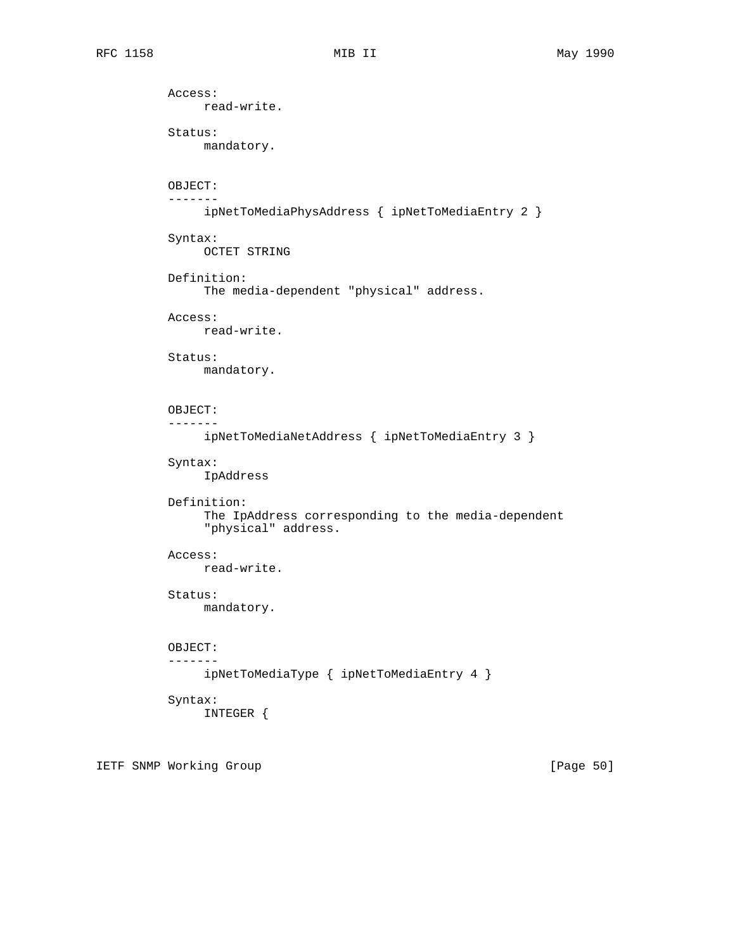Access: read-write. Status: mandatory. OBJECT: ------ ipNetToMediaPhysAddress { ipNetToMediaEntry 2 } Syntax: OCTET STRING Definition: The media-dependent "physical" address. Access: read-write. Status: mandatory. OBJECT: ------ ipNetToMediaNetAddress { ipNetToMediaEntry 3 } Syntax: IpAddress Definition: The IpAddress corresponding to the media-dependent "physical" address. Access: read-write. Status: mandatory. OBJECT: ------ ipNetToMediaType { ipNetToMediaEntry 4 } Syntax: INTEGER {

IETF SNMP Working Group **Example 2018** [Page 50]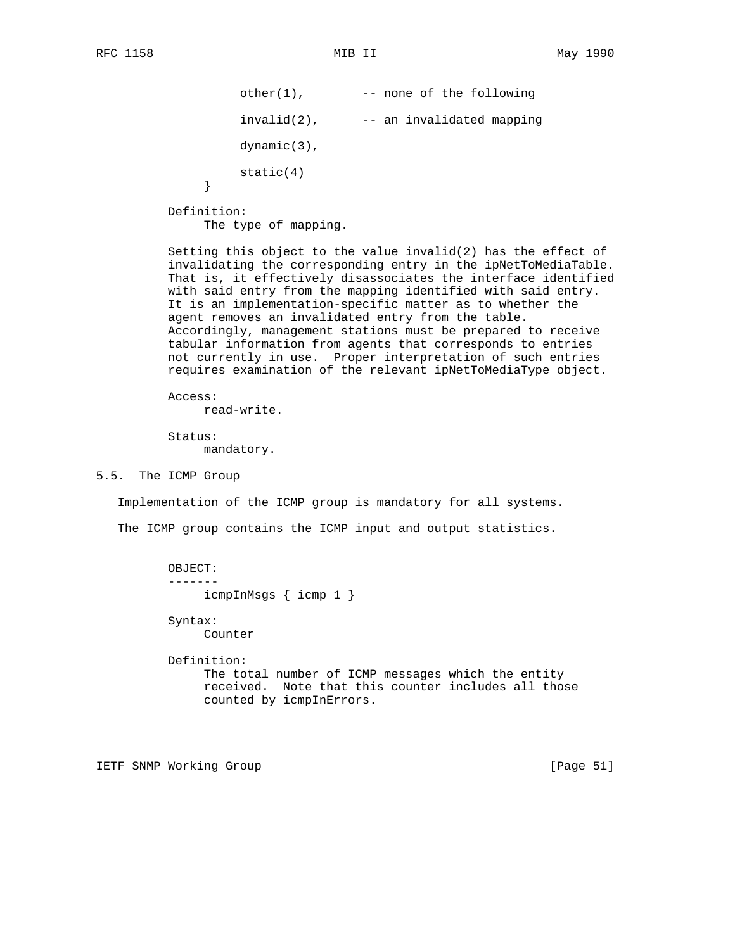}

```
 other(1), -- none of the following
    invald(2), --- an invaldated mapping dynamic(3),
static(4)
```
Definition:

The type of mapping.

 Setting this object to the value invalid(2) has the effect of invalidating the corresponding entry in the ipNetToMediaTable. That is, it effectively disassociates the interface identified with said entry from the mapping identified with said entry. It is an implementation-specific matter as to whether the agent removes an invalidated entry from the table. Accordingly, management stations must be prepared to receive tabular information from agents that corresponds to entries not currently in use. Proper interpretation of such entries requires examination of the relevant ipNetToMediaType object.

 Access: read-write. Status:

mandatory.

5.5. The ICMP Group

Implementation of the ICMP group is mandatory for all systems.

The ICMP group contains the ICMP input and output statistics.

```
 OBJECT:
 -------
      icmpInMsgs { icmp 1 }
 Syntax:
```
Counter

 Definition: The total number of ICMP messages which the entity received. Note that this counter includes all those counted by icmpInErrors.

IETF SNMP Working Group **Example 2018** [Page 51]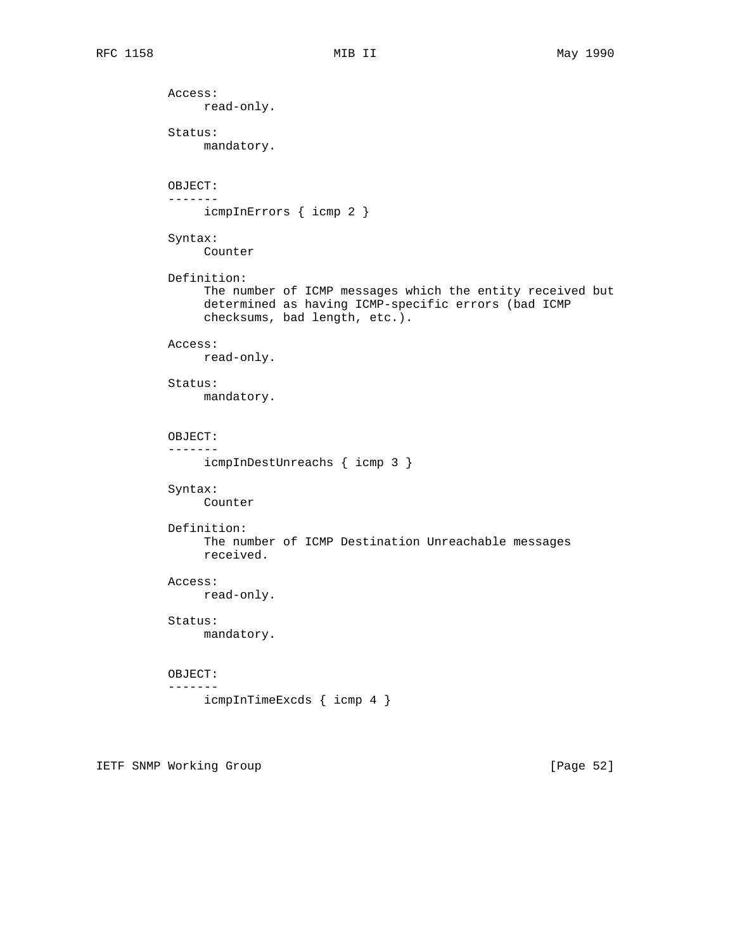Access: read-only. Status: mandatory. OBJECT: ------ icmpInErrors { icmp 2 } Syntax: Counter Definition: The number of ICMP messages which the entity received but determined as having ICMP-specific errors (bad ICMP checksums, bad length, etc.). Access: read-only. Status: mandatory. OBJECT: ------ icmpInDestUnreachs { icmp 3 } Syntax: Counter Definition: The number of ICMP Destination Unreachable messages received. Access: read-only. Status: mandatory. OBJECT: ------ icmpInTimeExcds { icmp 4 }

IETF SNMP Working Group [Page 52]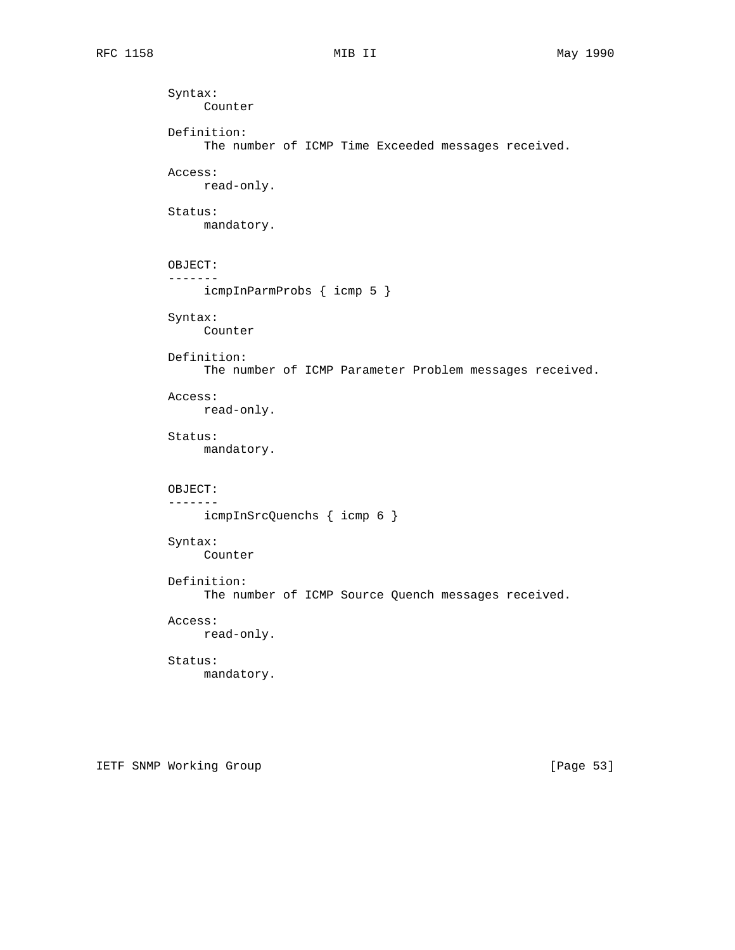```
 Syntax:
      Counter
 Definition:
      The number of ICMP Time Exceeded messages received.
 Access:
     read-only.
 Status:
      mandatory.
 OBJECT:
 -------
      icmpInParmProbs { icmp 5 }
 Syntax:
     Counter
 Definition:
      The number of ICMP Parameter Problem messages received.
 Access:
     read-only.
 Status:
      mandatory.
 OBJECT:
 -------
     icmpInSrcQuenchs { icmp 6 }
 Syntax:
      Counter
 Definition:
      The number of ICMP Source Quench messages received.
 Access:
     read-only.
 Status:
     mandatory.
```
IETF SNMP Working Group **Example 2018** [Page 53]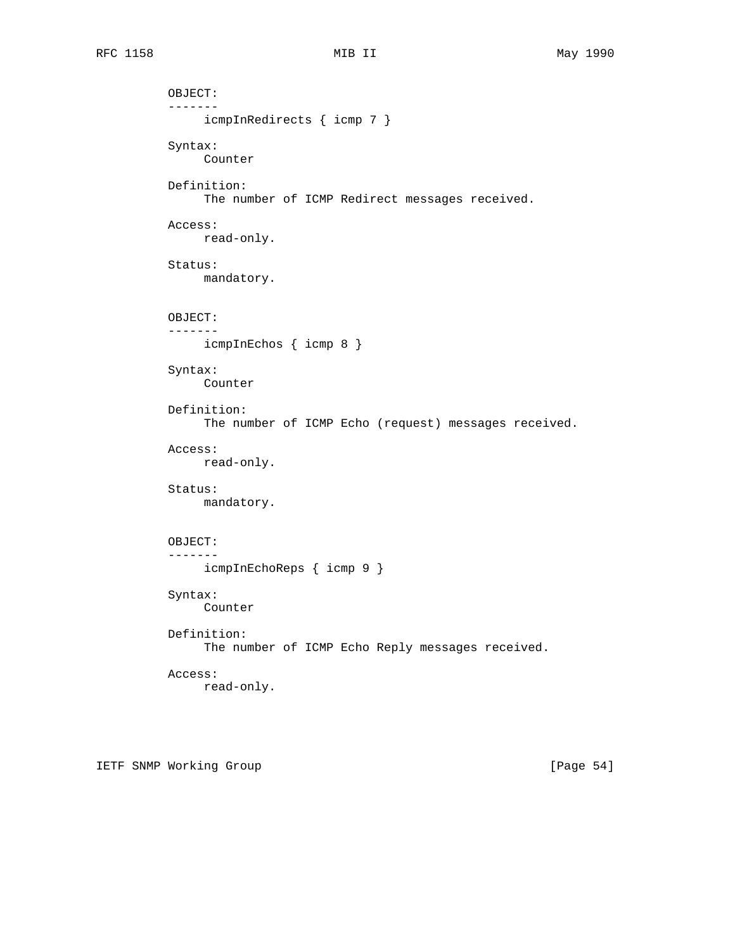```
 OBJECT:
 -------
      icmpInRedirects { icmp 7 }
 Syntax:
     Counter
 Definition:
      The number of ICMP Redirect messages received.
 Access:
     read-only.
 Status:
     mandatory.
 OBJECT:
 -------
     icmpInEchos { icmp 8 }
 Syntax:
     Counter
 Definition:
      The number of ICMP Echo (request) messages received.
 Access:
      read-only.
 Status:
    mandatory.
 OBJECT:
 -------
     icmpInEchoReps { icmp 9 }
 Syntax:
     Counter
 Definition:
      The number of ICMP Echo Reply messages received.
 Access:
     read-only.
```
IETF SNMP Working Group **Example 2018** [Page 54]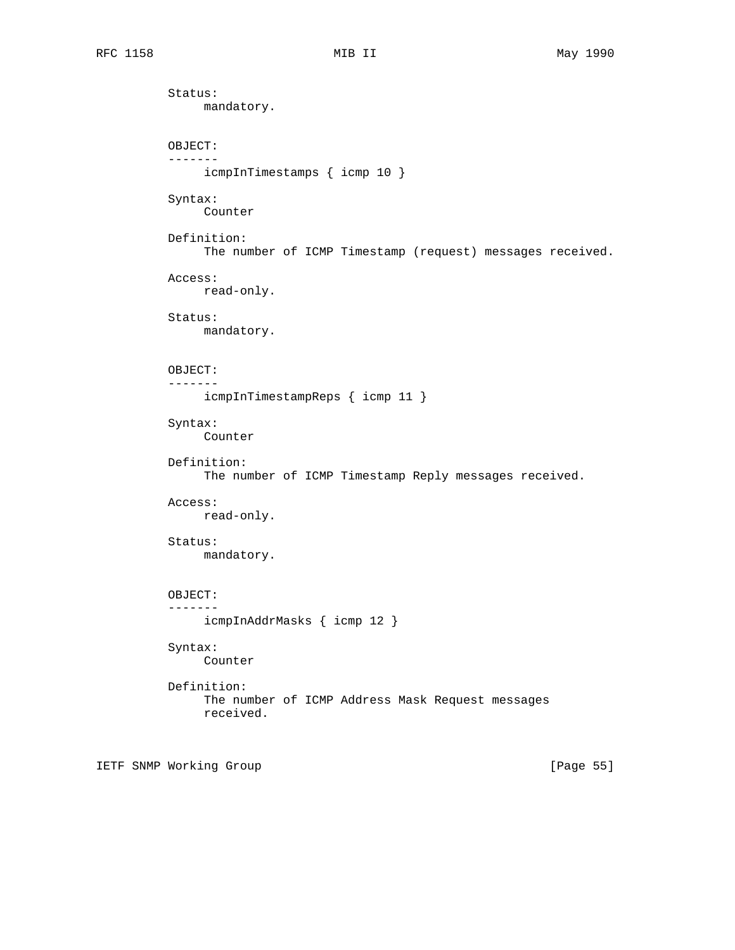Status: mandatory. OBJECT: ------ icmpInTimestamps { icmp 10 } Syntax: Counter Definition: The number of ICMP Timestamp (request) messages received. Access: read-only. Status: mandatory. OBJECT: ------ icmpInTimestampReps { icmp 11 } Syntax: Counter Definition: The number of ICMP Timestamp Reply messages received. Access: read-only. Status: mandatory. OBJECT: ------ icmpInAddrMasks { icmp 12 } Syntax: Counter Definition: The number of ICMP Address Mask Request messages received.

IETF SNMP Working Group **Example 2018** [Page 55]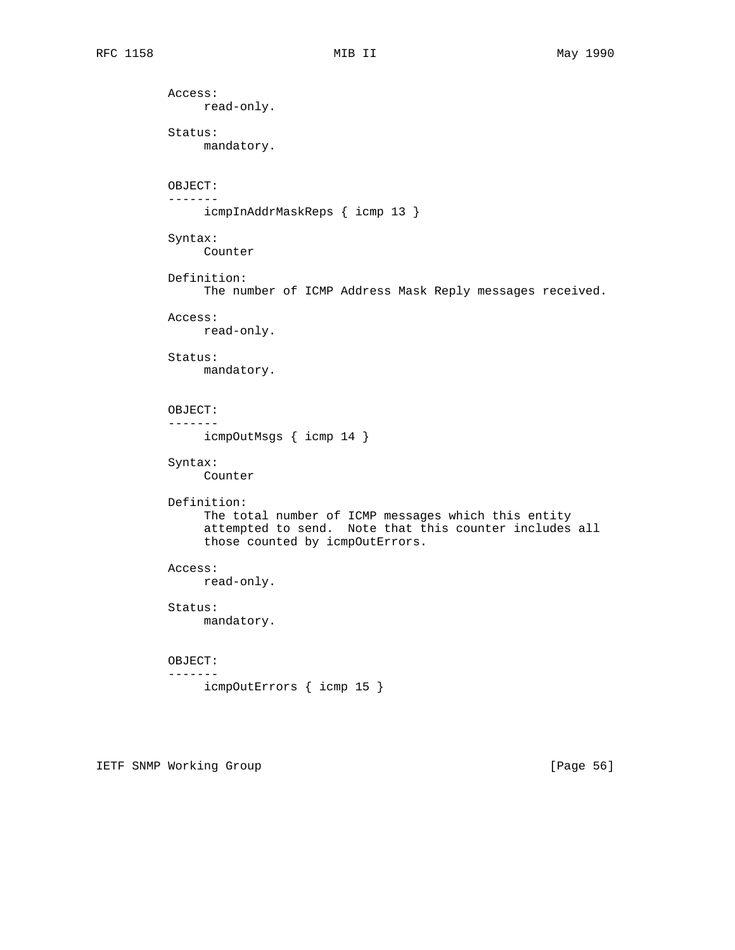Access: read-only. Status: mandatory. OBJECT: ------ icmpInAddrMaskReps { icmp 13 } Syntax: Counter Definition: The number of ICMP Address Mask Reply messages received. Access: read-only. Status: mandatory. OBJECT: ------ icmpOutMsgs { icmp 14 } Syntax: Counter Definition: The total number of ICMP messages which this entity attempted to send. Note that this counter includes all those counted by icmpOutErrors. Access: read-only. Status: mandatory. OBJECT: ------ icmpOutErrors { icmp 15 }

IETF SNMP Working Group **Example 2018** [Page 56]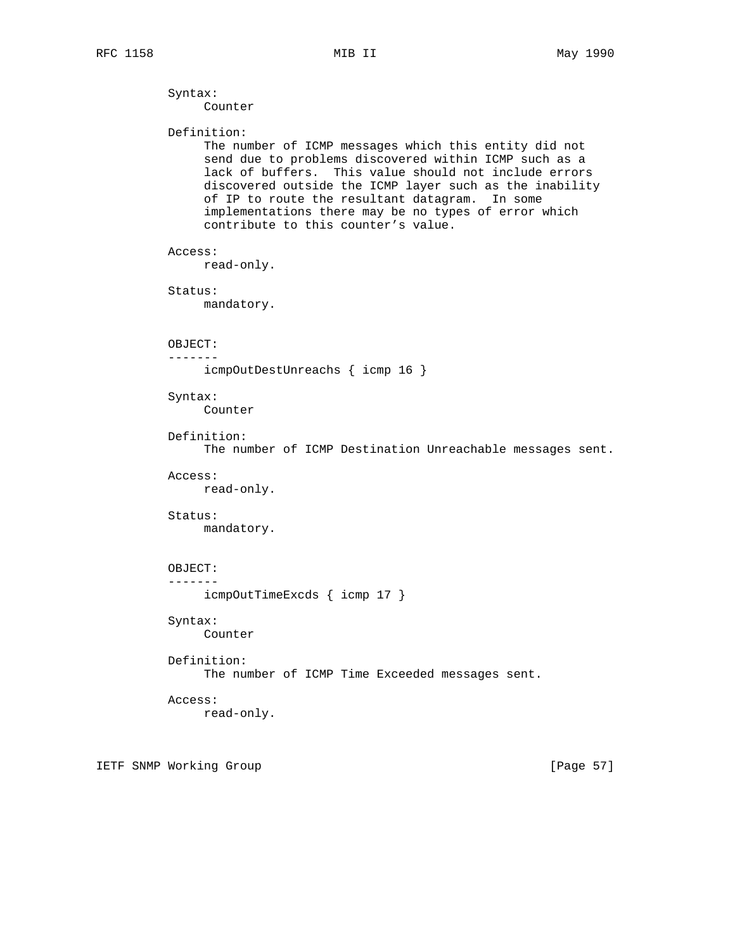Syntax:

```
 Counter
 Definition:
      The number of ICMP messages which this entity did not
      send due to problems discovered within ICMP such as a
      lack of buffers. This value should not include errors
      discovered outside the ICMP layer such as the inability
      of IP to route the resultant datagram. In some
      implementations there may be no types of error which
      contribute to this counter's value.
 Access:
     read-only.
 Status:
     mandatory.
 OBJECT:
 -------
     icmpOutDestUnreachs { icmp 16 }
 Syntax:
      Counter
 Definition:
      The number of ICMP Destination Unreachable messages sent.
 Access:
      read-only.
 Status:
      mandatory.
 OBJECT:
 -------
      icmpOutTimeExcds { icmp 17 }
 Syntax:
     Counter
 Definition:
      The number of ICMP Time Exceeded messages sent.
 Access:
     read-only.
```
IETF SNMP Working Group **Example 2018** [Page 57]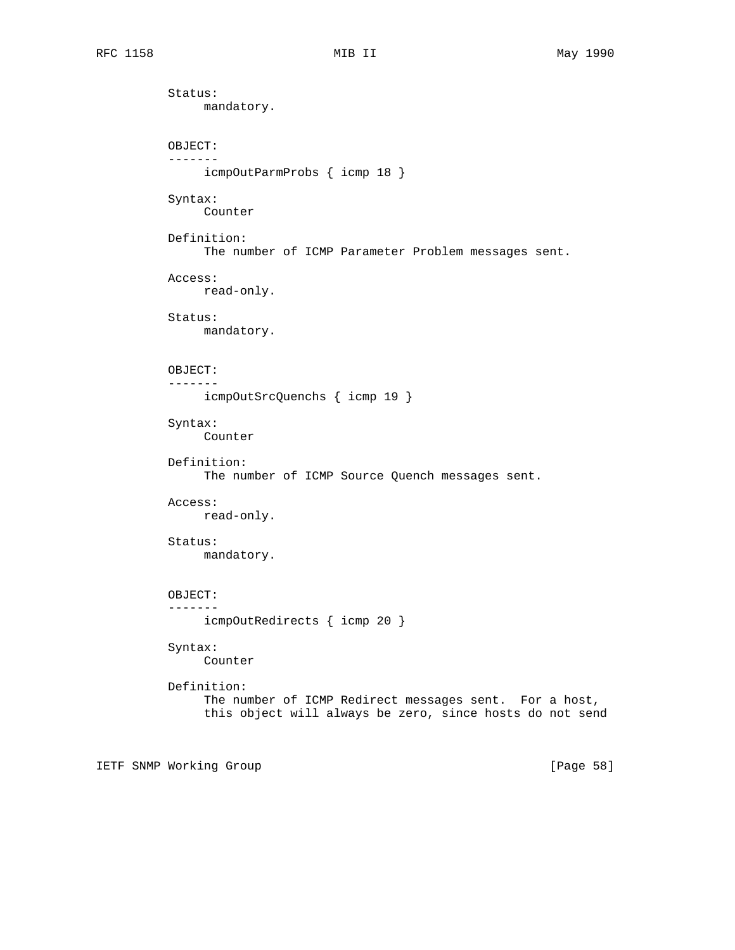Status: mandatory. OBJECT: ------ icmpOutParmProbs { icmp 18 } Syntax: Counter Definition: The number of ICMP Parameter Problem messages sent. Access: read-only. Status: mandatory. OBJECT: ------ icmpOutSrcQuenchs { icmp 19 } Syntax: Counter Definition: The number of ICMP Source Quench messages sent. Access: read-only. Status: mandatory. OBJECT: ------ icmpOutRedirects { icmp 20 } Syntax: Counter Definition: The number of ICMP Redirect messages sent. For a host, this object will always be zero, since hosts do not send

IETF SNMP Working Group **Example 2018** [Page 58]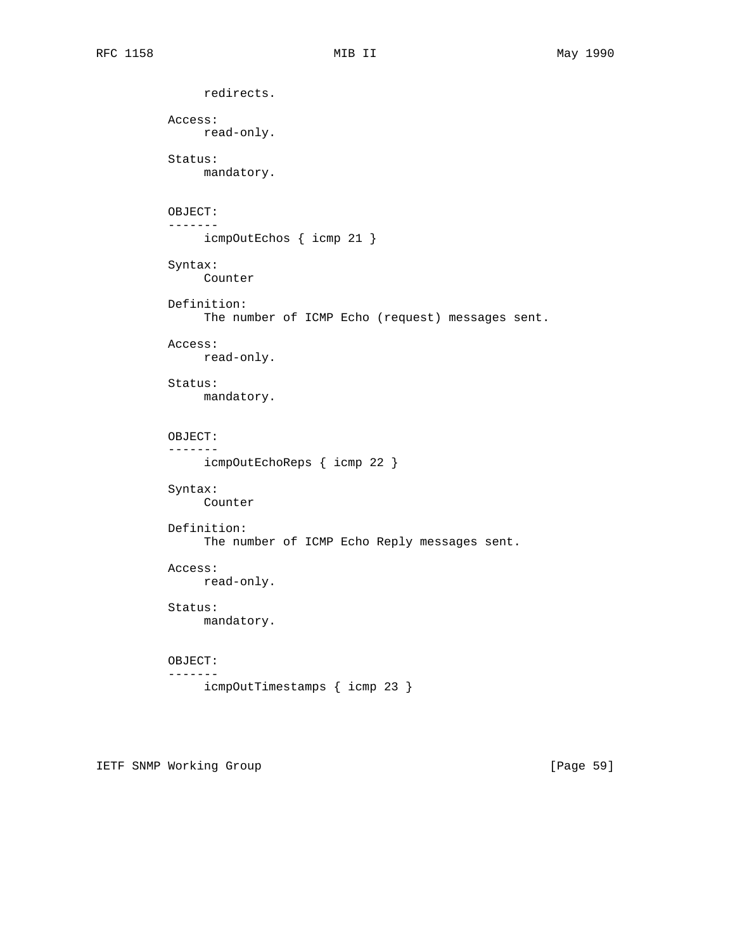```
 redirects.
 Access:
      read-only.
 Status:
     mandatory.
 OBJECT:
 -------
     icmpOutEchos { icmp 21 }
 Syntax:
     Counter
 Definition:
     The number of ICMP Echo (request) messages sent.
 Access:
     read-only.
 Status:
      mandatory.
 OBJECT:
 -------
      icmpOutEchoReps { icmp 22 }
 Syntax:
     Counter
 Definition:
      The number of ICMP Echo Reply messages sent.
 Access:
     read-only.
 Status:
     mandatory.
 OBJECT:
 -------
     icmpOutTimestamps { icmp 23 }
```
IETF SNMP Working Group **Example 2018** [Page 59]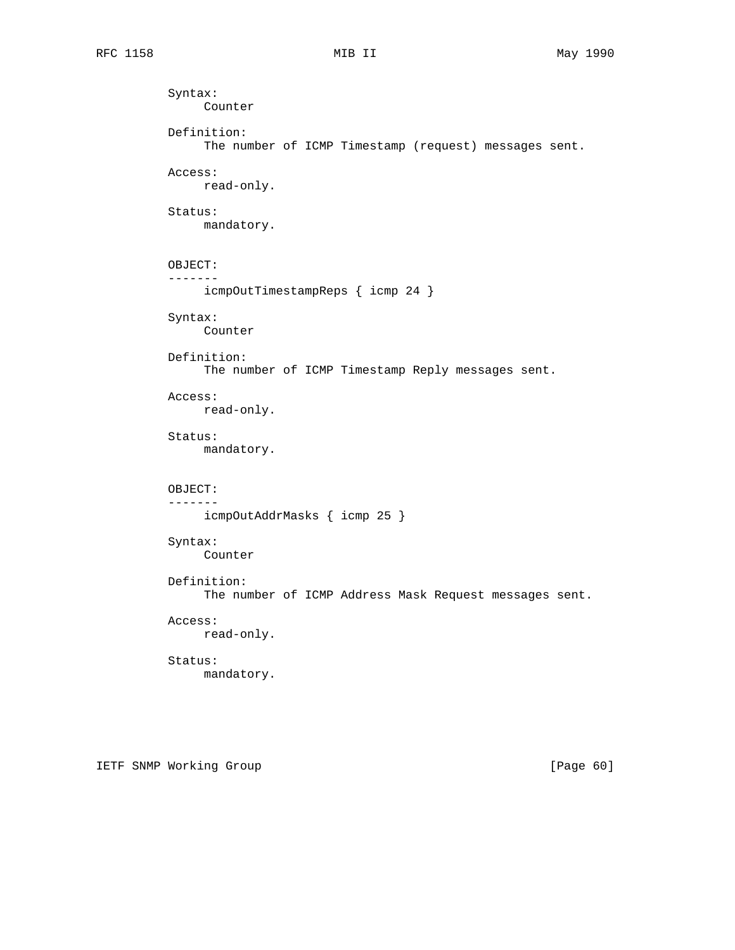```
 Syntax:
      Counter
 Definition:
      The number of ICMP Timestamp (request) messages sent.
 Access:
     read-only.
 Status:
      mandatory.
 OBJECT:
 -------
      icmpOutTimestampReps { icmp 24 }
 Syntax:
     Counter
 Definition:
      The number of ICMP Timestamp Reply messages sent.
 Access:
     read-only.
 Status:
      mandatory.
 OBJECT:
 -------
     icmpOutAddrMasks { icmp 25 }
 Syntax:
      Counter
 Definition:
      The number of ICMP Address Mask Request messages sent.
 Access:
     read-only.
 Status:
     mandatory.
```
IETF SNMP Working Group **Example 2018** [Page 60]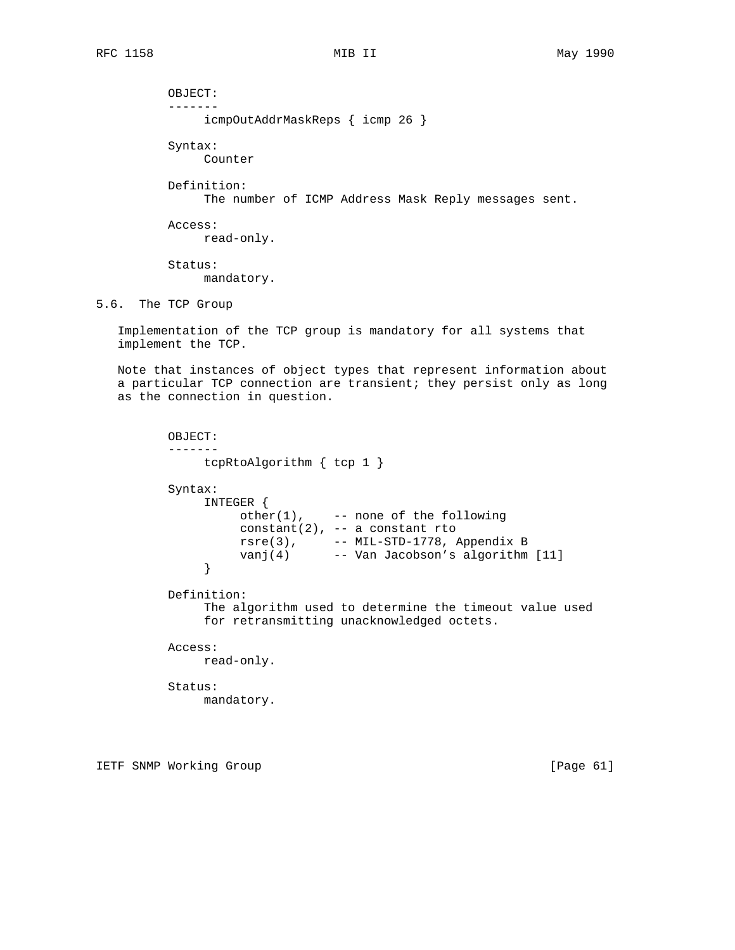OBJECT: ------ icmpOutAddrMaskReps { icmp 26 } Syntax: Counter Definition: The number of ICMP Address Mask Reply messages sent. Access: read-only. Status: mandatory. 5.6. The TCP Group

 Implementation of the TCP group is mandatory for all systems that implement the TCP.

 Note that instances of object types that represent information about a particular TCP connection are transient; they persist only as long as the connection in question.

```
 OBJECT:
          -------
             tcpRtoAlgorithm { tcp 1 }
         Syntax:
              INTEGER {
                 other(1), -- none of the following
                  constant(2), -- a constant rto
rsre(3),  -- MIL-STD-1778, Appendix B
 vanj(4) -- Van Jacobson's algorithm [11]
 }
         Definition:
              The algorithm used to determine the timeout value used
              for retransmitting unacknowledged octets.
         Access:
             read-only.
         Status:
             mandatory.
```
IETF SNMP Working Group **Example 2018** [Page 61]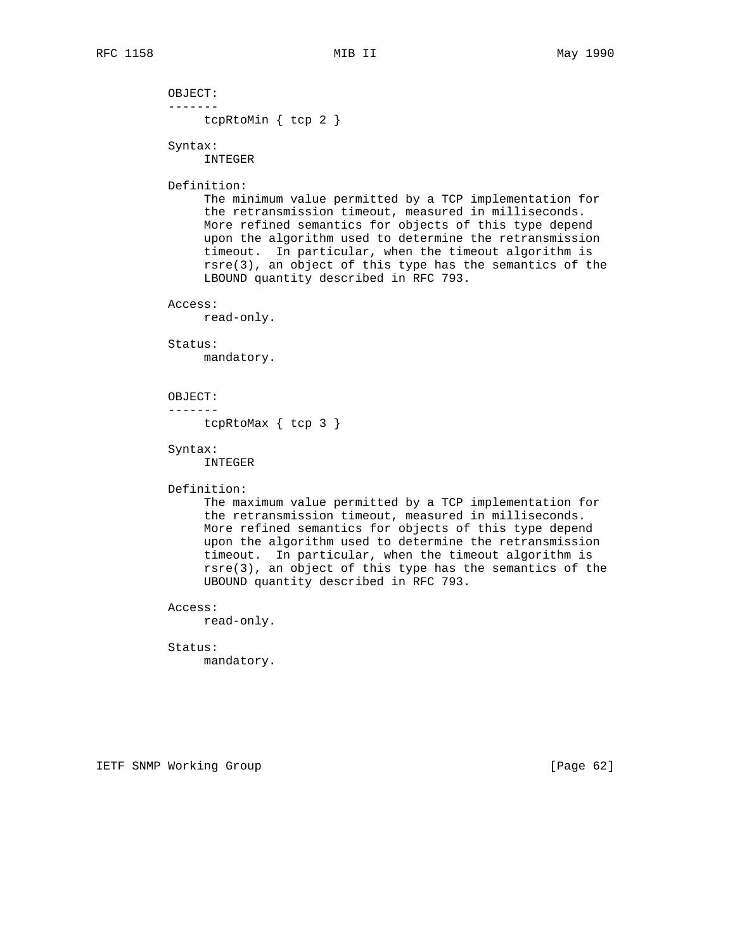OBJECT: ------ tcpRtoMin { tcp 2 }

Syntax:

INTEGER

### Definition:

 The minimum value permitted by a TCP implementation for the retransmission timeout, measured in milliseconds. More refined semantics for objects of this type depend upon the algorithm used to determine the retransmission timeout. In particular, when the timeout algorithm is rsre(3), an object of this type has the semantics of the LBOUND quantity described in RFC 793.

### Access:

read-only.

### Status:

mandatory.

#### OBJECT:

-------

tcpRtoMax { tcp 3 }

# Syntax:

INTEGER

## Definition:

 The maximum value permitted by a TCP implementation for the retransmission timeout, measured in milliseconds. More refined semantics for objects of this type depend upon the algorithm used to determine the retransmission timeout. In particular, when the timeout algorithm is rsre(3), an object of this type has the semantics of the UBOUND quantity described in RFC 793.

## Access:

read-only.

## Status:

mandatory.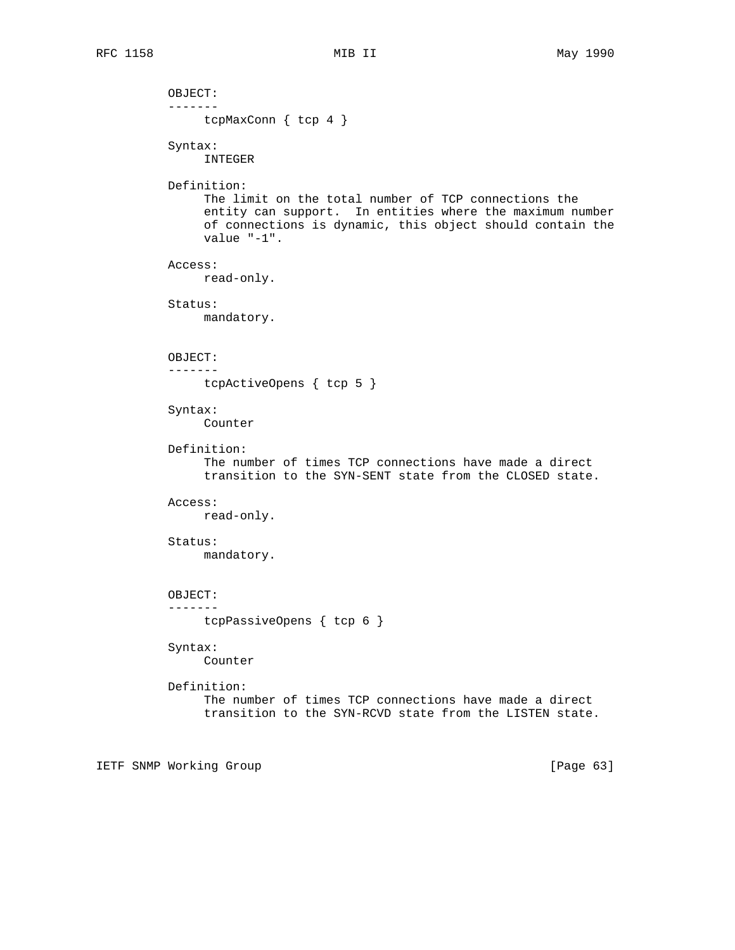OBJECT: ------ tcpMaxConn { tcp 4 } Syntax: INTEGER Definition: The limit on the total number of TCP connections the entity can support. In entities where the maximum number of connections is dynamic, this object should contain the value "-1". Access: read-only. Status: mandatory. OBJECT: ------ tcpActiveOpens { tcp 5 } Syntax: Counter Definition: The number of times TCP connections have made a direct transition to the SYN-SENT state from the CLOSED state. Access: read-only. Status: mandatory. OBJECT: ------ tcpPassiveOpens { tcp 6 } Syntax: Counter Definition: The number of times TCP connections have made a direct transition to the SYN-RCVD state from the LISTEN state.

IETF SNMP Working Group **Example 2018** [Page 63]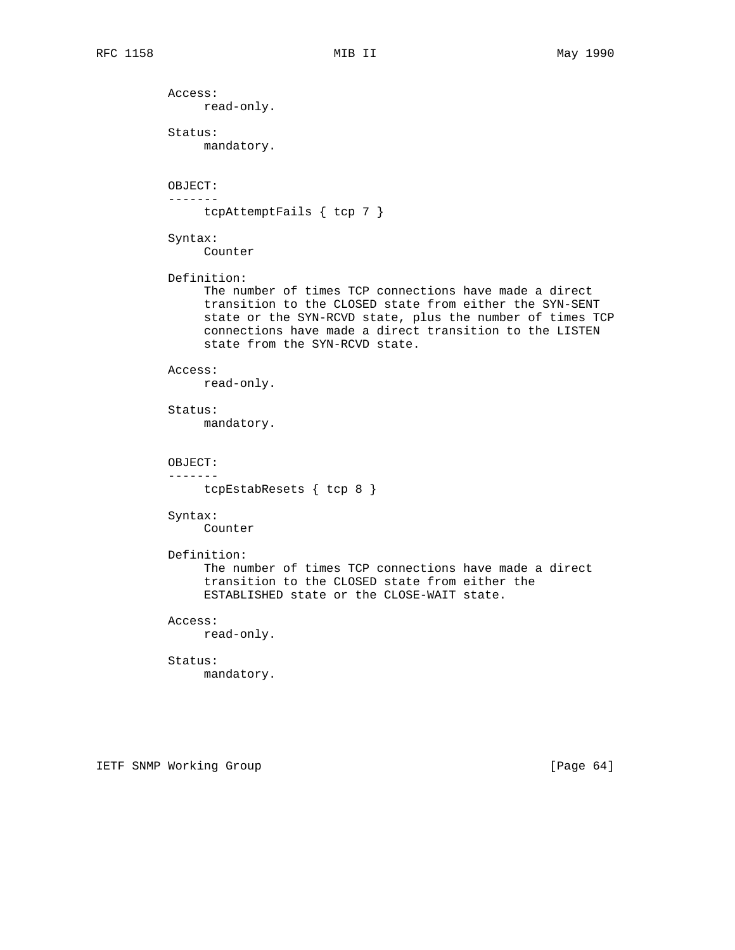Access: read-only. Status: mandatory. OBJECT: ------ tcpAttemptFails { tcp 7 } Syntax: Counter Definition: The number of times TCP connections have made a direct transition to the CLOSED state from either the SYN-SENT state or the SYN-RCVD state, plus the number of times TCP connections have made a direct transition to the LISTEN state from the SYN-RCVD state. Access: read-only. Status: mandatory. OBJECT: ------ tcpEstabResets { tcp 8 } Syntax: Counter Definition: The number of times TCP connections have made a direct transition to the CLOSED state from either the ESTABLISHED state or the CLOSE-WAIT state. Access: read-only. Status: mandatory.

IETF SNMP Working Group **Example 2018** [Page 64]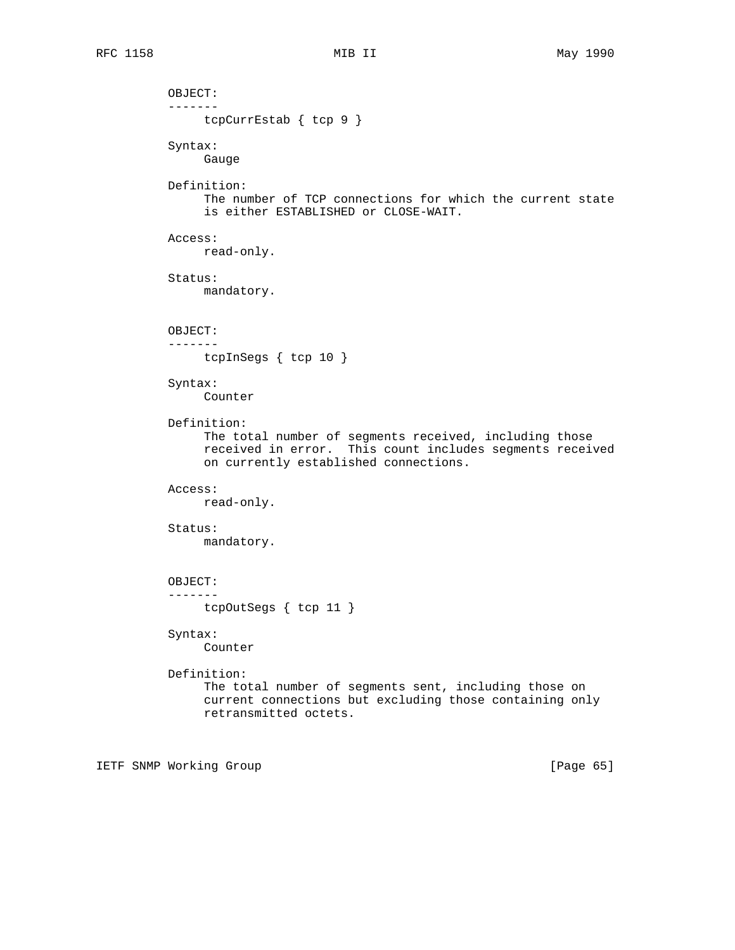```
 OBJECT:
 -------
     tcpCurrEstab { tcp 9 }
 Syntax:
      Gauge
 Definition:
      The number of TCP connections for which the current state
      is either ESTABLISHED or CLOSE-WAIT.
 Access:
     read-only.
 Status:
     mandatory.
 OBJECT:
 -------
     tcpInSegs { tcp 10 }
 Syntax:
      Counter
 Definition:
      The total number of segments received, including those
      received in error. This count includes segments received
      on currently established connections.
 Access:
     read-only.
 Status:
     mandatory.
 OBJECT:
 -------
     tcpOutSegs { tcp 11 }
 Syntax:
     Counter
 Definition:
      The total number of segments sent, including those on
      current connections but excluding those containing only
      retransmitted octets.
```
IETF SNMP Working Group **Example 2018** [Page 65]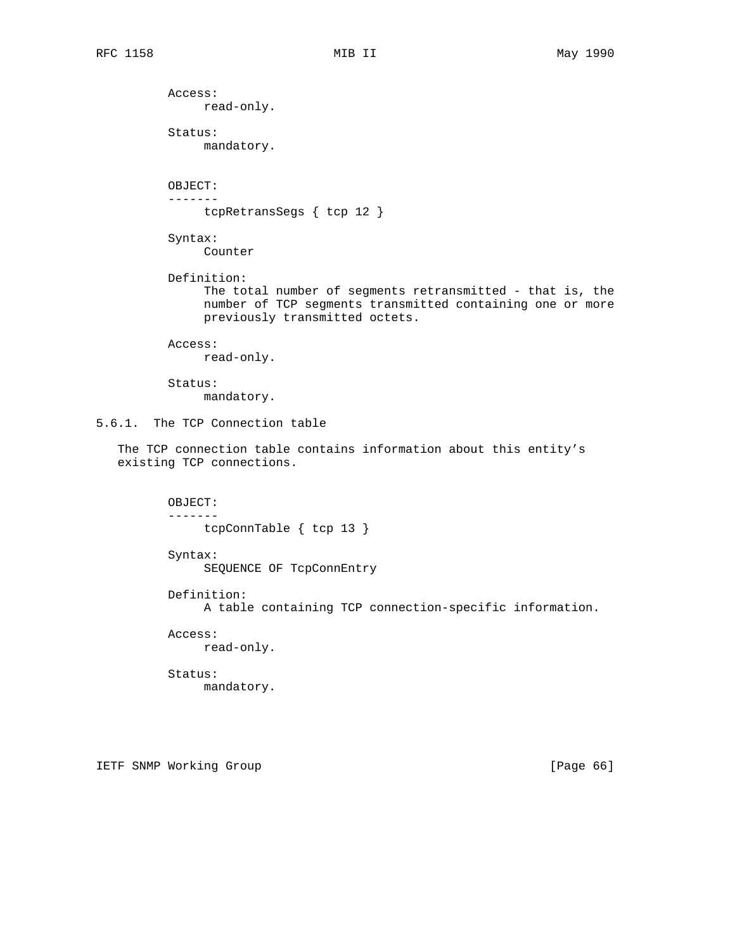Access: read-only. Status: mandatory. OBJECT: ------ tcpRetransSegs { tcp 12 } Syntax: Counter Definition: The total number of segments retransmitted - that is, the number of TCP segments transmitted containing one or more previously transmitted octets. Access: read-only. Status: mandatory. 5.6.1. The TCP Connection table The TCP connection table contains information about this entity's existing TCP connections. OBJECT: ------ tcpConnTable { tcp 13 } Syntax: SEQUENCE OF TcpConnEntry Definition: A table containing TCP connection-specific information. Access: read-only. Status: mandatory.

IETF SNMP Working Group and the state of the state of the state of the state of the state of the state of the state of the state of the state of the state of the state of the state of the state of the state of the state of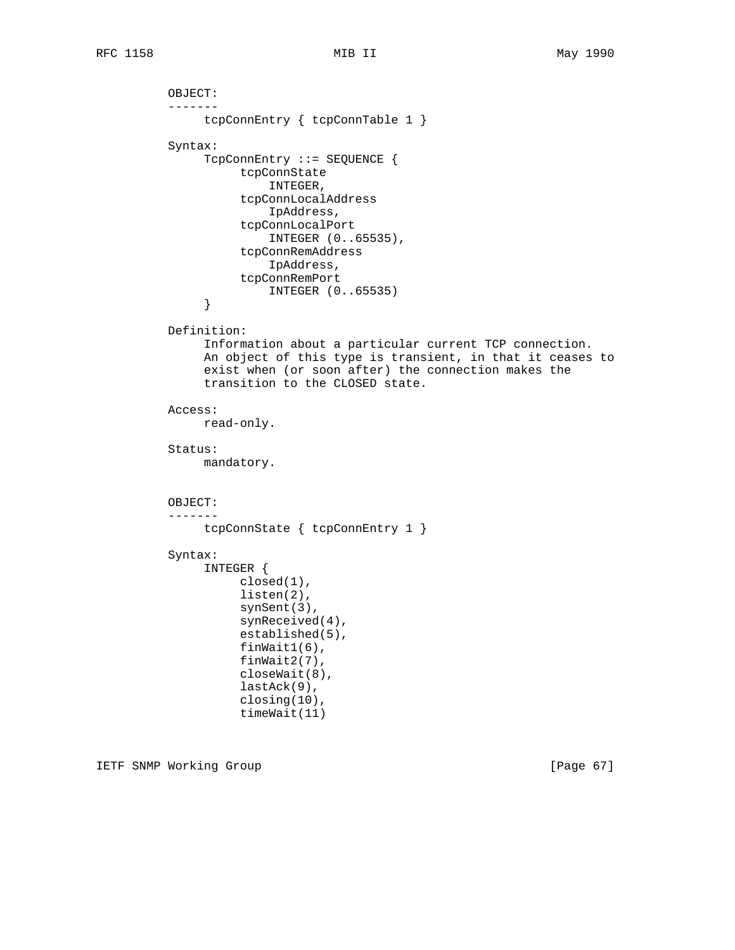```
 OBJECT:
           -------
                tcpConnEntry { tcpConnTable 1 }
           Syntax:
                TcpConnEntry ::= SEQUENCE {
                     tcpConnState
                         INTEGER,
                     tcpConnLocalAddress
                          IpAddress,
                     tcpConnLocalPort
                         INTEGER (0..65535),
                     tcpConnRemAddress
                         IpAddress,
                     tcpConnRemPort
               INTEGER (0..65535)
 }
           Definition:
                Information about a particular current TCP connection.
                An object of this type is transient, in that it ceases to
                exist when (or soon after) the connection makes the
                transition to the CLOSED state.
           Access:
                read-only.
           Status:
                mandatory.
           OBJECT:
           -------
                tcpConnState { tcpConnEntry 1 }
           Syntax:
                INTEGER {
                     closed(1),
                     listen(2),
                     synSent(3),
                     synReceived(4),
                     established(5),
                     finWait1(6),
                     finWait2(7),
                     closeWait(8),
                     lastAck(9),
                     closing(10),
                     timeWait(11)
```
IETF SNMP Working Group **Example 2018** [Page 67]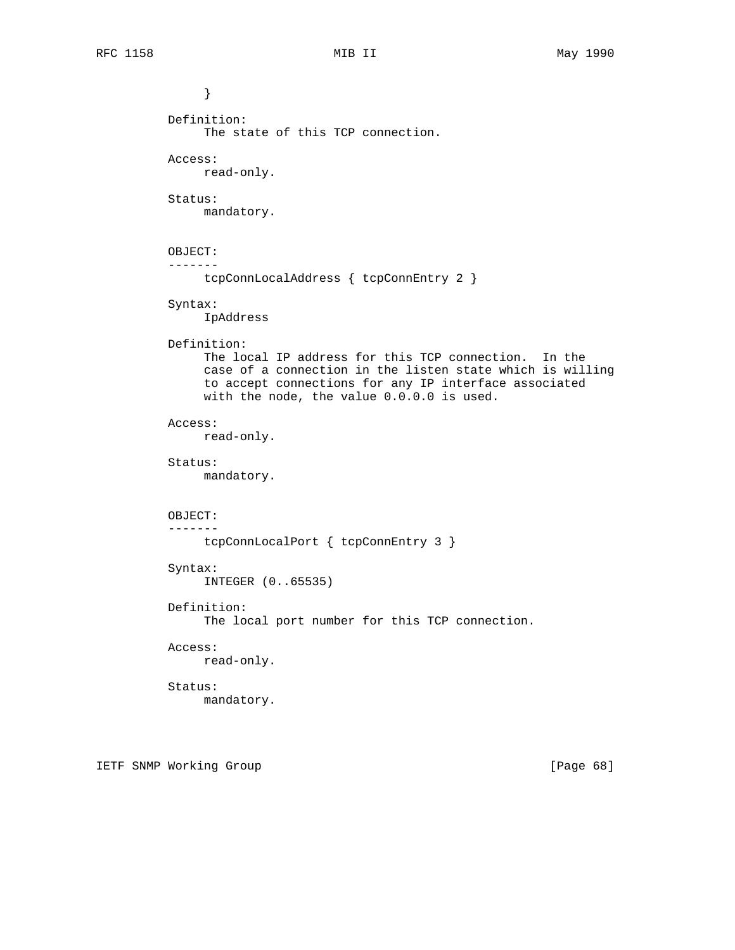```
 }
           Definition:
                The state of this TCP connection.
           Access:
               read-only.
           Status:
               mandatory.
           OBJECT:
           -------
               tcpConnLocalAddress { tcpConnEntry 2 }
           Syntax:
               IpAddress
           Definition:
                The local IP address for this TCP connection. In the
                case of a connection in the listen state which is willing
                to accept connections for any IP interface associated
                with the node, the value 0.0.0.0 is used.
           Access:
               read-only.
           Status:
               mandatory.
           OBJECT:
           -------
               tcpConnLocalPort { tcpConnEntry 3 }
           Syntax:
               INTEGER (0..65535)
           Definition:
                The local port number for this TCP connection.
           Access:
               read-only.
           Status:
               mandatory.
```
IETF SNMP Working Group **Example 2018** [Page 68]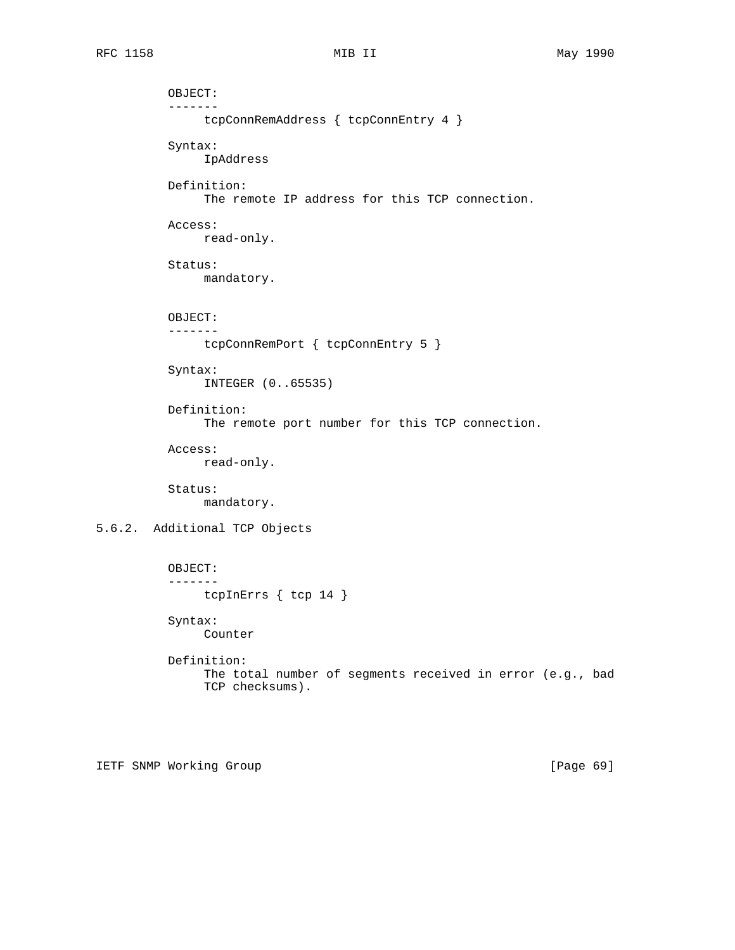```
 OBJECT:
           -------
                tcpConnRemAddress { tcpConnEntry 4 }
           Syntax:
                IpAddress
           Definition:
                The remote IP address for this TCP connection.
           Access:
                read-only.
           Status:
                mandatory.
           OBJECT:
           -------
                tcpConnRemPort { tcpConnEntry 5 }
           Syntax:
                INTEGER (0..65535)
           Definition:
                 The remote port number for this TCP connection.
           Access:
                read-only.
           Status:
                mandatory.
5.6.2. Additional TCP Objects
           OBJECT:
           -------
                tcpInErrs { tcp 14 }
           Syntax:
                Counter
           Definition:
                The total number of segments received in error (e.g., bad
                 TCP checksums).
```
IETF SNMP Working Group **Example 2018** [Page 69]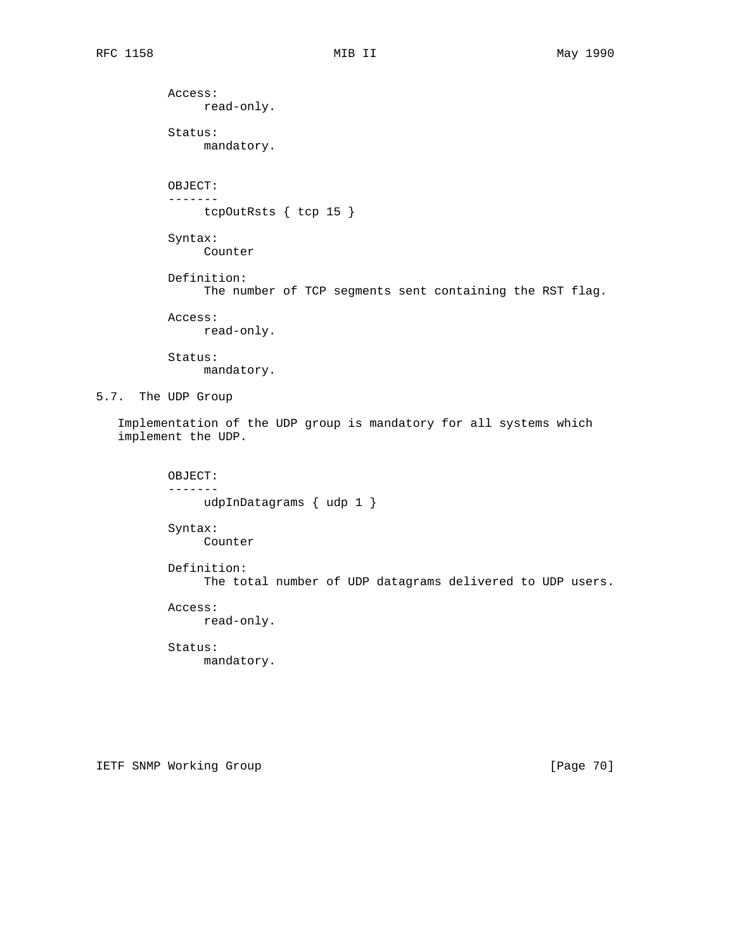Access: read-only. Status: mandatory. OBJECT: ------ tcpOutRsts { tcp 15 } Syntax: Counter Definition: The number of TCP segments sent containing the RST flag. Access: read-only. Status: mandatory. 5.7. The UDP Group Implementation of the UDP group is mandatory for all systems which implement the UDP. OBJECT: ------ udpInDatagrams { udp 1 } Syntax: Counter Definition: The total number of UDP datagrams delivered to UDP users.

> Access: read-only.

> Status: mandatory.

IETF SNMP Working Group **Example 2018** [Page 70]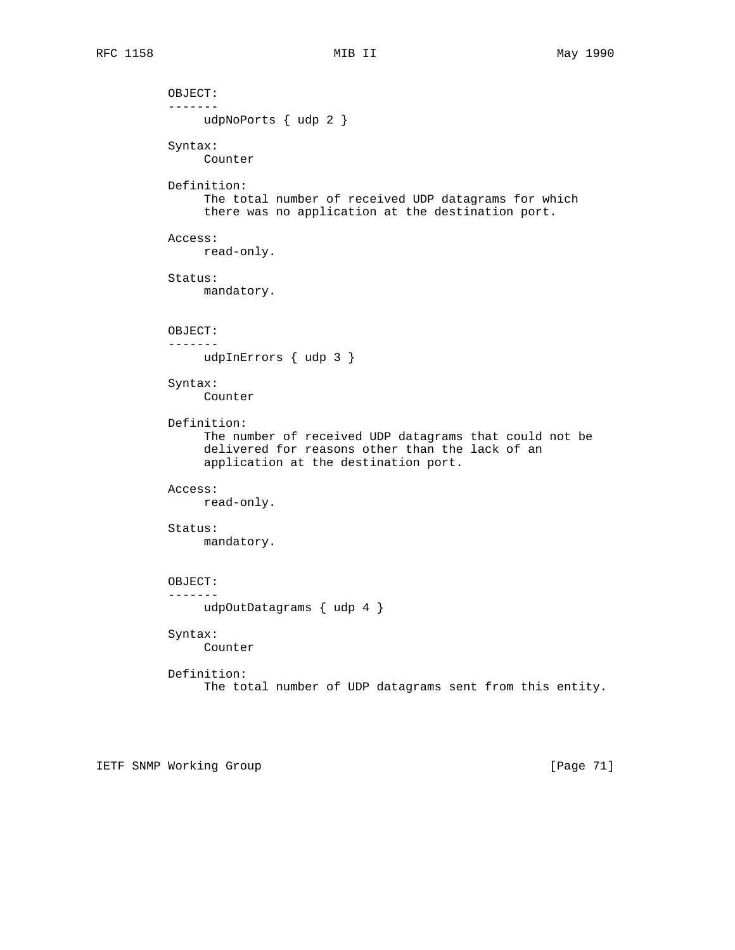OBJECT: ------ udpNoPorts { udp 2 } Syntax: Counter Definition: The total number of received UDP datagrams for which there was no application at the destination port. Access: read-only. Status: mandatory. OBJECT: ------ udpInErrors { udp 3 } Syntax: Counter Definition: The number of received UDP datagrams that could not be delivered for reasons other than the lack of an application at the destination port. Access: read-only. Status: mandatory. OBJECT: ------ udpOutDatagrams { udp 4 } Syntax: Counter Definition: The total number of UDP datagrams sent from this entity.

IETF SNMP Working Group [Page 71]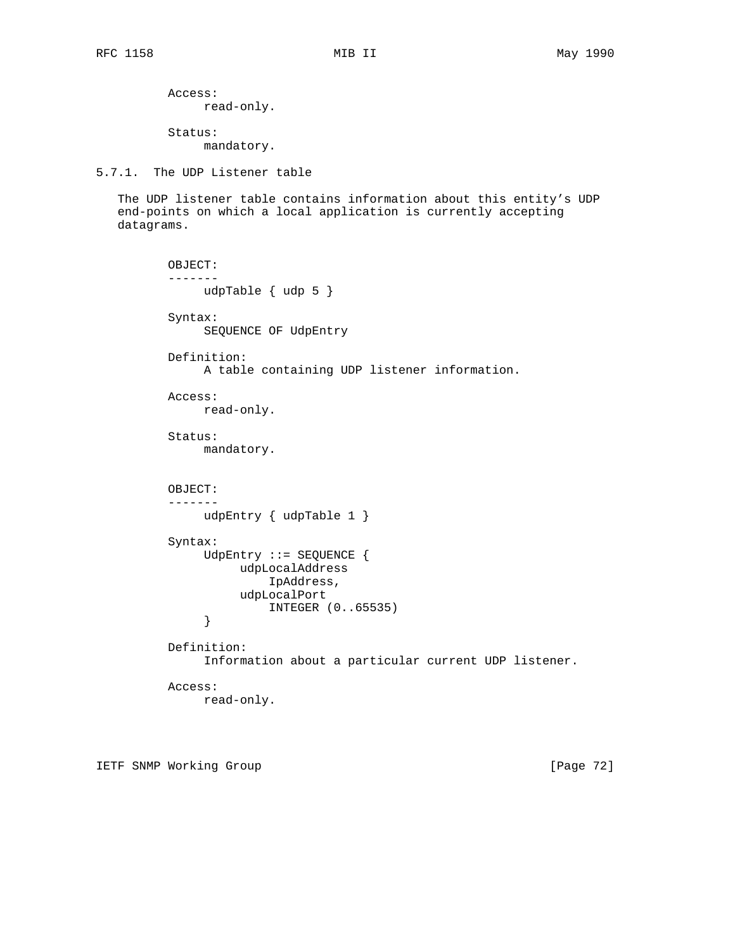Access: read-only.

 Status: mandatory.

5.7.1. The UDP Listener table

 The UDP listener table contains information about this entity's UDP end-points on which a local application is currently accepting datagrams.

```
 OBJECT:
           -------
               udpTable { udp 5 }
           Syntax:
                SEQUENCE OF UdpEntry
           Definition:
                A table containing UDP listener information.
           Access:
               read-only.
           Status:
                mandatory.
           OBJECT:
           -------
               udpEntry { udpTable 1 }
           Syntax:
                UdpEntry ::= SEQUENCE {
                    udpLocalAddress
                         IpAddress,
                    udpLocalPort
               INTEGER (0..65535)
 }
           Definition:
                Information about a particular current UDP listener.
           Access:
                read-only.
```
IETF SNMP Working Group [Page 72]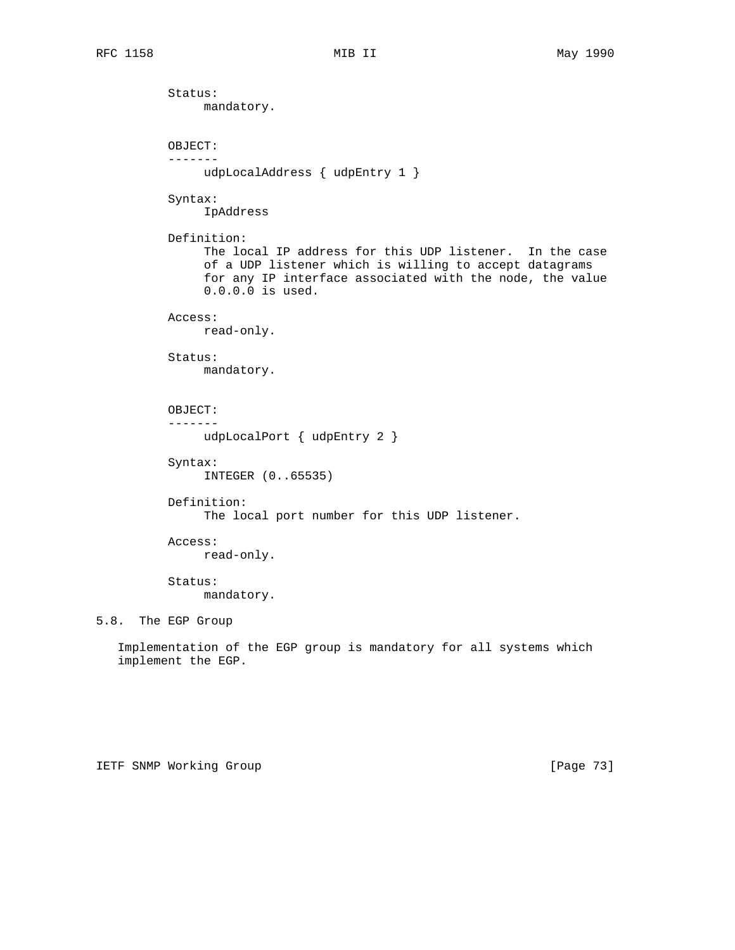Status: mandatory. OBJECT: ------ udpLocalAddress { udpEntry 1 } Syntax: IpAddress Definition: The local IP address for this UDP listener. In the case of a UDP listener which is willing to accept datagrams for any IP interface associated with the node, the value 0.0.0.0 is used. Access: read-only. Status: mandatory. OBJECT: ------ udpLocalPort { udpEntry 2 } Syntax: INTEGER (0..65535) Definition: The local port number for this UDP listener. Access: read-only. Status: mandatory. 5.8. The EGP Group Implementation of the EGP group is mandatory for all systems which implement the EGP.

IETF SNMP Working Group **Example 2018** [Page 73]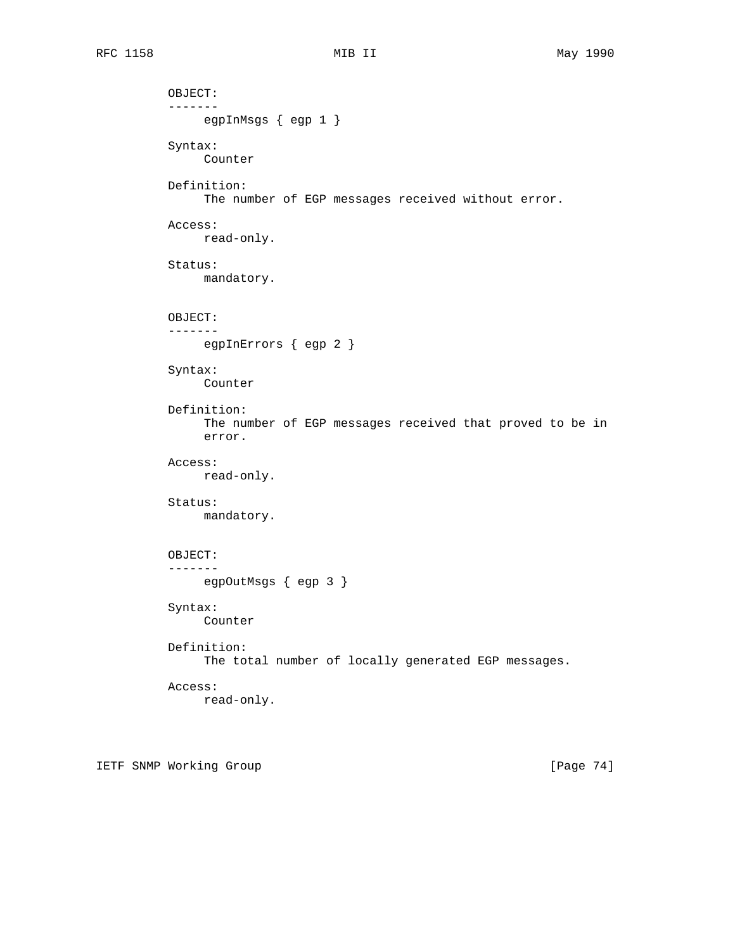OBJECT: ------ egpInMsgs { egp 1 } Syntax: Counter Definition: The number of EGP messages received without error. Access: read-only. Status: mandatory. OBJECT: ------ egpInErrors { egp 2 } Syntax: Counter Definition: The number of EGP messages received that proved to be in error. Access: read-only. Status: mandatory. OBJECT: ------ egpOutMsgs { egp 3 } Syntax: Counter Definition: The total number of locally generated EGP messages. Access: read-only.

IETF SNMP Working Group **Example 2018** [Page 74]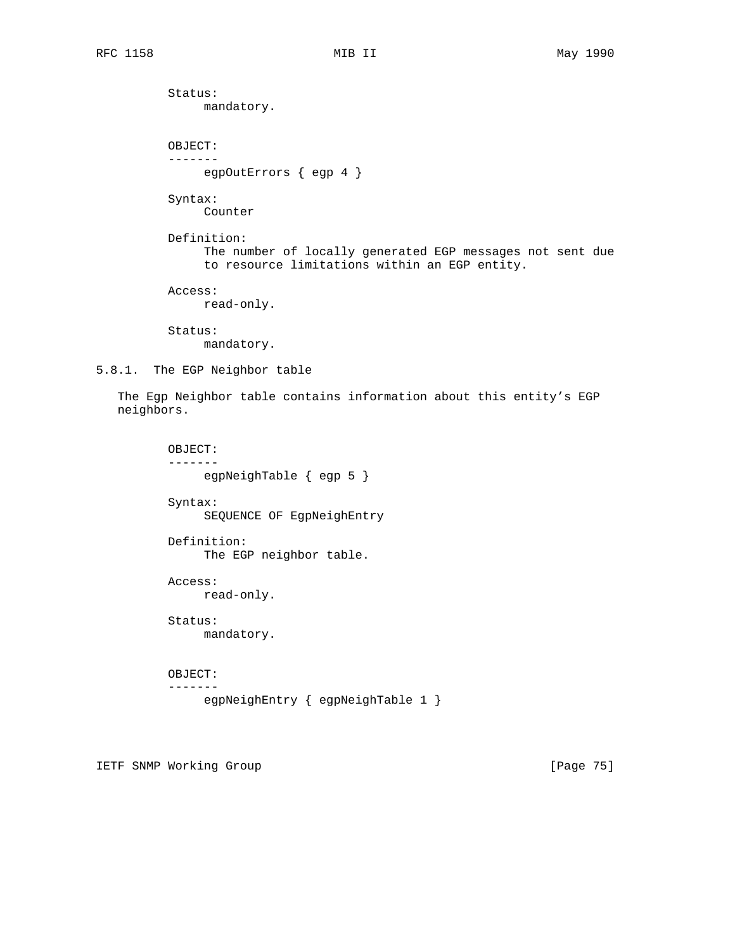Status: mandatory. OBJECT: ------ egpOutErrors { egp 4 } Syntax: Counter Definition: The number of locally generated EGP messages not sent due to resource limitations within an EGP entity. Access: read-only. Status: mandatory. 5.8.1. The EGP Neighbor table

 The Egp Neighbor table contains information about this entity's EGP neighbors.

```
 OBJECT:
 -------
      egpNeighTable { egp 5 }
 Syntax:
      SEQUENCE OF EgpNeighEntry
 Definition:
      The EGP neighbor table.
 Access:
      read-only.
 Status:
     mandatory.
 OBJECT:
 -------
      egpNeighEntry { egpNeighTable 1 }
```
IETF SNMP Working Group **Example 2018** [Page 75]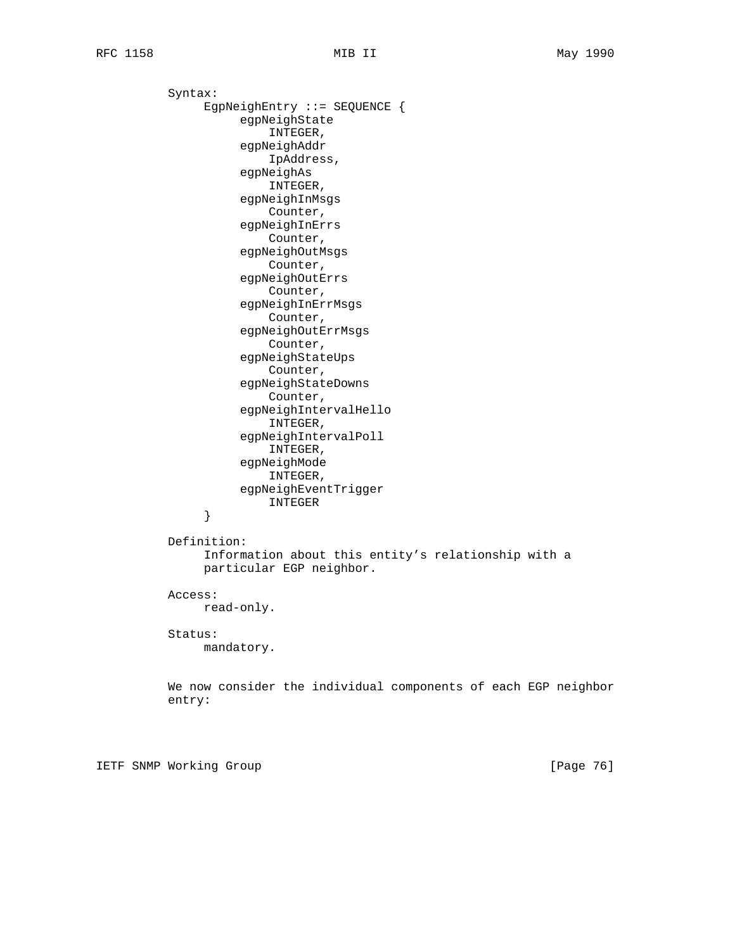Syntax: EgpNeighEntry ::= SEQUENCE { egpNeighState INTEGER, egpNeighAddr IpAddress, egpNeighAs INTEGER, egpNeighInMsgs Counter, egpNeighInErrs Counter, egpNeighOutMsgs Counter, egpNeighOutErrs Counter, egpNeighInErrMsgs Counter, egpNeighOutErrMsgs Counter, egpNeighStateUps Counter, egpNeighStateDowns Counter, egpNeighIntervalHello INTEGER, egpNeighIntervalPoll INTEGER, egpNeighMode INTEGER, egpNeighEventTrigger INTEGER } Definition: Information about this entity's relationship with a particular EGP neighbor. Access: read-only. Status: mandatory. We now consider the individual components of each EGP neighbor entry:

IETF SNMP Working Group **Example 2018** [Page 76]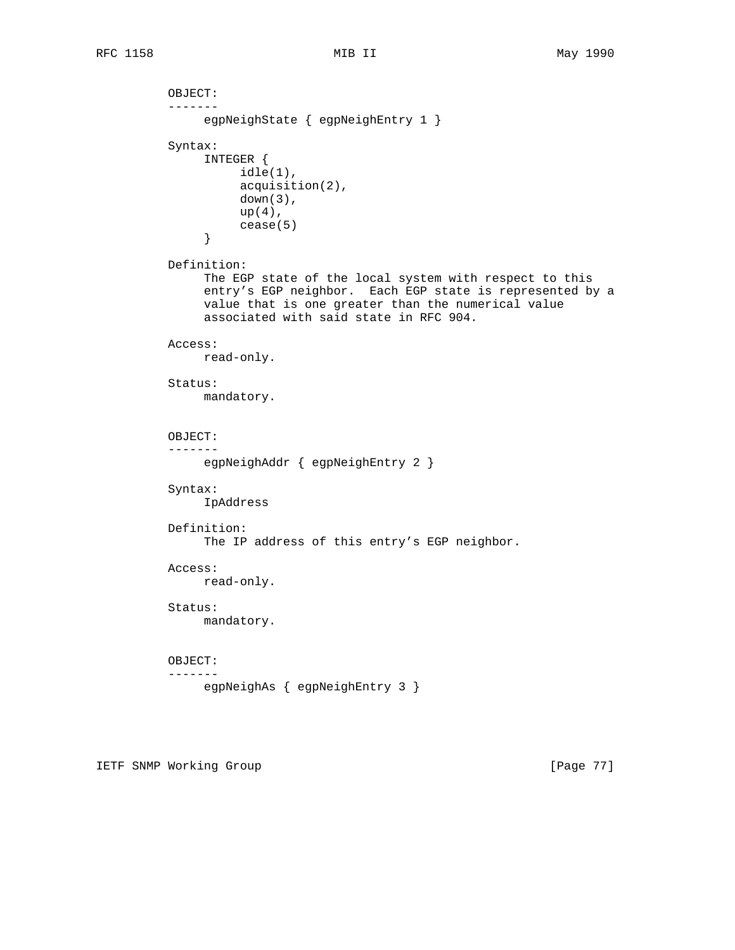```
 OBJECT:
           -------
                egpNeighState { egpNeighEntry 1 }
           Syntax:
                INTEGER {
                    idle(1),
                     acquisition(2),
                     down(3),
                    up(4),
               cease(5)
 }
           Definition:
                The EGP state of the local system with respect to this
                entry's EGP neighbor. Each EGP state is represented by a
                value that is one greater than the numerical value
                associated with said state in RFC 904.
           Access:
               read-only.
           Status:
               mandatory.
           OBJECT:
           -------
               egpNeighAddr { egpNeighEntry 2 }
           Syntax:
                IpAddress
           Definition:
               The IP address of this entry's EGP neighbor.
           Access:
               read-only.
           Status:
               mandatory.
          OBJECT:
           -------
              egpNeighAs { egpNeighEntry 3 }
```
IETF SNMP Working Group **Example 2018** [Page 77]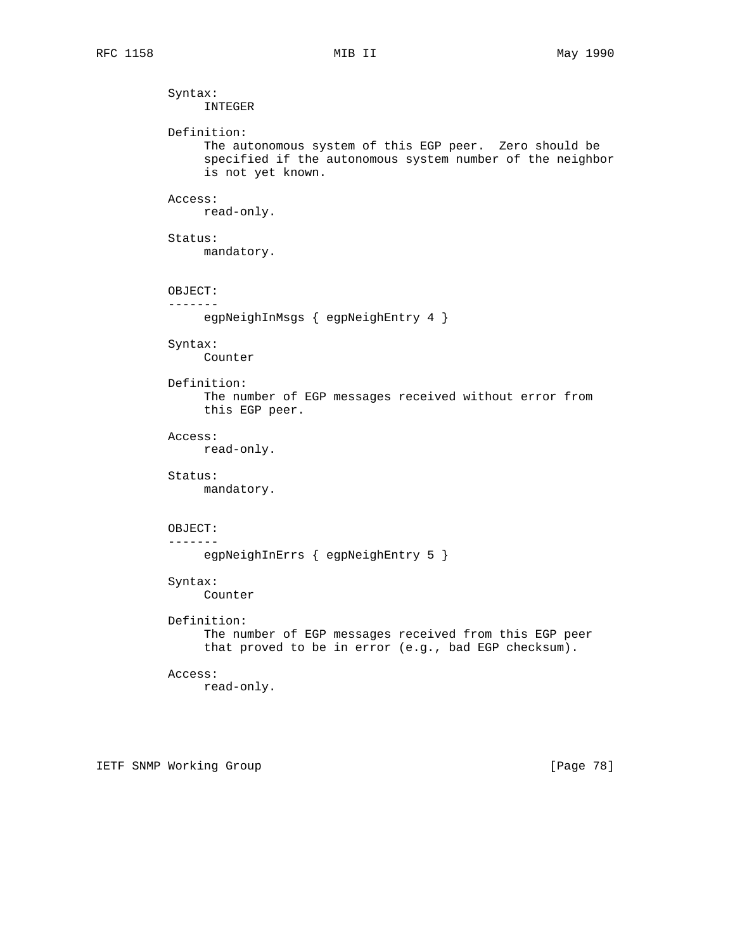Syntax: INTEGER Definition: The autonomous system of this EGP peer. Zero should be specified if the autonomous system number of the neighbor is not yet known. Access: read-only. Status: mandatory. OBJECT: ------ egpNeighInMsgs { egpNeighEntry 4 } Syntax: Counter Definition: The number of EGP messages received without error from this EGP peer. Access: read-only. Status: mandatory. OBJECT: ------ egpNeighInErrs { egpNeighEntry 5 } Syntax: Counter Definition: The number of EGP messages received from this EGP peer that proved to be in error (e.g., bad EGP checksum). Access: read-only.

IETF SNMP Working Group **Example 2018** [Page 78]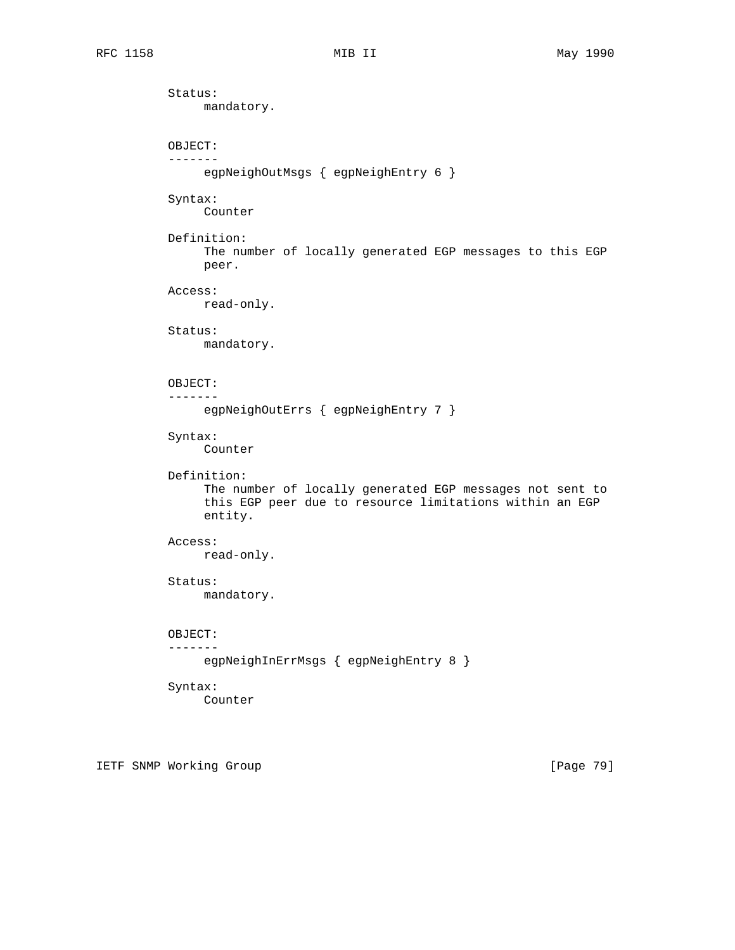Status: mandatory. OBJECT: ------ egpNeighOutMsgs { egpNeighEntry 6 } Syntax: Counter Definition: The number of locally generated EGP messages to this EGP peer. Access: read-only. Status: mandatory. OBJECT: ------ egpNeighOutErrs { egpNeighEntry 7 } Syntax: Counter Definition: The number of locally generated EGP messages not sent to this EGP peer due to resource limitations within an EGP entity. Access: read-only. Status: mandatory. OBJECT: ------ egpNeighInErrMsgs { egpNeighEntry 8 } Syntax: Counter

IETF SNMP Working Group **Example 2018** [Page 79]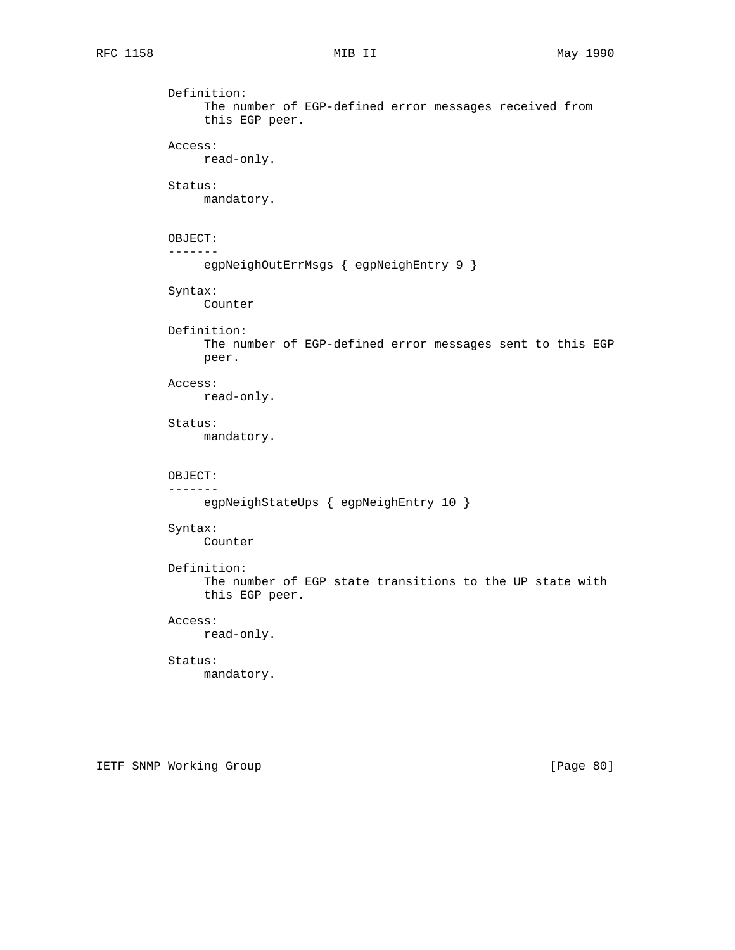Definition: The number of EGP-defined error messages received from this EGP peer. Access: read-only. Status: mandatory. OBJECT: ------ egpNeighOutErrMsgs { egpNeighEntry 9 } Syntax: Counter Definition: The number of EGP-defined error messages sent to this EGP peer. Access: read-only. Status: mandatory. OBJECT: ------ egpNeighStateUps { egpNeighEntry 10 } Syntax: Counter Definition: The number of EGP state transitions to the UP state with this EGP peer. Access: read-only. Status: mandatory.

IETF SNMP Working Group **Example 2018** [Page 80]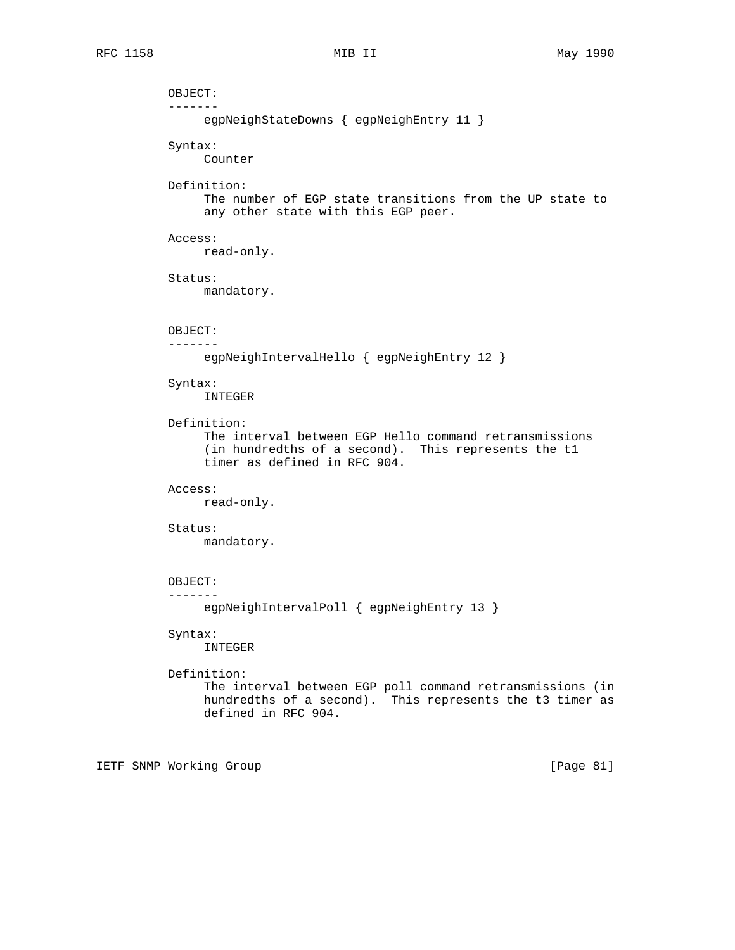OBJECT: ------ egpNeighStateDowns { egpNeighEntry 11 } Syntax: Counter Definition: The number of EGP state transitions from the UP state to any other state with this EGP peer. Access: read-only. Status: mandatory. OBJECT: ------ egpNeighIntervalHello { egpNeighEntry 12 } Syntax: INTEGER Definition: The interval between EGP Hello command retransmissions (in hundredths of a second). This represents the t1 timer as defined in RFC 904. Access: read-only. Status: mandatory. OBJECT: ------ egpNeighIntervalPoll { egpNeighEntry 13 } Syntax: INTEGER Definition: The interval between EGP poll command retransmissions (in hundredths of a second). This represents the t3 timer as defined in RFC 904.

IETF SNMP Working Group **Example 2018** [Page 81]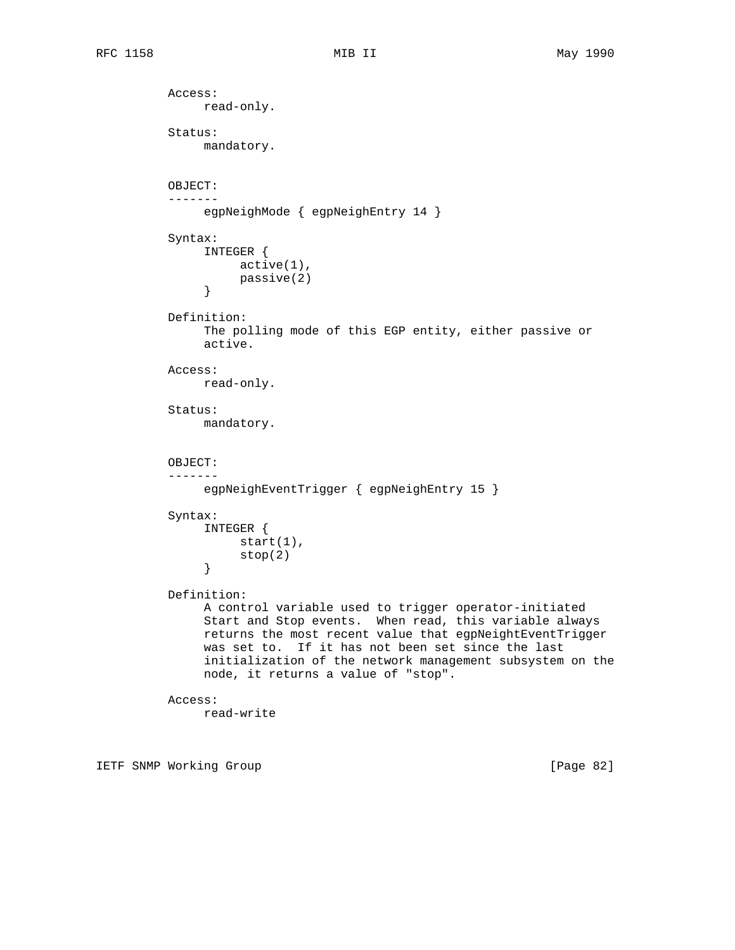```
 Access:
                read-only.
           Status:
                mandatory.
           OBJECT:
           -------
                egpNeighMode { egpNeighEntry 14 }
           Syntax:
                 INTEGER {
                 active(1),
                passive(2)<br>}
 }
           Definition:
                 The polling mode of this EGP entity, either passive or
                 active.
           Access:
                read-only.
           Status:
                mandatory.
           OBJECT:
           -------
                egpNeighEventTrigger { egpNeighEntry 15 }
           Syntax:
                 INTEGER {
                     start(1),
                \left. \begin{array}{c} \texttt{stop(2)} \\ \texttt{)} \end{array} \right. }
           Definition:
                 A control variable used to trigger operator-initiated
                 Start and Stop events. When read, this variable always
                 returns the most recent value that egpNeightEventTrigger
                 was set to. If it has not been set since the last
                 initialization of the network management subsystem on the
                node, it returns a value of "stop".
           Access:
                read-write
```
IETF SNMP Working Group **Example 2018** [Page 82]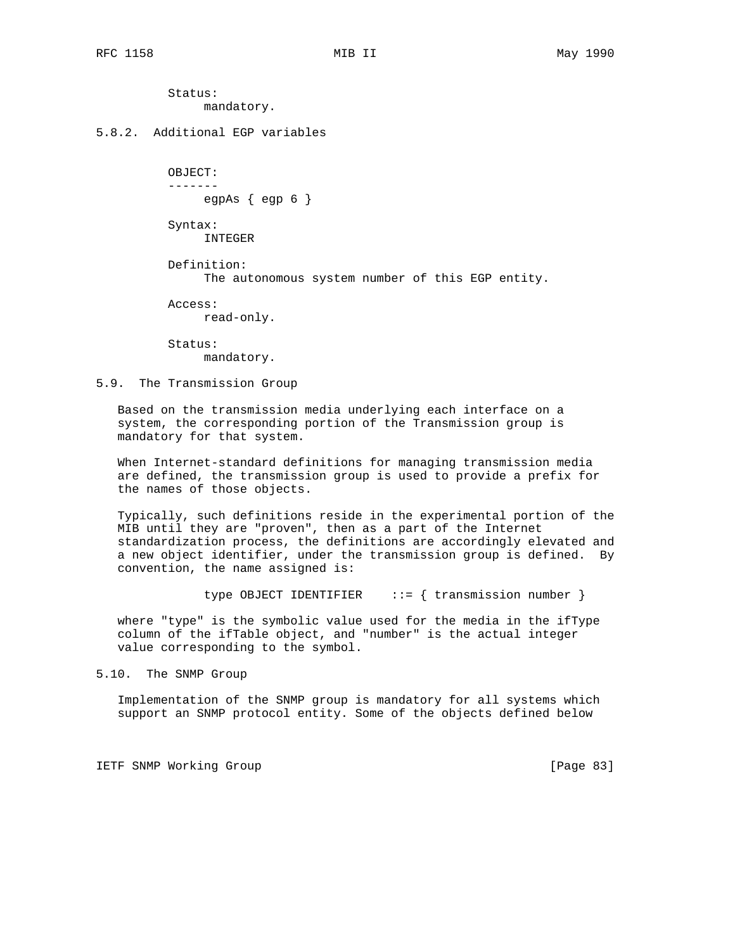Status: mandatory.

## 5.8.2. Additional EGP variables

 OBJECT: ------ egpAs  $\{$  egp  $6 \}$ 

 Syntax: INTEGER

 Definition: The autonomous system number of this EGP entity.

Access:

read-only.

 Status: mandatory.

## 5.9. The Transmission Group

 Based on the transmission media underlying each interface on a system, the corresponding portion of the Transmission group is mandatory for that system.

 When Internet-standard definitions for managing transmission media are defined, the transmission group is used to provide a prefix for the names of those objects.

 Typically, such definitions reside in the experimental portion of the MIB until they are "proven", then as a part of the Internet standardization process, the definitions are accordingly elevated and a new object identifier, under the transmission group is defined. By convention, the name assigned is:

type OBJECT IDENTIFIER  $::=$  { transmission number }

 where "type" is the symbolic value used for the media in the ifType column of the ifTable object, and "number" is the actual integer value corresponding to the symbol.

5.10. The SNMP Group

 Implementation of the SNMP group is mandatory for all systems which support an SNMP protocol entity. Some of the objects defined below

IETF SNMP Working Group **Example 2018** [Page 83]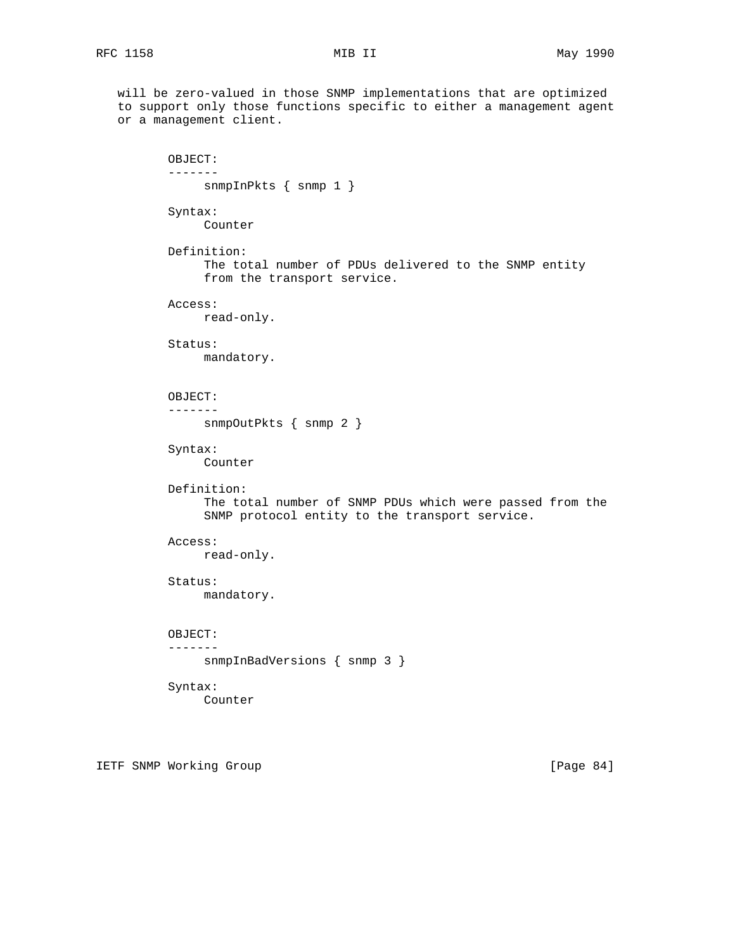will be zero-valued in those SNMP implementations that are optimized to support only those functions specific to either a management agent or a management client. OBJECT: ------ snmpInPkts { snmp 1 } Syntax: Counter Definition: The total number of PDUs delivered to the SNMP entity from the transport service. Access: read-only. Status: mandatory. OBJECT: ------ snmpOutPkts { snmp 2 } Syntax: Counter Definition: The total number of SNMP PDUs which were passed from the SNMP protocol entity to the transport service. Access: read-only. Status: mandatory. OBJECT: ------ snmpInBadVersions { snmp 3 } Syntax: Counter

IETF SNMP Working Group **Example 2018** [Page 84]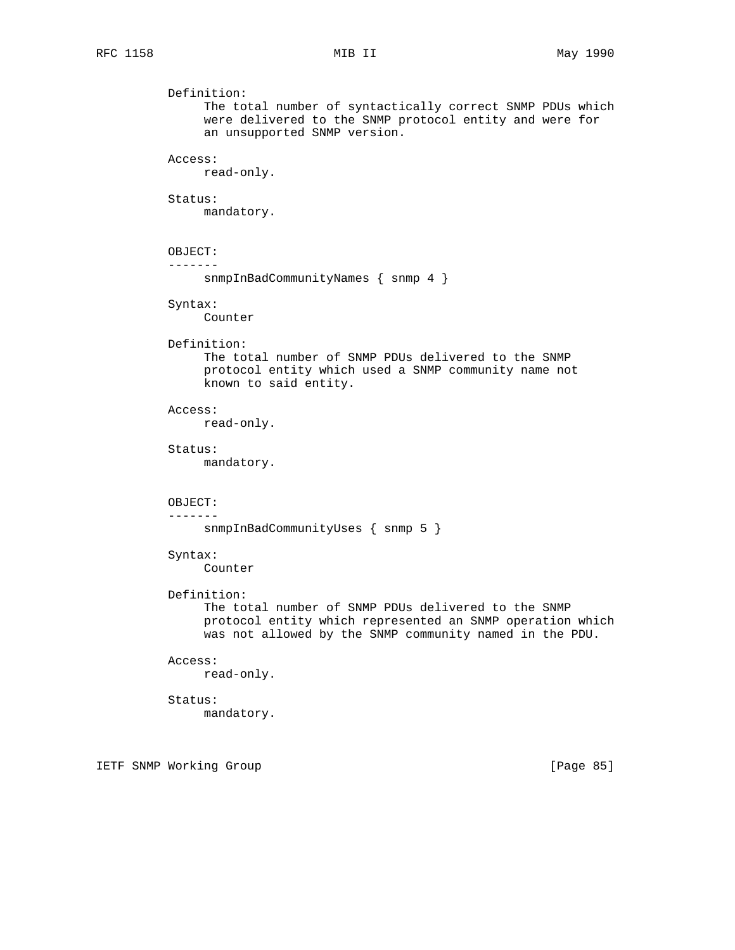Definition: The total number of syntactically correct SNMP PDUs which were delivered to the SNMP protocol entity and were for an unsupported SNMP version. Access: read-only. Status: mandatory. OBJECT: ------ snmpInBadCommunityNames { snmp 4 } Syntax: Counter Definition: The total number of SNMP PDUs delivered to the SNMP protocol entity which used a SNMP community name not known to said entity. Access: read-only. Status: mandatory. OBJECT: ------ snmpInBadCommunityUses { snmp 5 } Syntax: Counter Definition: The total number of SNMP PDUs delivered to the SNMP protocol entity which represented an SNMP operation which was not allowed by the SNMP community named in the PDU. Access: read-only. Status: mandatory.

IETF SNMP Working Group **Example 2018** [Page 85]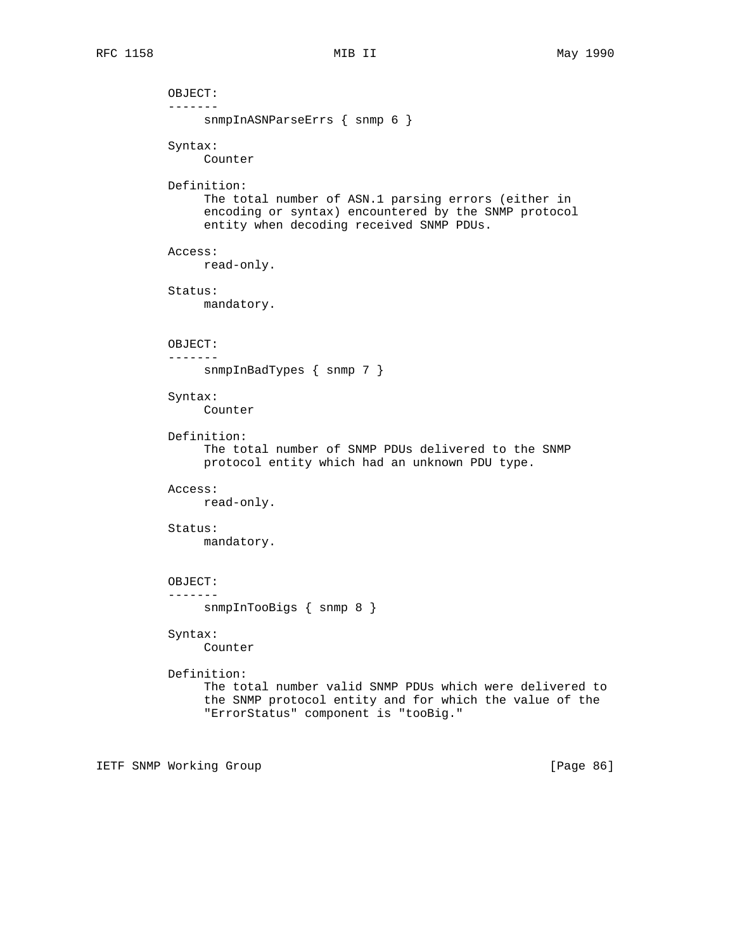OBJECT: ------ snmpInASNParseErrs { snmp 6 } Syntax: Counter Definition: The total number of ASN.1 parsing errors (either in encoding or syntax) encountered by the SNMP protocol entity when decoding received SNMP PDUs. Access: read-only. Status: mandatory. OBJECT: ------ snmpInBadTypes { snmp 7 } Syntax: Counter Definition: The total number of SNMP PDUs delivered to the SNMP protocol entity which had an unknown PDU type. Access: read-only. Status: mandatory. OBJECT: ------ snmpInTooBigs { snmp 8 } Syntax: Counter Definition: The total number valid SNMP PDUs which were delivered to the SNMP protocol entity and for which the value of the "ErrorStatus" component is "tooBig."

IETF SNMP Working Group **Example 2018** [Page 86]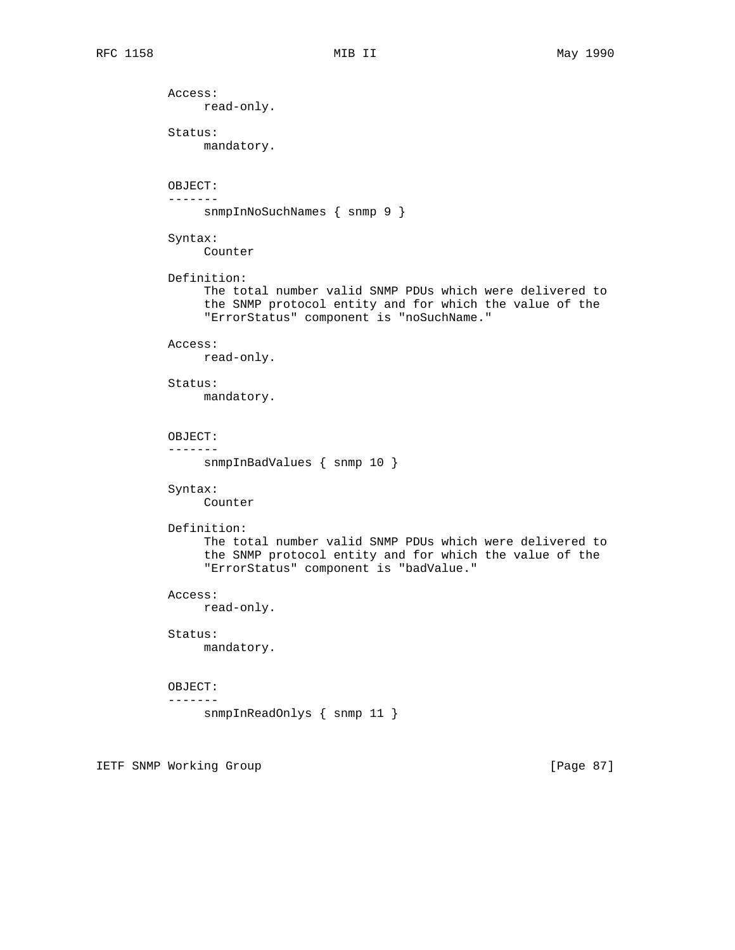Access: read-only. Status: mandatory. OBJECT: ------ snmpInNoSuchNames { snmp 9 } Syntax: Counter Definition: The total number valid SNMP PDUs which were delivered to the SNMP protocol entity and for which the value of the "ErrorStatus" component is "noSuchName." Access: read-only. Status: mandatory. OBJECT: ------ snmpInBadValues { snmp 10 } Syntax: Counter Definition: The total number valid SNMP PDUs which were delivered to the SNMP protocol entity and for which the value of the "ErrorStatus" component is "badValue." Access: read-only. Status: mandatory. OBJECT: ------ snmpInReadOnlys { snmp 11 }

IETF SNMP Working Group **Example 2018** [Page 87]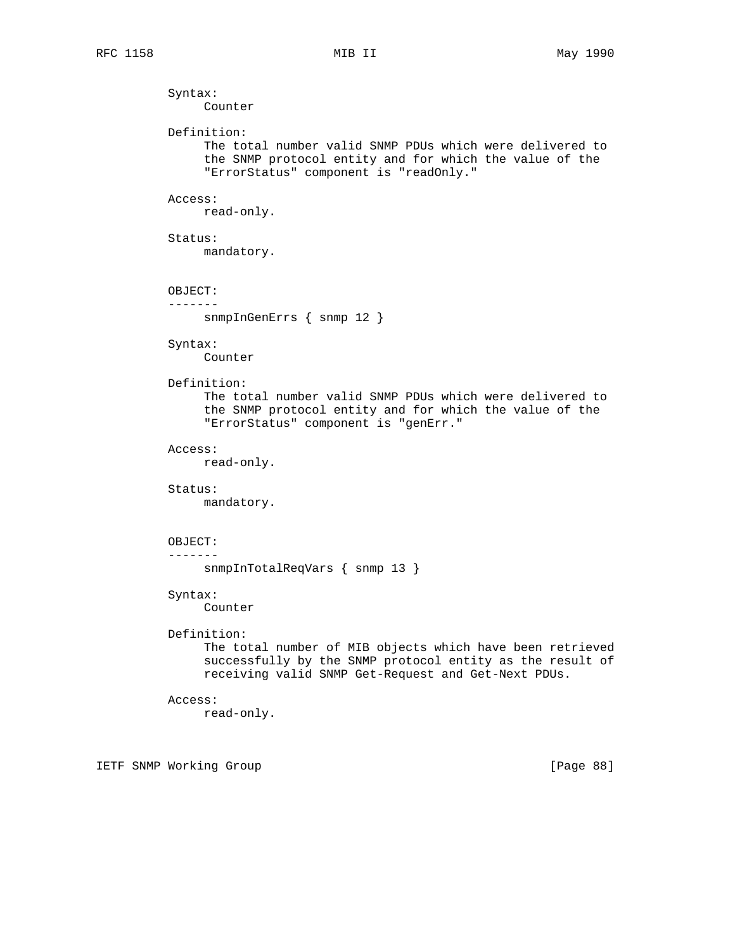Syntax: Counter Definition: The total number valid SNMP PDUs which were delivered to the SNMP protocol entity and for which the value of the "ErrorStatus" component is "readOnly." Access: read-only. Status: mandatory. OBJECT: ------ snmpInGenErrs { snmp 12 } Syntax: Counter Definition: The total number valid SNMP PDUs which were delivered to the SNMP protocol entity and for which the value of the "ErrorStatus" component is "genErr." Access: read-only. Status: mandatory. OBJECT: ------ snmpInTotalReqVars { snmp 13 } Syntax: Counter Definition: The total number of MIB objects which have been retrieved successfully by the SNMP protocol entity as the result of receiving valid SNMP Get-Request and Get-Next PDUs. Access: read-only.

IETF SNMP Working Group **Example 2018** [Page 88]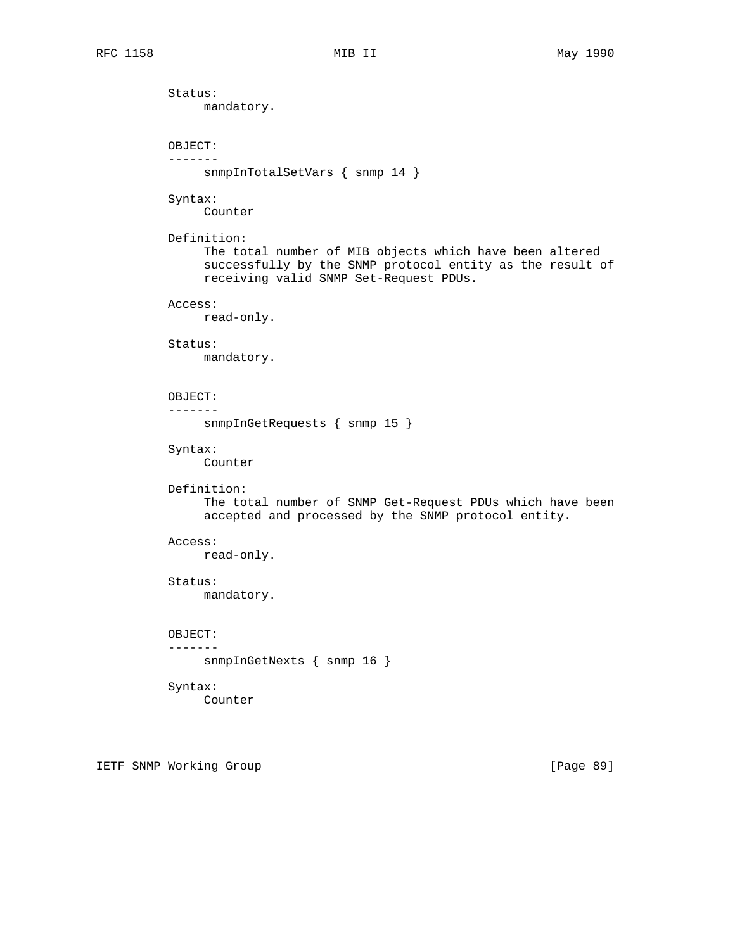Status: mandatory. OBJECT: ------ snmpInTotalSetVars { snmp 14 } Syntax: Counter Definition: The total number of MIB objects which have been altered successfully by the SNMP protocol entity as the result of receiving valid SNMP Set-Request PDUs. Access: read-only. Status: mandatory. OBJECT: ------ snmpInGetRequests { snmp 15 } Syntax: Counter Definition: The total number of SNMP Get-Request PDUs which have been accepted and processed by the SNMP protocol entity. Access: read-only. Status: mandatory. OBJECT: ------ snmpInGetNexts { snmp 16 } Syntax: Counter

IETF SNMP Working Group **Example 2018** [Page 89]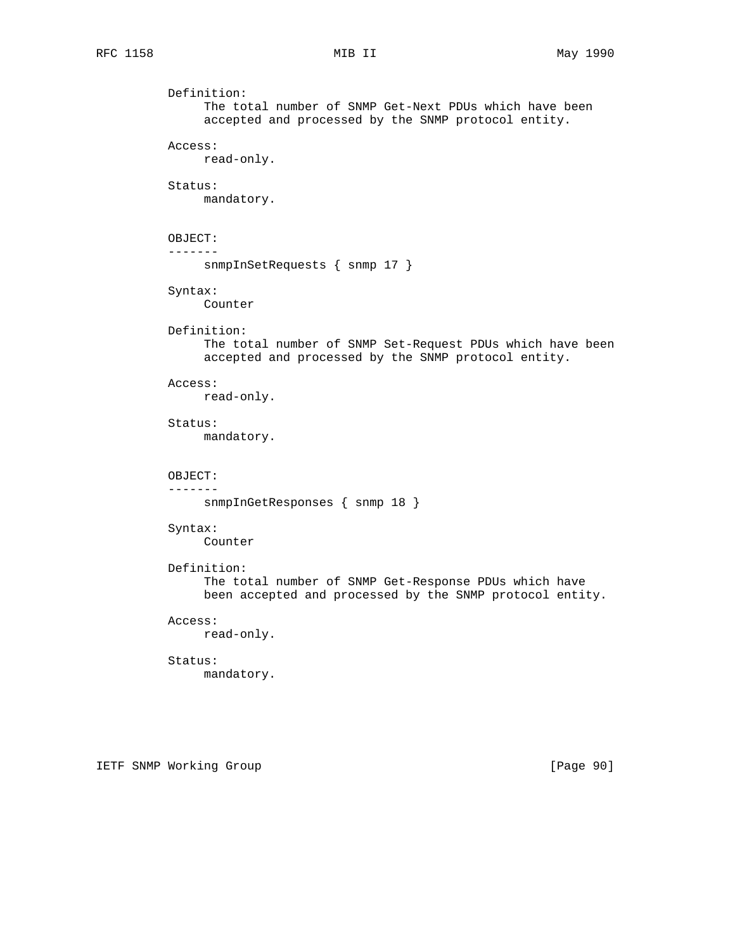```
 Definition:
      The total number of SNMP Get-Next PDUs which have been
      accepted and processed by the SNMP protocol entity.
 Access:
      read-only.
 Status:
      mandatory.
 OBJECT:
 -------
      snmpInSetRequests { snmp 17 }
 Syntax:
      Counter
 Definition:
      The total number of SNMP Set-Request PDUs which have been
      accepted and processed by the SNMP protocol entity.
 Access:
      read-only.
 Status:
      mandatory.
 OBJECT:
 -------
      snmpInGetResponses { snmp 18 }
 Syntax:
      Counter
 Definition:
      The total number of SNMP Get-Response PDUs which have
      been accepted and processed by the SNMP protocol entity.
 Access:
     read-only.
 Status:
      mandatory.
```
IETF SNMP Working Group **Example 2018** [Page 90]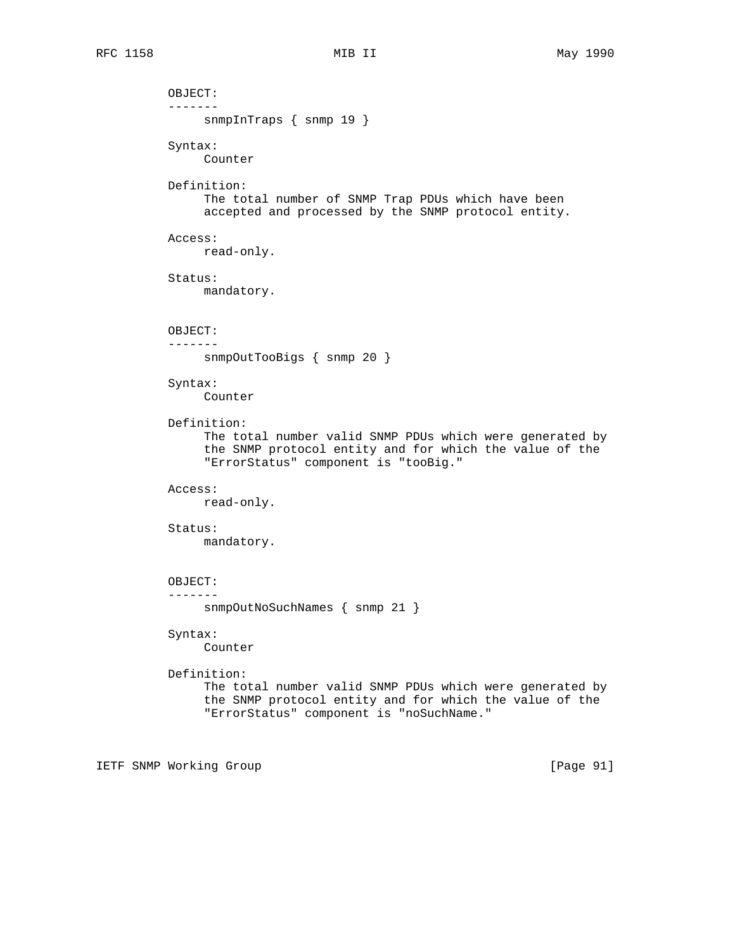OBJECT: ------ snmpInTraps { snmp 19 } Syntax: Counter Definition: The total number of SNMP Trap PDUs which have been accepted and processed by the SNMP protocol entity. Access: read-only. Status: mandatory. OBJECT: ------ snmpOutTooBigs { snmp 20 } Syntax: Counter Definition: The total number valid SNMP PDUs which were generated by the SNMP protocol entity and for which the value of the "ErrorStatus" component is "tooBig." Access: read-only. Status: mandatory. OBJECT: ------ snmpOutNoSuchNames { snmp 21 } Syntax: Counter Definition: The total number valid SNMP PDUs which were generated by the SNMP protocol entity and for which the value of the "ErrorStatus" component is "noSuchName."

IETF SNMP Working Group [Page 91]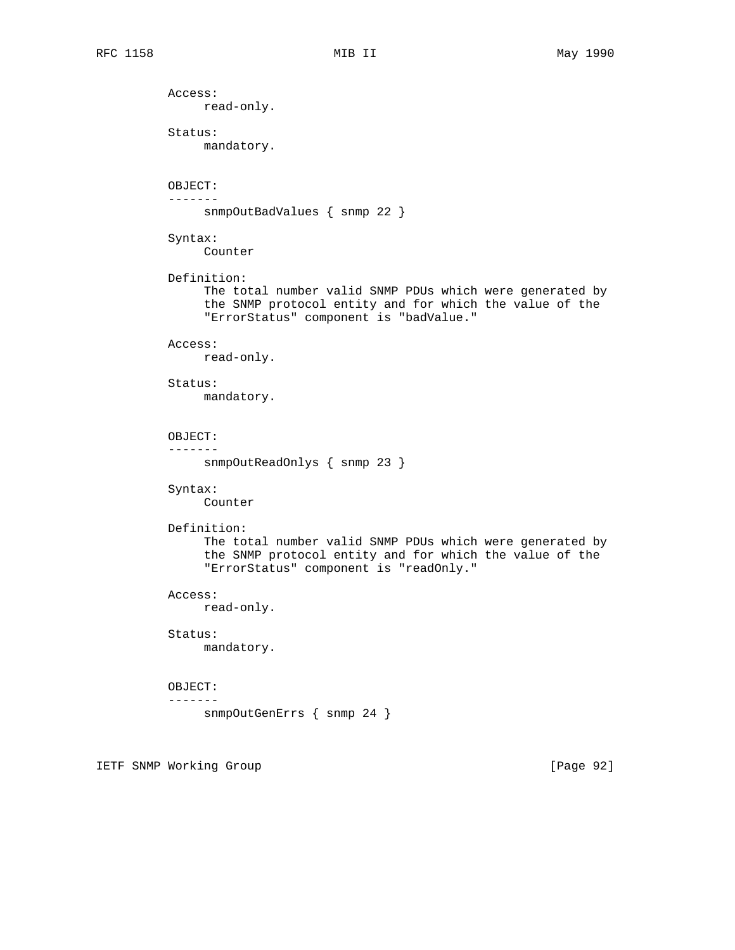Access: read-only. Status: mandatory. OBJECT: ------ snmpOutBadValues { snmp 22 } Syntax: Counter Definition: The total number valid SNMP PDUs which were generated by the SNMP protocol entity and for which the value of the "ErrorStatus" component is "badValue." Access: read-only. Status: mandatory. OBJECT: ------ snmpOutReadOnlys { snmp 23 } Syntax: Counter Definition: The total number valid SNMP PDUs which were generated by the SNMP protocol entity and for which the value of the "ErrorStatus" component is "readOnly." Access: read-only. Status: mandatory. OBJECT: ------ snmpOutGenErrs { snmp 24 }

IETF SNMP Working Group **Example 2018** [Page 92]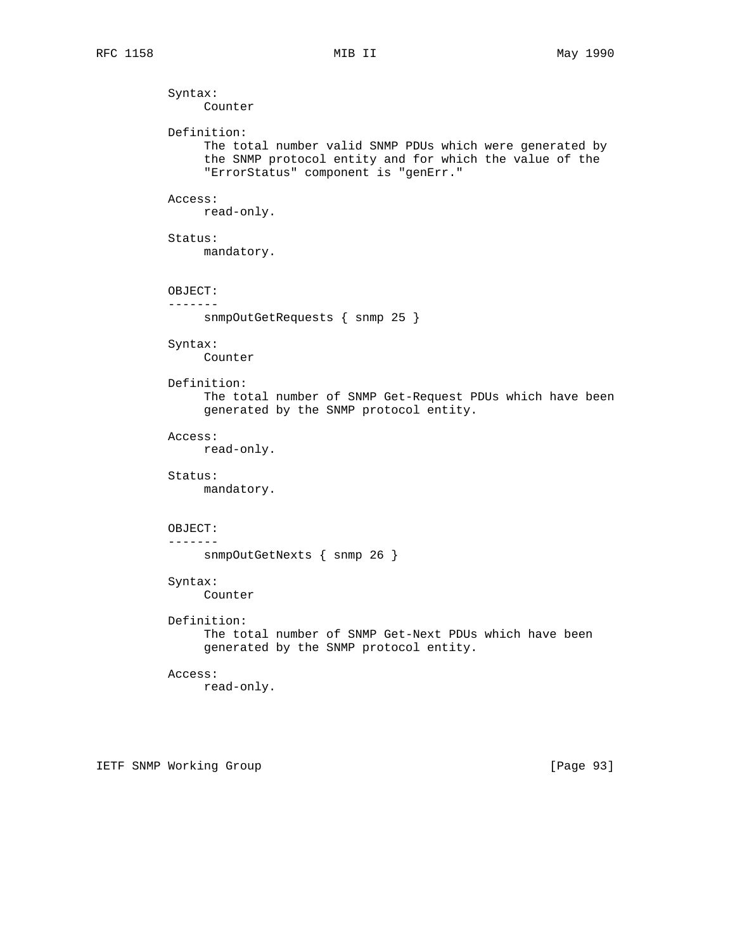Syntax: Counter Definition: The total number valid SNMP PDUs which were generated by the SNMP protocol entity and for which the value of the "ErrorStatus" component is "genErr." Access: read-only. Status: mandatory. OBJECT: ------ snmpOutGetRequests { snmp 25 } Syntax: Counter Definition: The total number of SNMP Get-Request PDUs which have been generated by the SNMP protocol entity. Access: read-only. Status: mandatory. OBJECT: ------ snmpOutGetNexts { snmp 26 } Syntax: Counter Definition: The total number of SNMP Get-Next PDUs which have been generated by the SNMP protocol entity. Access: read-only.

IETF SNMP Working Group **Example 2018** [Page 93]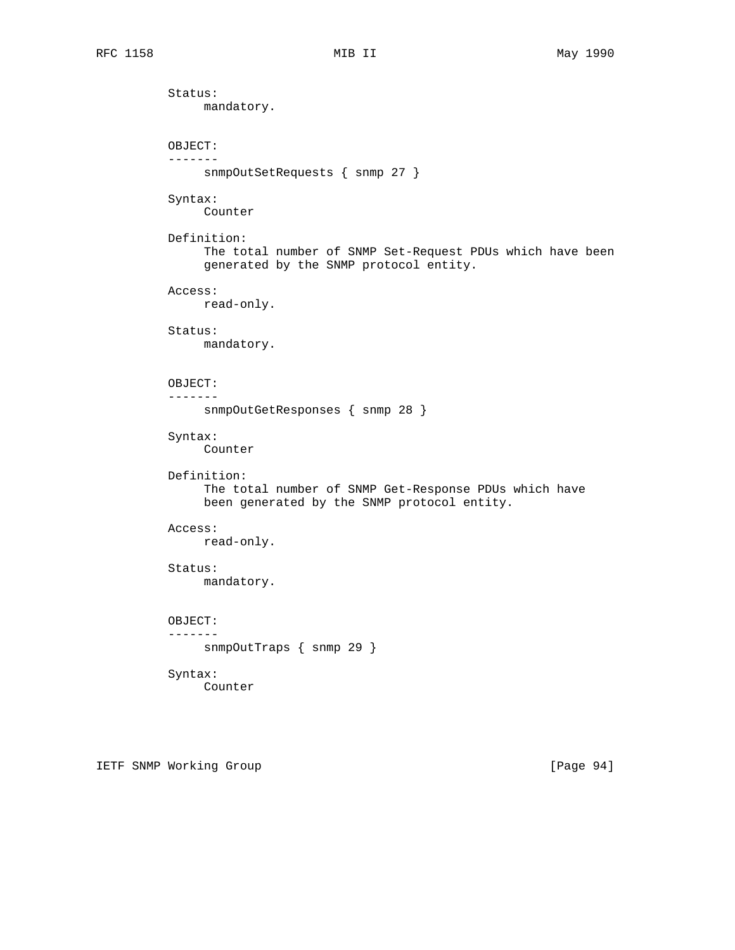Status: mandatory. OBJECT: ------ snmpOutSetRequests { snmp 27 } Syntax: Counter Definition: The total number of SNMP Set-Request PDUs which have been generated by the SNMP protocol entity. Access: read-only. Status: mandatory. OBJECT: ------ snmpOutGetResponses { snmp 28 } Syntax: Counter Definition: The total number of SNMP Get-Response PDUs which have been generated by the SNMP protocol entity. Access: read-only. Status: mandatory. OBJECT: ------ snmpOutTraps { snmp 29 } Syntax:

Counter

IETF SNMP Working Group **Example 2018** [Page 94]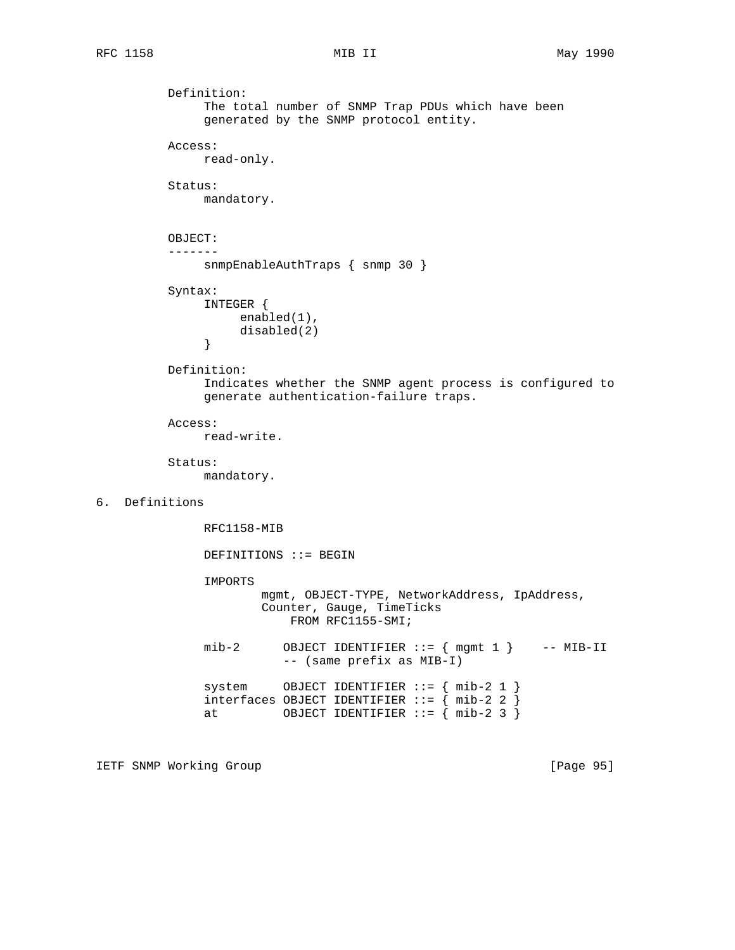```
 Definition:
               The total number of SNMP Trap PDUs which have been
               generated by the SNMP protocol entity.
          Access:
               read-only.
          Status:
               mandatory.
          OBJECT:
           -------
               snmpEnableAuthTraps { snmp 30 }
          Syntax:
               INTEGER {
                enabled(1),
               disabled(2)<br>}
 }
          Definition:
               Indicates whether the SNMP agent process is configured to
               generate authentication-failure traps.
          Access:
               read-write.
          Status:
               mandatory.
6. Definitions
               RFC1158-MIB
               DEFINITIONS ::= BEGIN
                IMPORTS
                       mgmt, OBJECT-TYPE, NetworkAddress, IpAddress,
                        Counter, Gauge, TimeTicks
                           FROM RFC1155-SMI;
              mib-2 OBJECT IDENTIFIER ::= { mgmt 1 } -- MIB-II
                          -- (same prefix as MIB-I)
               system OBJECT IDENTIFIER ::= { mib-2 1 }
               interfaces OBJECT IDENTIFIER ::= { mib-2 2 }
              at 0BJECT IDENTIFIER ::= \{mb-2, 3, \}
```
IETF SNMP Working Group **Example 2018** [Page 95]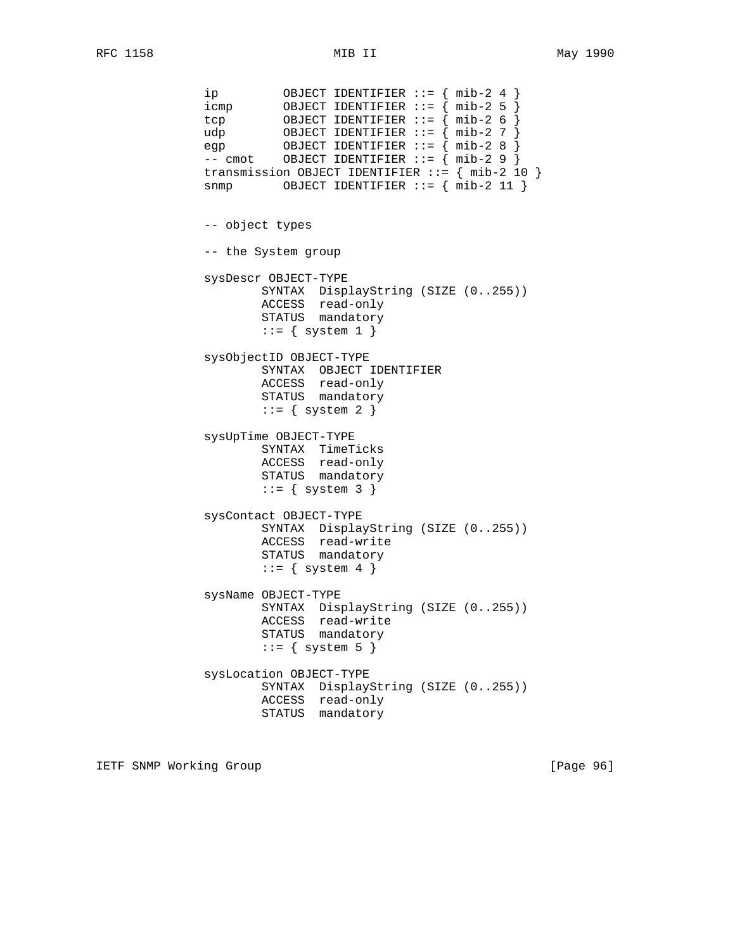ip OBJECT IDENTIFIER ::= { mib-2 4 } icmp OBJECT IDENTIFIER ::= { mib-2 5 } tcp OBJECT IDENTIFIER ::= { mib-2 6 } udp OBJECT IDENTIFIER ::= { mib-2 7 } egp OBJECT IDENTIFIER ::= { mib-2 8 } -- cmot OBJECT IDENTIFIER ::= { mib-2 9 } transmission OBJECT IDENTIFIER ::= { mib-2 10 }  $s n m p$  OBJECT IDENTIFIER ::=  $\{ m i b - 2 11 \}$  -- object types -- the System group sysDescr OBJECT-TYPE SYNTAX DisplayString (SIZE (0..255)) ACCESS read-only STATUS mandatory  $::=$  { system 1 } sysObjectID OBJECT-TYPE SYNTAX OBJECT IDENTIFIER ACCESS read-only STATUS mandatory  $::=$  { system 2 } sysUpTime OBJECT-TYPE SYNTAX TimeTicks ACCESS read-only STATUS mandatory  $::=$  { system 3 } sysContact OBJECT-TYPE SYNTAX DisplayString (SIZE (0..255)) ACCESS read-write STATUS mandatory  $::=$  { system 4 } sysName OBJECT-TYPE SYNTAX DisplayString (SIZE (0..255)) ACCESS read-write STATUS mandatory  $::=$  { system 5 } sysLocation OBJECT-TYPE SYNTAX DisplayString (SIZE (0..255)) ACCESS read-only STATUS mandatory

IETF SNMP Working Group **Example 2018** [Page 96]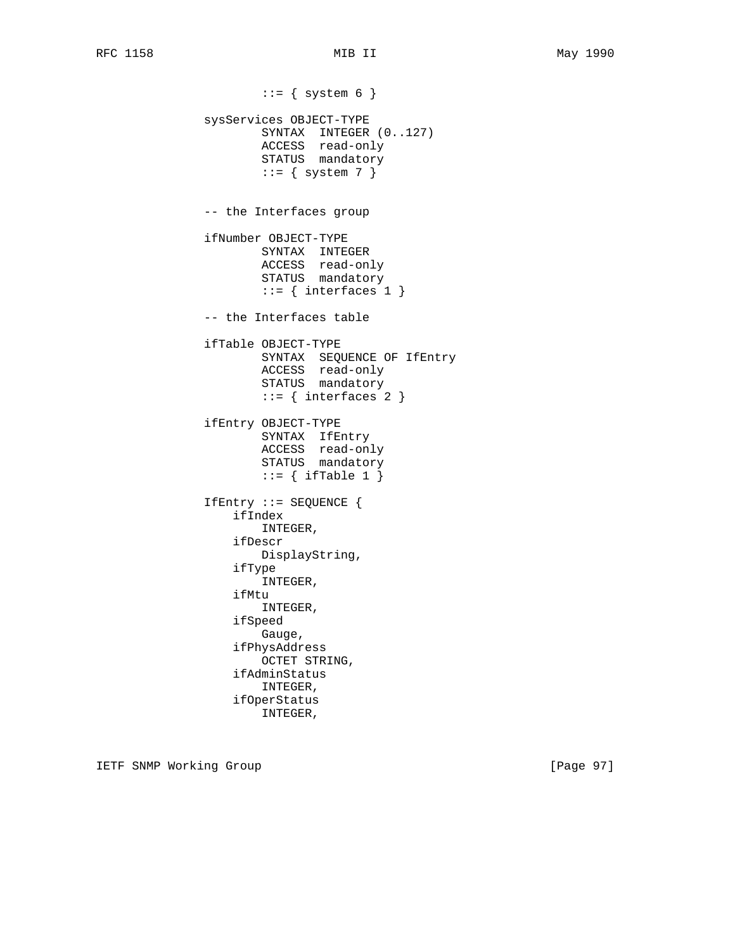$::=$  { system 6 } sysServices OBJECT-TYPE SYNTAX INTEGER (0..127) ACCESS read-only STATUS mandatory  $::=$  { system 7 } -- the Interfaces group ifNumber OBJECT-TYPE SYNTAX INTEGER ACCESS read-only STATUS mandatory  $::=$  { interfaces 1 } -- the Interfaces table ifTable OBJECT-TYPE SYNTAX SEQUENCE OF IfEntry ACCESS read-only STATUS mandatory  $::=$  { interfaces 2 } ifEntry OBJECT-TYPE SYNTAX IfEntry ACCESS read-only STATUS mandatory  $::=$  { ifTable 1 } IfEntry ::= SEQUENCE { ifIndex INTEGER, ifDescr DisplayString, ifType INTEGER, ifMtu INTEGER, ifSpeed Gauge, ifPhysAddress OCTET STRING, ifAdminStatus INTEGER, ifOperStatus INTEGER,

IETF SNMP Working Group **Example 2018** [Page 97]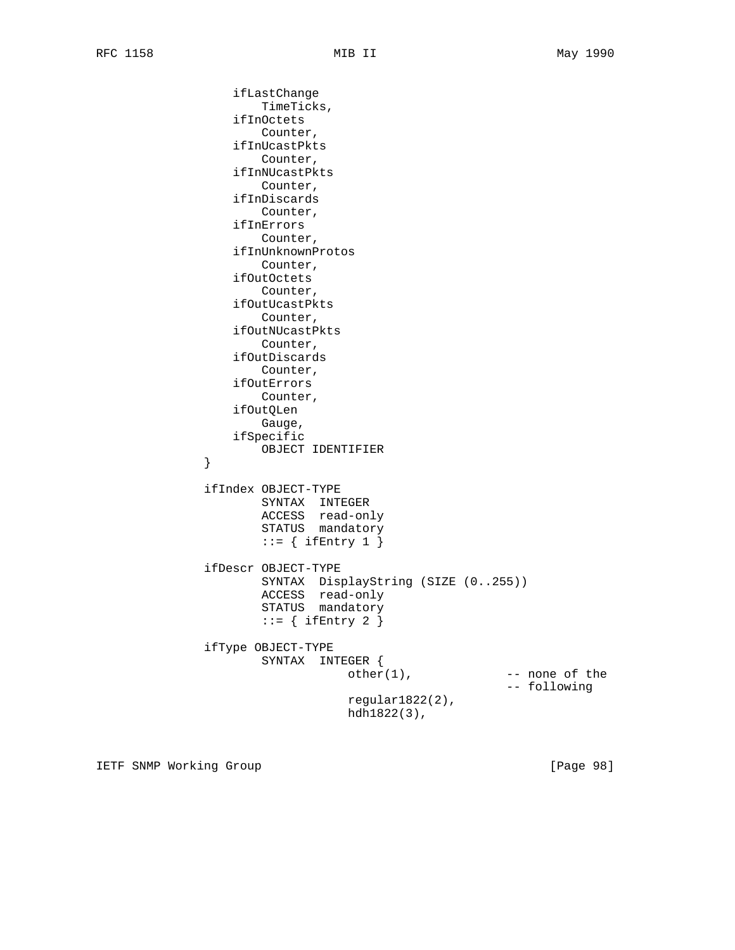ifLastChange TimeTicks, ifInOctets Counter, ifInUcastPkts Counter, ifInNUcastPkts Counter, ifInDiscards Counter, ifInErrors Counter, ifInUnknownProtos Counter, ifOutOctets Counter, ifOutUcastPkts Counter, ifOutNUcastPkts Counter, ifOutDiscards Counter, ifOutErrors Counter, ifOutQLen Gauge, ifSpecific OBJECT IDENTIFIER } ifIndex OBJECT-TYPE SYNTAX INTEGER ACCESS read-only STATUS mandatory  $::=$  { ifEntry 1 } ifDescr OBJECT-TYPE SYNTAX DisplayString (SIZE (0..255)) ACCESS read-only STATUS mandatory  $::=$  { ifEntry 2 } ifType OBJECT-TYPE SYNTAX INTEGER {  $other(1)$ ,  $--- none of the$  -- following regular1822(2), hdh1822(3),

IETF SNMP Working Group **Example 2018** [Page 98]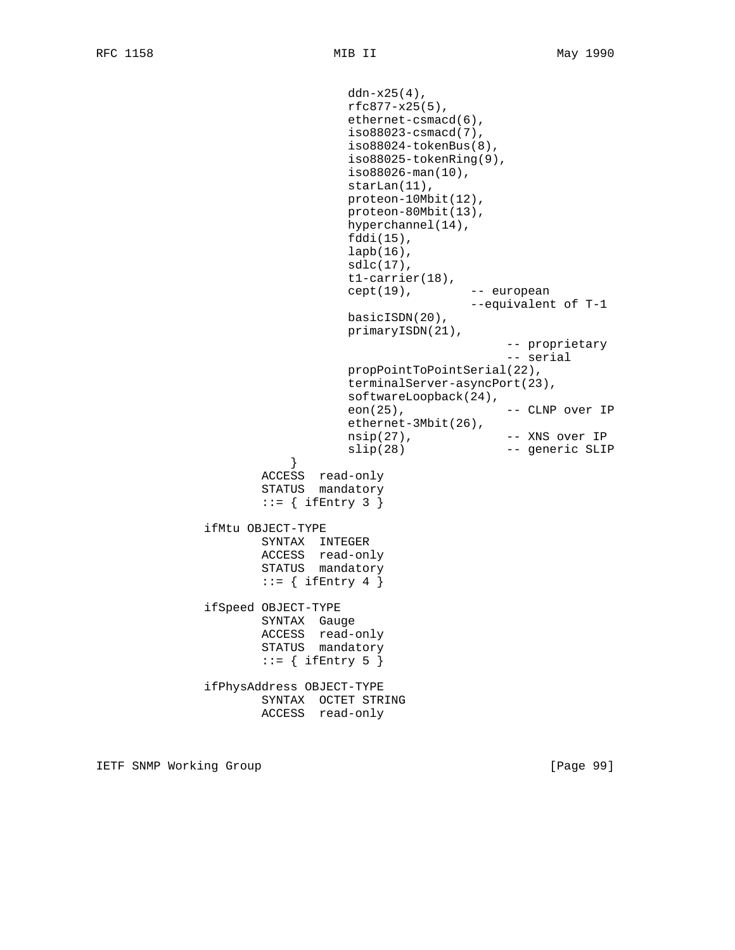```
 ddn-x25(4),
                                  rfc877-x25(5),
                                  ethernet-csmacd(6),
                                  iso88023-csmacd(7),
                                  iso88024-tokenBus(8),
                                  iso88025-tokenRing(9),
                                  iso88026-man(10),
                                 starLan(11),
                                  proteon-10Mbit(12),
                                  proteon-80Mbit(13),
                                  hyperchannel(14),
                                  fddi(15),
                                  lapb(16),
                                 sdlc(17),
                                  t1-carrier(18),
                                  cept(19), -- european
                                                   --equivalent of T-1
                                  basicISDN(20),
                                  primaryISDN(21),
                                                        -- proprietary
                                                        -- serial
                                  propPointToPointSerial(22),
                                  terminalServer-asyncPort(23),
                                  softwareLoopback(24),
                                  eon(25), -- CLNP over IP
                                  ethernet-3Mbit(26),
                                  nsip(27), -- XNS over IP
                                 slip(28) -- generic SLIP
 }
                      ACCESS read-only
                       STATUS mandatory
                      ::= { ifEntry 3 }
               ifMtu OBJECT-TYPE
                      SYNTAX INTEGER
                      ACCESS read-only
                      STATUS mandatory
                      ::= { ifEntry 4 }
               ifSpeed OBJECT-TYPE
                      SYNTAX Gauge
                      ACCESS read-only
                      STATUS mandatory
                      ::= { ifEntry 5 }
               ifPhysAddress OBJECT-TYPE
                      SYNTAX OCTET STRING
                      ACCESS read-only
```
IETF SNMP Working Group [Page 99]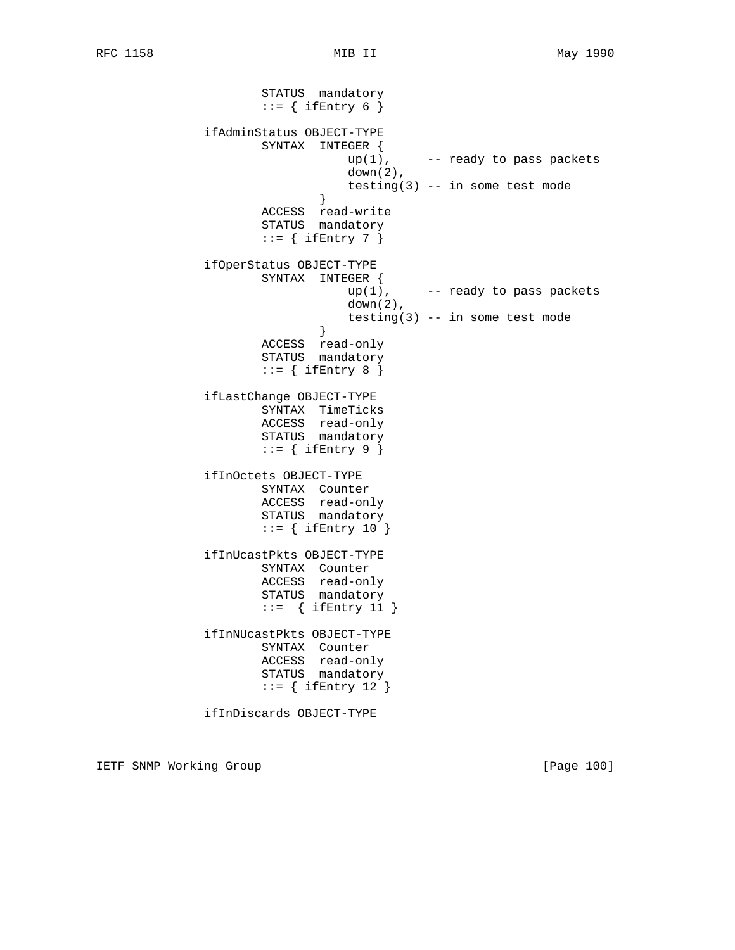STATUS mandatory  $::=$  { ifEntry 6 } ifAdminStatus OBJECT-TYPE SYNTAX INTEGER {  $up(1)$ ,  $-$  ready to pass packets  $down(2)$ , testing(3) -- in some test mode } } ACCESS read-write STATUS mandatory  $::=$  { ifEntry 7 } ifOperStatus OBJECT-TYPE SYNTAX INTEGER {<br>up(1), -- ready to pass packets down(2), testing(3) -- in some test mode } } ACCESS read-only STATUS mandatory  $::=$  { ifEntry 8 } ifLastChange OBJECT-TYPE SYNTAX TimeTicks ACCESS read-only STATUS mandatory  $::=$  { ifEntry 9 } ifInOctets OBJECT-TYPE SYNTAX Counter ACCESS read-only STATUS mandatory  $::=$  { ifEntry 10 } ifInUcastPkts OBJECT-TYPE SYNTAX Counter ACCESS read-only STATUS mandatory ::= { ifEntry 11 } ifInNUcastPkts OBJECT-TYPE SYNTAX Counter ACCESS read-only STATUS mandatory  $::=$  { ifEntry 12 } ifInDiscards OBJECT-TYPE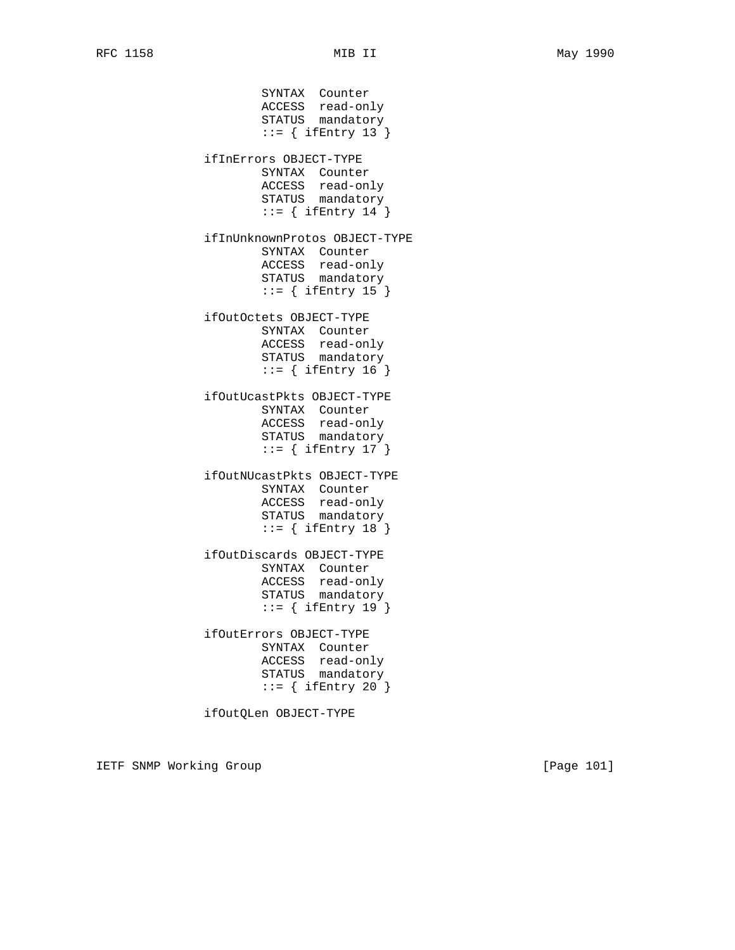SYNTAX Counter ACCESS read-only STATUS mandatory  $::=$  { ifEntry 13 } ifInErrors OBJECT-TYPE SYNTAX Counter ACCESS read-only STATUS mandatory  $::=$  { ifEntry 14 } ifInUnknownProtos OBJECT-TYPE SYNTAX Counter ACCESS read-only STATUS mandatory  $::=$  { ifEntry 15 } ifOutOctets OBJECT-TYPE SYNTAX Counter ACCESS read-only STATUS mandatory ::= { ifEntry 16 } ifOutUcastPkts OBJECT-TYPE SYNTAX Counter ACCESS read-only STATUS mandatory  $::=$  { ifEntry 17 } ifOutNUcastPkts OBJECT-TYPE SYNTAX Counter ACCESS read-only STATUS mandatory  $::=$  { ifEntry 18 } ifOutDiscards OBJECT-TYPE SYNTAX Counter ACCESS read-only STATUS mandatory ::= { ifEntry 19 } ifOutErrors OBJECT-TYPE SYNTAX Counter ACCESS read-only STATUS mandatory  $::=$  { ifEntry 20 }

ifOutQLen OBJECT-TYPE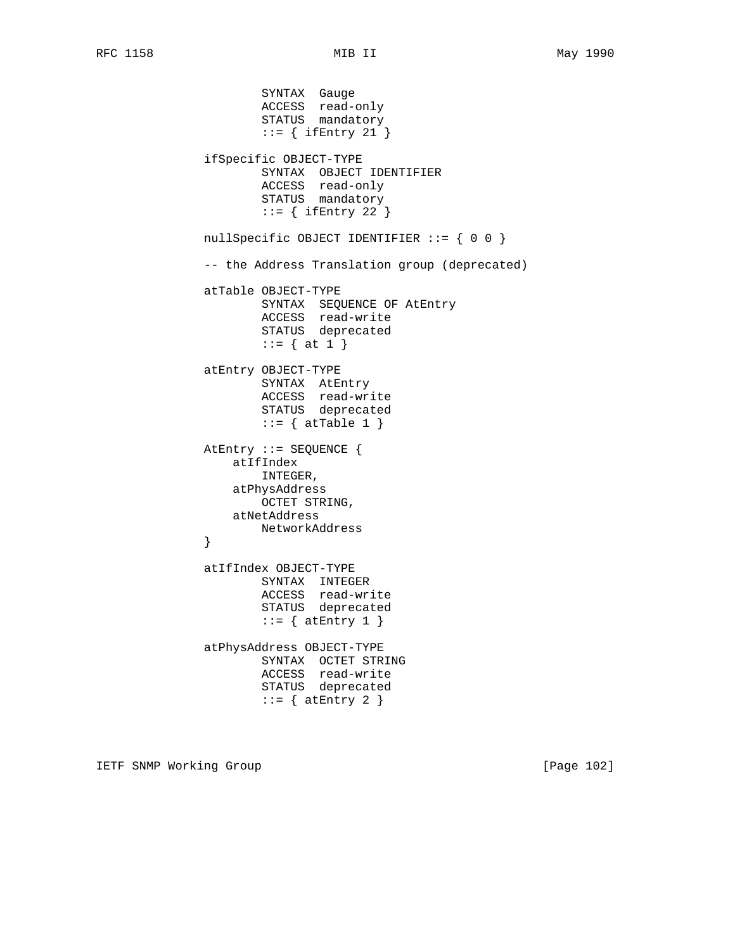SYNTAX Gauge ACCESS read-only STATUS mandatory  $::=$  { ifEntry 21 } ifSpecific OBJECT-TYPE SYNTAX OBJECT IDENTIFIER ACCESS read-only STATUS mandatory  $::=$  { ifEntry 22 } nullSpecific OBJECT IDENTIFIER ::= { 0 0 } -- the Address Translation group (deprecated) atTable OBJECT-TYPE SYNTAX SEQUENCE OF AtEntry ACCESS read-write STATUS deprecated ::= { at 1 } atEntry OBJECT-TYPE SYNTAX AtEntry ACCESS read-write STATUS deprecated  $::=$  { atTable 1 } AtEntry ::= SEQUENCE { atIfIndex INTEGER, atPhysAddress OCTET STRING, atNetAddress NetworkAddress<br>} } atIfIndex OBJECT-TYPE SYNTAX INTEGER ACCESS read-write STATUS deprecated  $::=$  { atEntry 1 } atPhysAddress OBJECT-TYPE SYNTAX OCTET STRING ACCESS read-write STATUS deprecated  $::=$  { atEntry 2 }

IETF SNMP Working Group **Example 2021** [Page 102]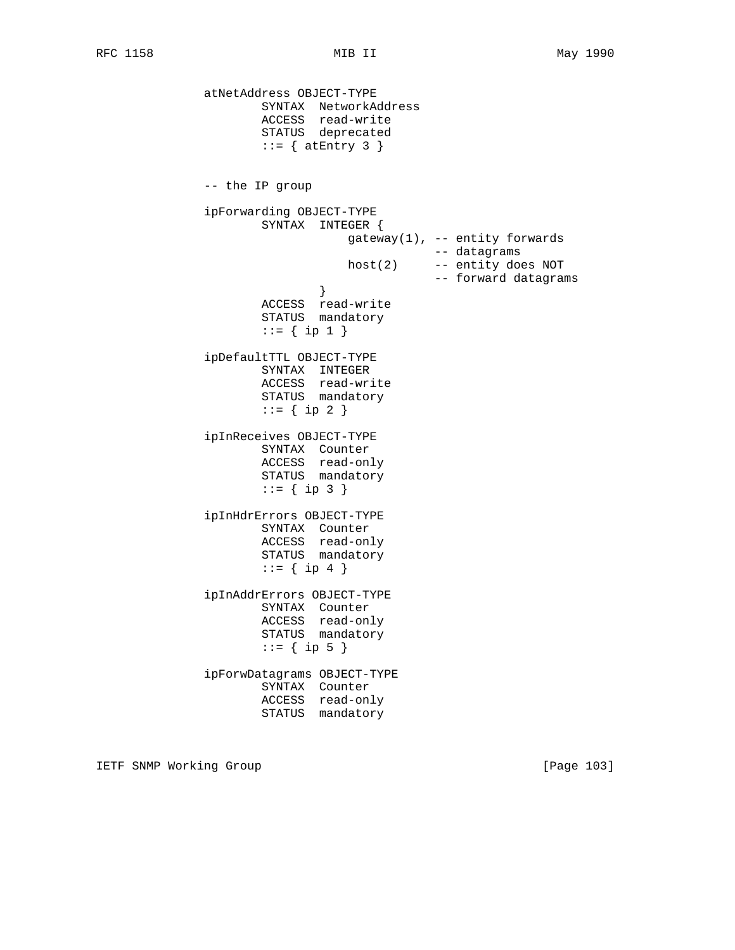atNetAddress OBJECT-TYPE SYNTAX NetworkAddress ACCESS read-write STATUS deprecated  $::=$  { atEntry 3 } -- the IP group ipForwarding OBJECT-TYPE SYNTAX INTEGER { gateway(1), -- entity forwards  $host(2)$  -- datagrams<br> $host(2)$  -- entity do -- entity does NOT -- forward datagrams } ACCESS read-write STATUS mandatory  $::= \{ \text{ip } 1 \}$  ipDefaultTTL OBJECT-TYPE SYNTAX INTEGER ACCESS read-write STATUS mandatory  $::= \{ \text{ip } 2 \}$  ipInReceives OBJECT-TYPE SYNTAX Counter ACCESS read-only STATUS mandatory  $::= \{ \text{ip } 3 \}$  ipInHdrErrors OBJECT-TYPE SYNTAX Counter ACCESS read-only STATUS mandatory  $::= \{ ip 4 \}$  ipInAddrErrors OBJECT-TYPE SYNTAX Counter ACCESS read-only STATUS mandatory  $::= \{ \text{ip } 5 \}$  ipForwDatagrams OBJECT-TYPE SYNTAX Counter ACCESS read-only STATUS mandatory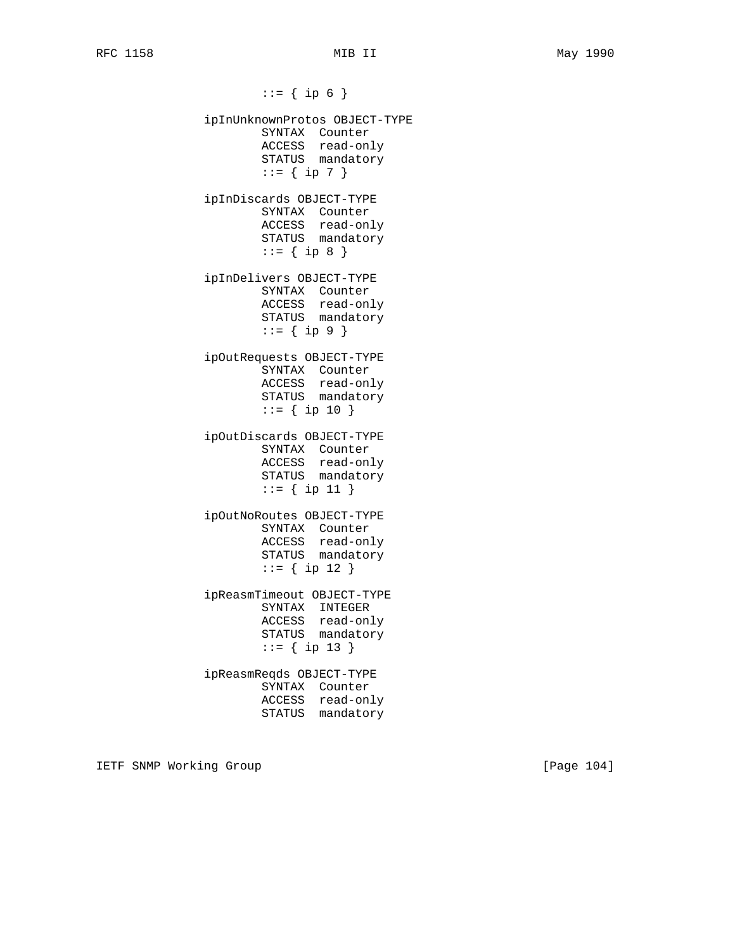$::=$  { ip 6 } ipInUnknownProtos OBJECT-TYPE SYNTAX Counter ACCESS read-only STATUS mandatory  $::= \{ \text{ip } 7 \}$  ipInDiscards OBJECT-TYPE SYNTAX Counter ACCESS read-only STATUS mandatory  $::= \{ \text{ip } 8 \}$  ipInDelivers OBJECT-TYPE SYNTAX Counter ACCESS read-only STATUS mandatory  $::= \{ \text{ip } 9 \}$  ipOutRequests OBJECT-TYPE SYNTAX Counter ACCESS read-only STATUS mandatory  $::=$  { ip 10 } ipOutDiscards OBJECT-TYPE SYNTAX Counter ACCESS read-only STATUS mandatory ::= { ip 11 } ipOutNoRoutes OBJECT-TYPE SYNTAX Counter ACCESS read-only STATUS mandatory ::= { ip 12 } ipReasmTimeout OBJECT-TYPE SYNTAX INTEGER ACCESS read-only STATUS mandatory ::= { ip 13 } ipReasmReqds OBJECT-TYPE SYNTAX Counter ACCESS read-only STATUS mandatory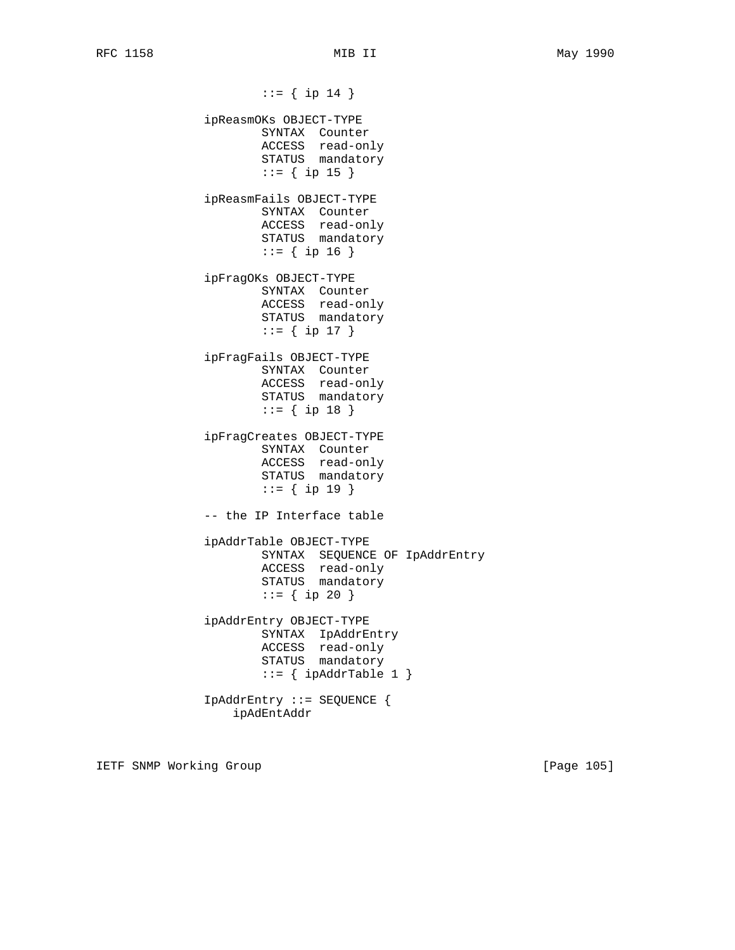::= { ip 14 } ipReasmOKs OBJECT-TYPE SYNTAX Counter ACCESS read-only STATUS mandatory ::= { ip 15 } ipReasmFails OBJECT-TYPE SYNTAX Counter ACCESS read-only STATUS mandatory ::= { ip 16 } ipFragOKs OBJECT-TYPE SYNTAX Counter ACCESS read-only STATUS mandatory  $::=$  { ip 17 } ipFragFails OBJECT-TYPE SYNTAX Counter ACCESS read-only STATUS mandatory  $::=$  { ip 18 } ipFragCreates OBJECT-TYPE SYNTAX Counter ACCESS read-only STATUS mandatory ::= { ip 19 } -- the IP Interface table ipAddrTable OBJECT-TYPE SYNTAX SEQUENCE OF IpAddrEntry ACCESS read-only STATUS mandatory ::= { ip 20 } ipAddrEntry OBJECT-TYPE SYNTAX IpAddrEntry ACCESS read-only STATUS mandatory  $::=$  { ipAddrTable 1 } IpAddrEntry ::= SEQUENCE { ipAdEntAddr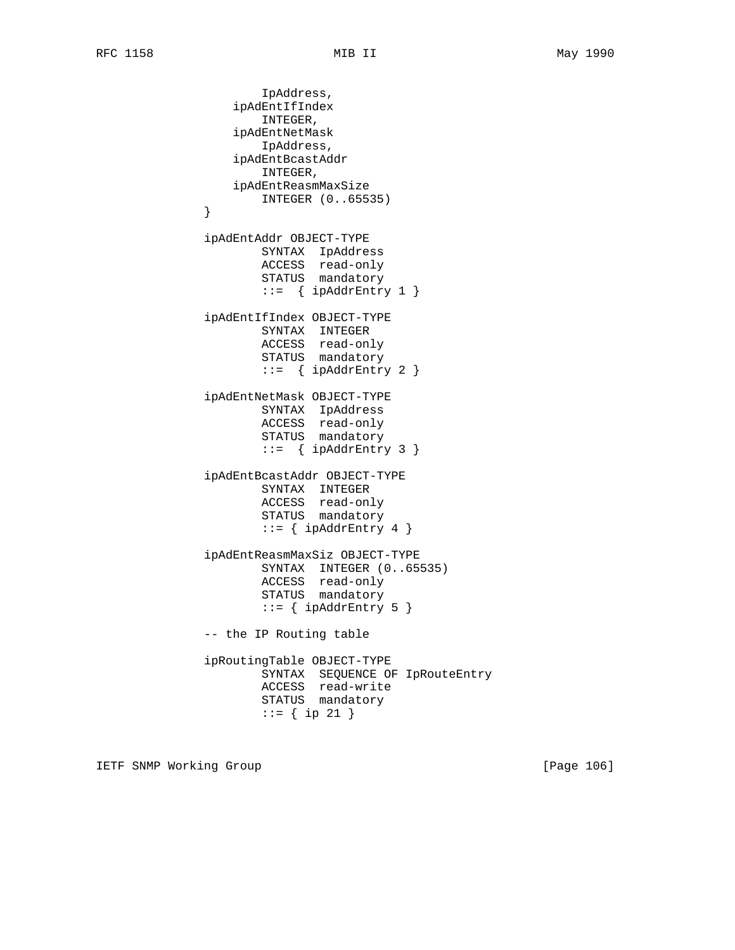```
 IpAddress,
                 ipAdEntIfIndex
                    INTEGER,
                 ipAdEntNetMask
                    IpAddress,
                 ipAdEntBcastAddr
                    INTEGER,
                 ipAdEntReasmMaxSize
            INTEGER (0..65535)
 }
             ipAdEntAddr OBJECT-TYPE
                    SYNTAX IpAddress
 ACCESS read-only
STATUS mandatory
                    ::= { ipAddrEntry 1 }
             ipAdEntIfIndex OBJECT-TYPE
                    SYNTAX INTEGER
                    ACCESS read-only
                    STATUS mandatory
                   ::= { ipAddrEntry 2 }
             ipAdEntNetMask OBJECT-TYPE
                    SYNTAX IpAddress
 ACCESS read-only
STATUS mandatory
                   ::= { ipAddrEntry 3 }
             ipAdEntBcastAddr OBJECT-TYPE
                    SYNTAX INTEGER
                    ACCESS read-only
                    STATUS mandatory
                   ::= { ipAddrEntry 4 }
             ipAdEntReasmMaxSiz OBJECT-TYPE
                    SYNTAX INTEGER (0..65535)
 ACCESS read-only
STATUS mandatory
                   ::= { ipAddrEntry 5 }
             -- the IP Routing table
             ipRoutingTable OBJECT-TYPE
                    SYNTAX SEQUENCE OF IpRouteEntry
                    ACCESS read-write
                    STATUS mandatory
                    ::= { ip 21 }
```
IETF SNMP Working Group **Example 2008** [Page 106]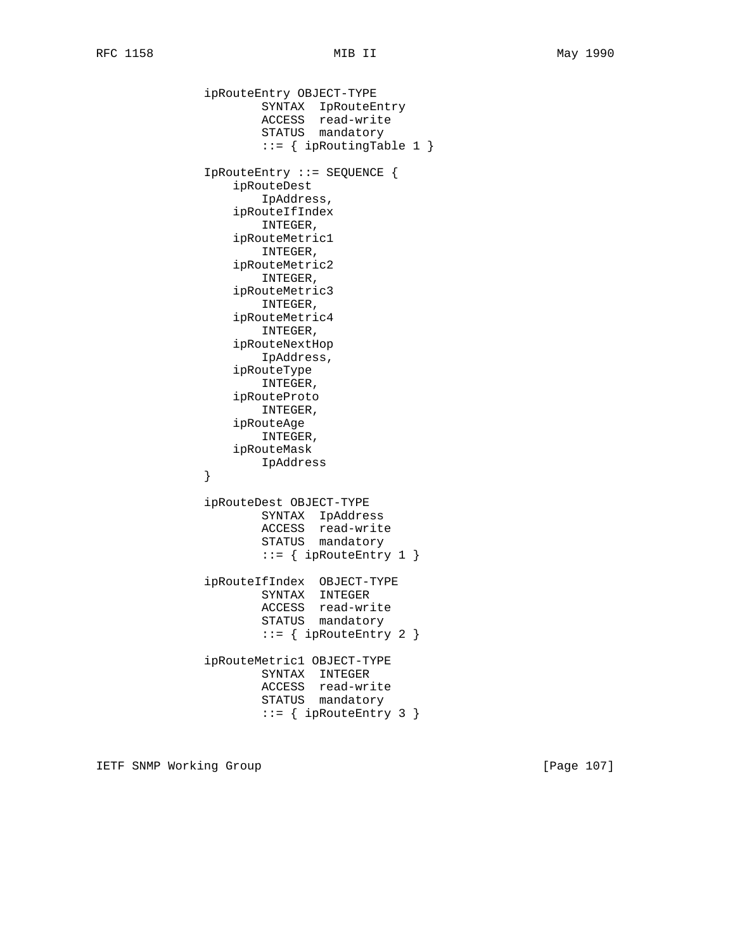ipRouteEntry OBJECT-TYPE SYNTAX IpRouteEntry ACCESS read-write STATUS mandatory ::= { ipRoutingTable 1 } IpRouteEntry ::= SEQUENCE { ipRouteDest IpAddress, ipRouteIfIndex INTEGER, ipRouteMetric1 INTEGER, ipRouteMetric2 INTEGER, ipRouteMetric3 INTEGER, ipRouteMetric4 INTEGER, ipRouteNextHop IpAddress, ipRouteType INTEGER, ipRouteProto INTEGER, ipRouteAge INTEGER, ipRouteMask IpAddress } ipRouteDest OBJECT-TYPE SYNTAX IpAddress ACCESS read-write STATUS mandatory  $::=$  { ipRouteEntry 1 } ipRouteIfIndex OBJECT-TYPE SYNTAX INTEGER ACCESS read-write STATUS mandatory  $::=$  { ipRouteEntry 2 } ipRouteMetric1 OBJECT-TYPE SYNTAX INTEGER ACCESS read-write STATUS mandatory  $::=$  { ipRouteEntry 3 }

IETF SNMP Working Group **Example 2018** [Page 107]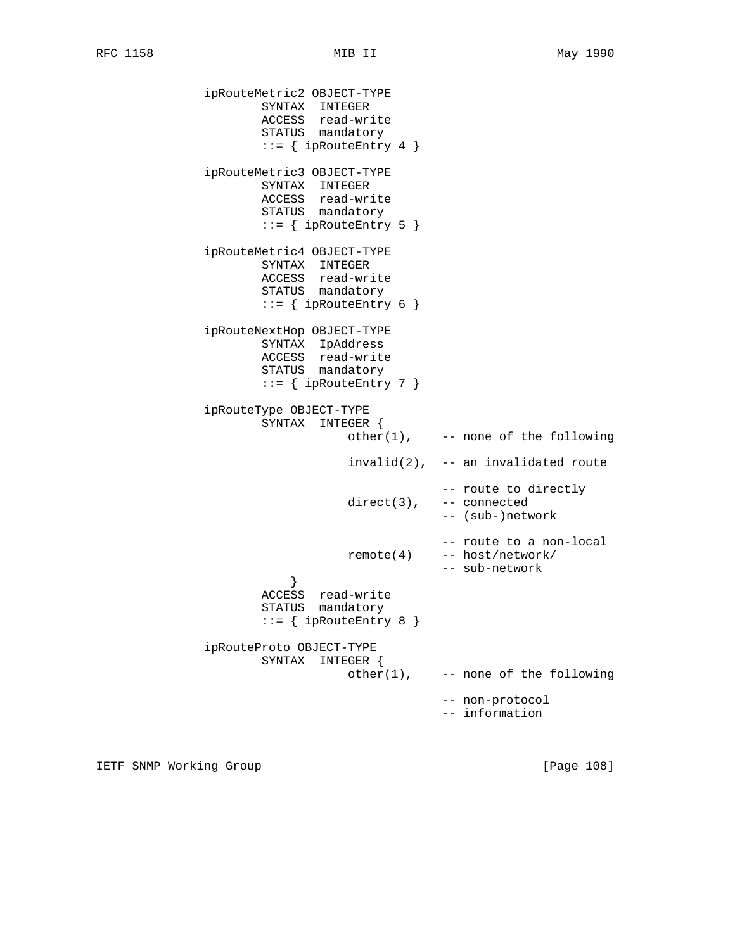```
 ipRouteMetric2 OBJECT-TYPE
 SYNTAX INTEGER
 ACCESS read-write
STATUS mandatory
                  ::= { ipRouteEntry 4 }
             ipRouteMetric3 OBJECT-TYPE
                   SYNTAX INTEGER
                   ACCESS read-write
                   STATUS mandatory
                  ::= { ipRouteEntry 5 }
             ipRouteMetric4 OBJECT-TYPE
 SYNTAX INTEGER
 ACCESS read-write
STATUS mandatory
                  ::= { ipRouteEntry 6 }
             ipRouteNextHop OBJECT-TYPE
                   SYNTAX IpAddress
                   ACCESS read-write
                   STATUS mandatory
                  ::= { ipRouteEntry 7 }
             ipRouteType OBJECT-TYPE
                   SYNTAX INTEGER {
                            other(1), -- none of the following
                             invalid(2), -- an invalidated route
                                       -- route to directly
                             direct(3), -- connected
                                       -- (sub-)network
                                       -- route to a non-local
                             remote(4) -- host/network/
                                       -- sub-network
 }
 ACCESS read-write
STATUS mandatory
                  ::= { ipRouteEntry 8 }
             ipRouteProto OBJECT-TYPE
                   SYNTAX INTEGER {
                            other(1), -- none of the following
                                       -- non-protocol
                                       -- information
```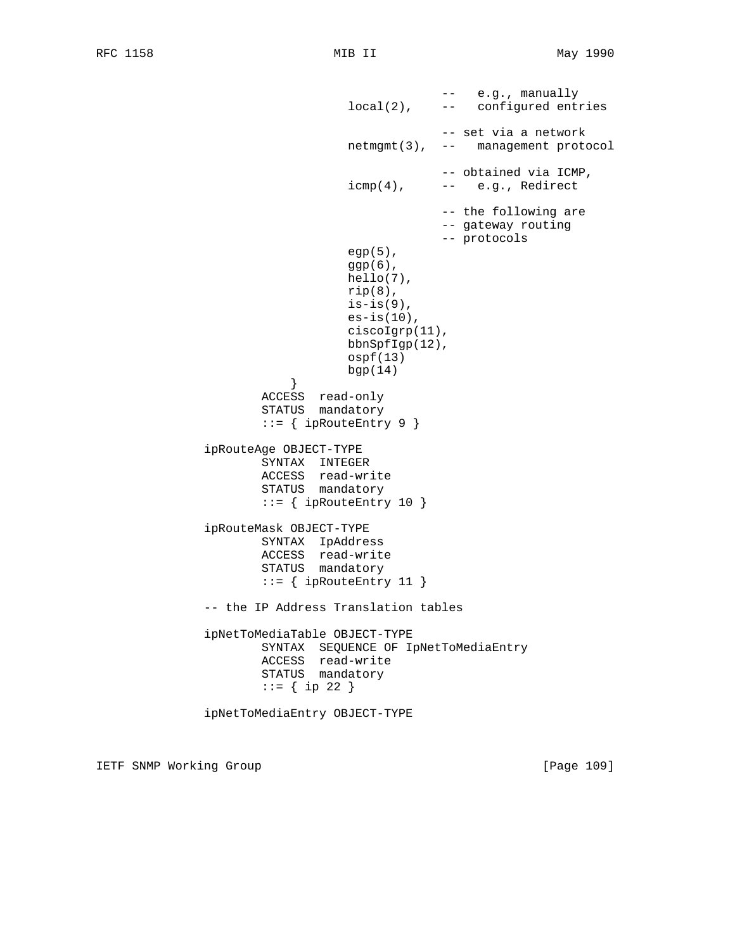```
 -- e.g., manually
                                   local(2), -- configured entries
                                                -- set via a network
                                   netmgmt(3), -- management protocol
                                                -- obtained via ICMP,
                                  icmp(4), --- e.g., Redirect
                                                -- the following are
                                                -- gateway routing
                                                -- protocols
                                   egp(5),
                                  ggp(6),
                                   hello(7),
                                  rip(8),
                                  is-is(9),
                                  es-is(10),
                                   ciscoIgrp(11),
                                   bbnSpfIgp(12),
                                   ospf(13)
                                   bgp(14)
 }
                       ACCESS read-only
                       STATUS mandatory
                      ::= { ipRouteEntry 9 }
               ipRouteAge OBJECT-TYPE
                       SYNTAX INTEGER
                       ACCESS read-write
                       STATUS mandatory
                      ::= { ipRouteEntry 10 }
               ipRouteMask OBJECT-TYPE
                       SYNTAX IpAddress
                       ACCESS read-write
                       STATUS mandatory
                      ::= { ipRouteEntry 11 }
               -- the IP Address Translation tables
               ipNetToMediaTable OBJECT-TYPE
                       SYNTAX SEQUENCE OF IpNetToMediaEntry
                       ACCESS read-write
                       STATUS mandatory
                      ::= { ip 22 }
               ipNetToMediaEntry OBJECT-TYPE
```
IETF SNMP Working Group **Example 2008** [Page 109]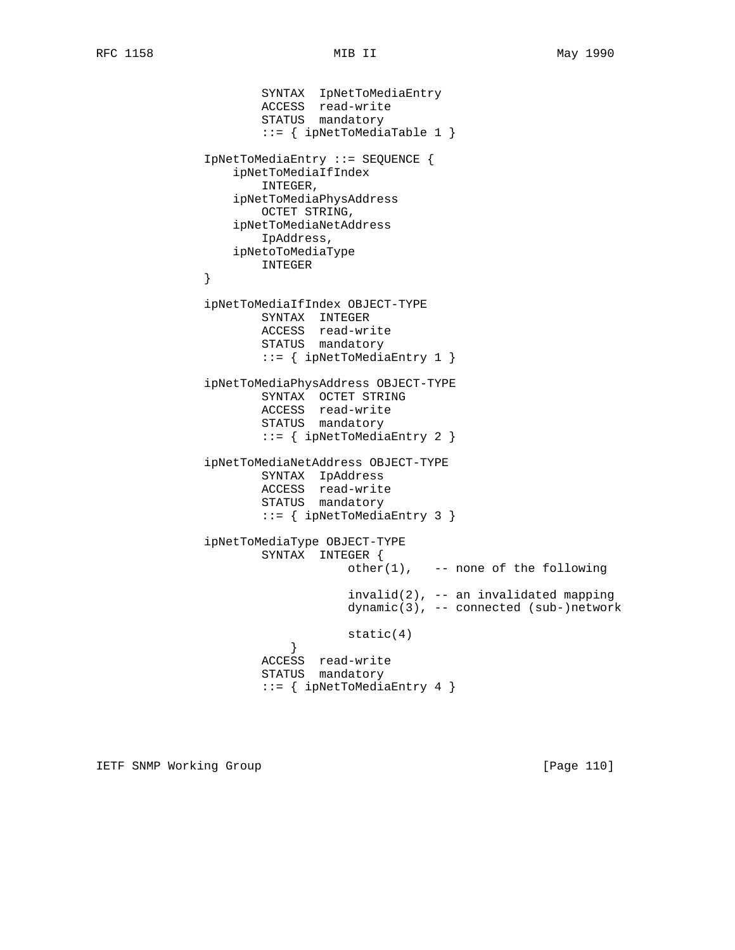```
 SYNTAX IpNetToMediaEntry
 ACCESS read-write
STATUS mandatory
                      ::= { ipNetToMediaTable 1 }
              IpNetToMediaEntry ::= SEQUENCE {
                  ipNetToMediaIfIndex
                     INTEGER,
                  ipNetToMediaPhysAddress
                     OCTET STRING,
                  ipNetToMediaNetAddress
                     IpAddress,
                  ipNetoToMediaType
              INTEGER
 }
              ipNetToMediaIfIndex OBJECT-TYPE
                      SYNTAX INTEGER
                     ACCESS read-write
                     STATUS mandatory
                      ::= { ipNetToMediaEntry 1 }
              ipNetToMediaPhysAddress OBJECT-TYPE
                      SYNTAX OCTET STRING
                      ACCESS read-write
                      STATUS mandatory
                      ::= { ipNetToMediaEntry 2 }
              ipNetToMediaNetAddress OBJECT-TYPE
                      SYNTAX IpAddress
                     ACCESS read-write
                     STATUS mandatory
                      ::= { ipNetToMediaEntry 3 }
              ipNetToMediaType OBJECT-TYPE
                      SYNTAX INTEGER {
                                other(1), -- none of the following
                                 invalid(2), -- an invalidated mapping
                                 dynamic(3), -- connected (sub-)network
                                 static(4)
 }
                      ACCESS read-write
                      STATUS mandatory
                      ::= { ipNetToMediaEntry 4 }
```
IETF SNMP Working Group **Example 2018** [Page 110]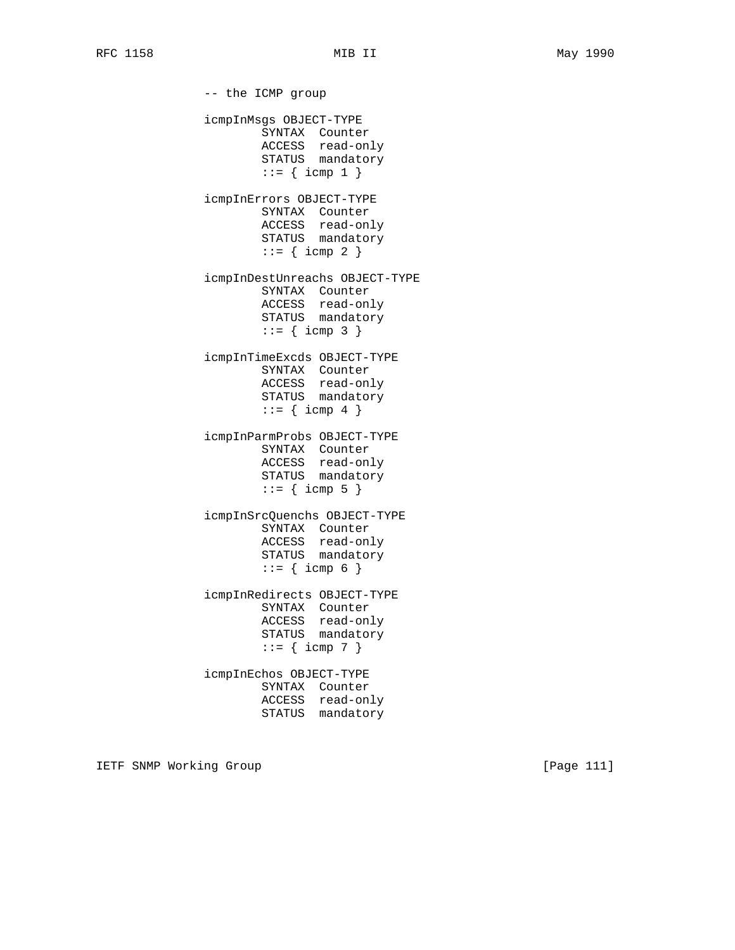-- the ICMP group icmpInMsgs OBJECT-TYPE SYNTAX Counter ACCESS read-only STATUS mandatory  $::=$  { icmp 1 } icmpInErrors OBJECT-TYPE SYNTAX Counter ACCESS read-only STATUS mandatory  $::=$  { icmp 2 } icmpInDestUnreachs OBJECT-TYPE SYNTAX Counter ACCESS read-only STATUS mandatory  $::= {$  icmp 3 } icmpInTimeExcds OBJECT-TYPE SYNTAX Counter ACCESS read-only STATUS mandatory  $::=$  { icmp 4 } icmpInParmProbs OBJECT-TYPE SYNTAX Counter ACCESS read-only STATUS mandatory  $::=$  { icmp 5 } icmpInSrcQuenchs OBJECT-TYPE SYNTAX Counter ACCESS read-only STATUS mandatory  $::= {$  icmp 6 } icmpInRedirects OBJECT-TYPE SYNTAX Counter ACCESS read-only STATUS mandatory  $::=$  { icmp 7 } icmpInEchos OBJECT-TYPE SYNTAX Counter ACCESS read-only STATUS mandatory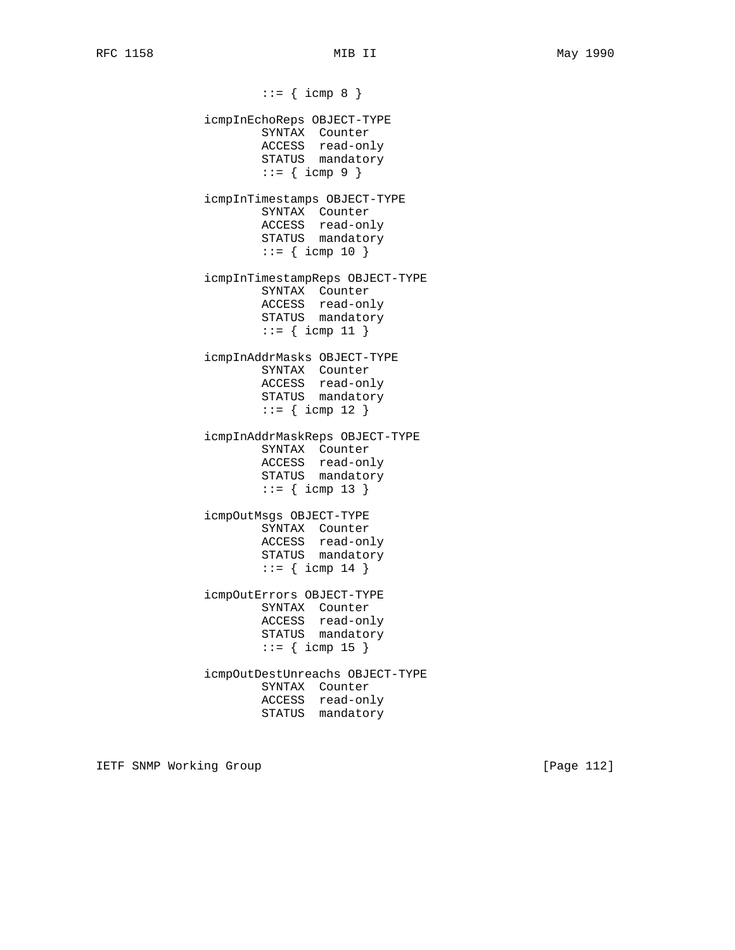$::= {$  icmp 8 } icmpInEchoReps OBJECT-TYPE SYNTAX Counter ACCESS read-only STATUS mandatory  $::= {$  icmp 9 } icmpInTimestamps OBJECT-TYPE SYNTAX Counter ACCESS read-only STATUS mandatory  $::=$  { icmp 10 } icmpInTimestampReps OBJECT-TYPE SYNTAX Counter ACCESS read-only STATUS mandatory  $::=$  { icmp 11 } icmpInAddrMasks OBJECT-TYPE SYNTAX Counter ACCESS read-only STATUS mandatory  $::=$  { icmp 12 } icmpInAddrMaskReps OBJECT-TYPE SYNTAX Counter ACCESS read-only STATUS mandatory  $::=$  { icmp 13 } icmpOutMsgs OBJECT-TYPE SYNTAX Counter ACCESS read-only STATUS mandatory  $::=$  { icmp 14 } icmpOutErrors OBJECT-TYPE SYNTAX Counter ACCESS read-only STATUS mandatory  $::=$  { icmp 15 } icmpOutDestUnreachs OBJECT-TYPE SYNTAX Counter ACCESS read-only STATUS mandatory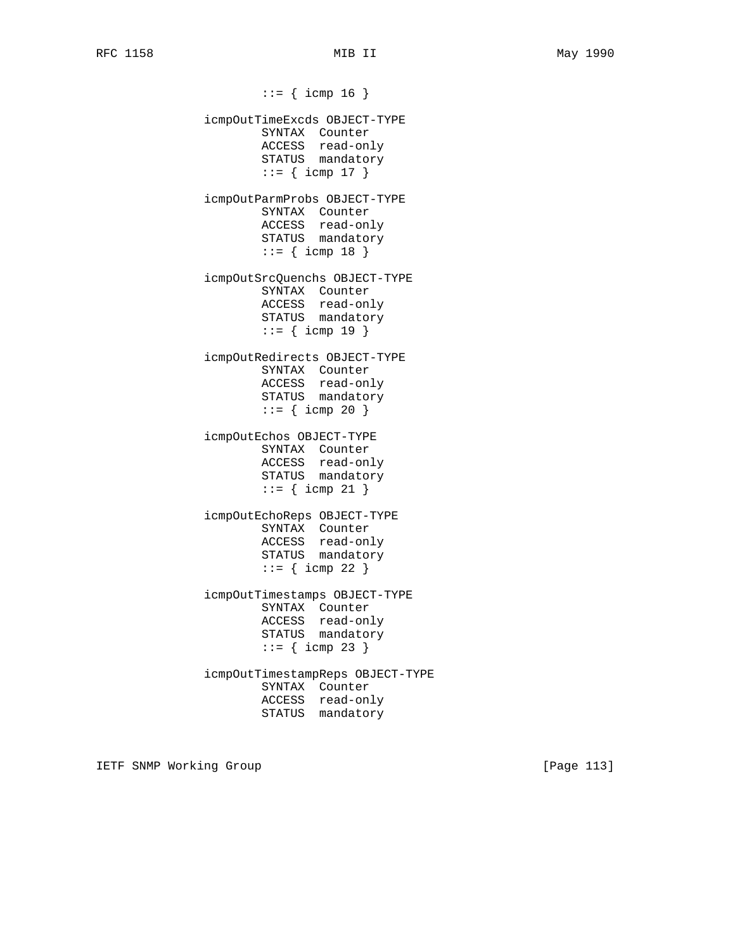$::=$  { icmp 16 } icmpOutTimeExcds OBJECT-TYPE SYNTAX Counter ACCESS read-only STATUS mandatory  $::=$  { icmp 17 } icmpOutParmProbs OBJECT-TYPE SYNTAX Counter ACCESS read-only STATUS mandatory  $::=$  { icmp 18 } icmpOutSrcQuenchs OBJECT-TYPE SYNTAX Counter ACCESS read-only STATUS mandatory  $::=$  { icmp 19 } icmpOutRedirects OBJECT-TYPE SYNTAX Counter ACCESS read-only STATUS mandatory  $::=$  { icmp 20 } icmpOutEchos OBJECT-TYPE SYNTAX Counter ACCESS read-only STATUS mandatory  $::=$  { icmp 21 } icmpOutEchoReps OBJECT-TYPE SYNTAX Counter ACCESS read-only STATUS mandatory  $::=$  { icmp 22 } icmpOutTimestamps OBJECT-TYPE SYNTAX Counter ACCESS read-only STATUS mandatory  $::=$  { icmp 23 } icmpOutTimestampReps OBJECT-TYPE SYNTAX Counter ACCESS read-only STATUS mandatory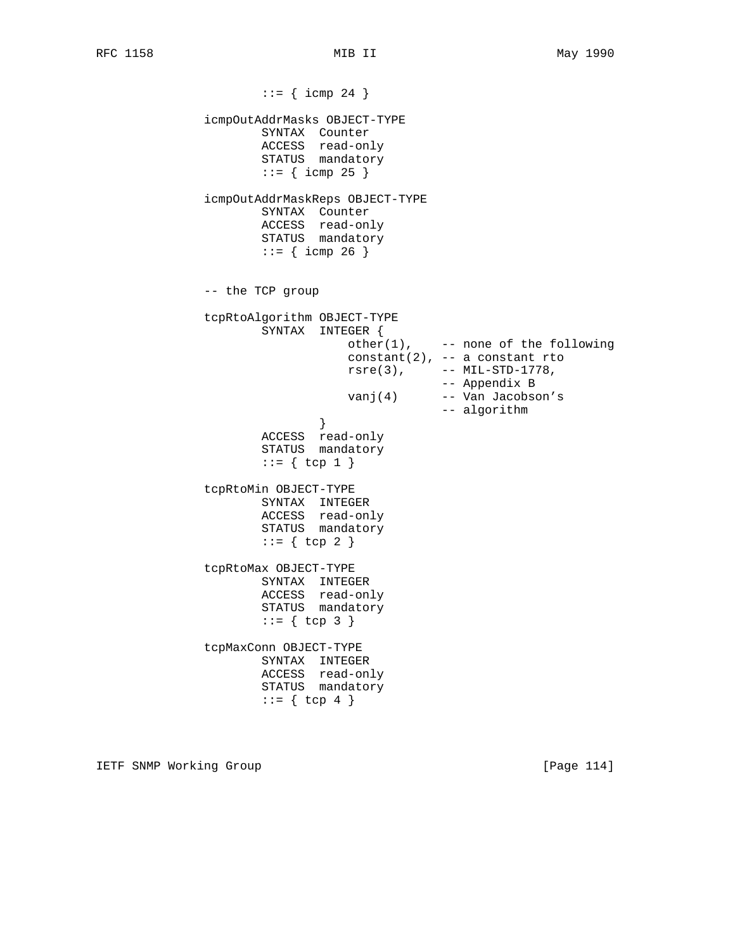$::=$  { icmp 24 } icmpOutAddrMasks OBJECT-TYPE SYNTAX Counter ACCESS read-only STATUS mandatory  $::=$  { icmp 25 } icmpOutAddrMaskReps OBJECT-TYPE SYNTAX Counter ACCESS read-only STATUS mandatory  $::=$  { icmp 26 } -- the TCP group tcpRtoAlgorithm OBJECT-TYPE SYNTAX INTEGER {  $other(1)$ ,  $---$  none of the following constant(2),  $-$  a constant rto  $rsre(3)$ ,  $--- MIL-STD-1778$ , -- Appendix B vanj(4) -- Van Jacobson's -- algorithm } ACCESS read-only STATUS mandatory  $::= \{ \text{top } 1 \}$  tcpRtoMin OBJECT-TYPE SYNTAX INTEGER ACCESS read-only STATUS mandatory  $::= \{ \text{top } 2 \}$  tcpRtoMax OBJECT-TYPE SYNTAX INTEGER ACCESS read-only STATUS mandatory  $::= \{ \text{top } 3 \}$  tcpMaxConn OBJECT-TYPE SYNTAX INTEGER ACCESS read-only STATUS mandatory  $::= \{ \text{top } 4 \}$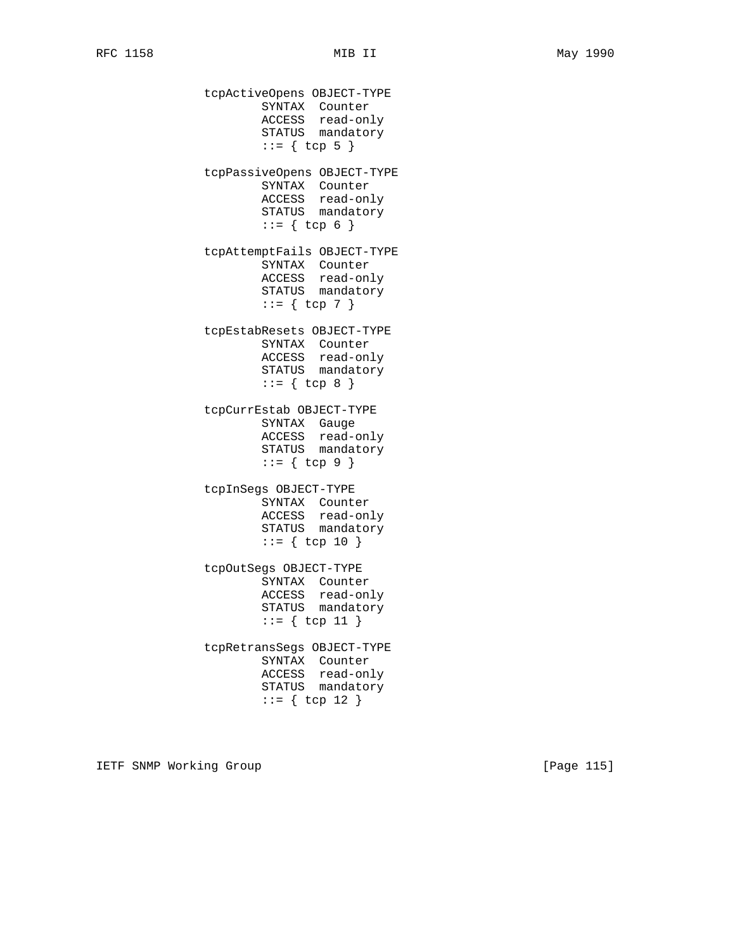tcpActiveOpens OBJECT-TYPE SYNTAX Counter ACCESS read-only STATUS mandatory  $::= \{ \text{top } 5 \}$  tcpPassiveOpens OBJECT-TYPE SYNTAX Counter ACCESS read-only STATUS mandatory  $::= \{ \text{top } 6 \}$  tcpAttemptFails OBJECT-TYPE SYNTAX Counter ACCESS read-only STATUS mandatory  $::= \{ \text{top } 7 \}$  tcpEstabResets OBJECT-TYPE SYNTAX Counter ACCESS read-only STATUS mandatory  $::= \{ \text{top } 8 \}$  tcpCurrEstab OBJECT-TYPE SYNTAX Gauge ACCESS read-only STATUS mandatory  $::= \{ \text{top } 9 \}$  tcpInSegs OBJECT-TYPE SYNTAX Counter ACCESS read-only STATUS mandatory  $::= \{ \text{top } 10 \}$  tcpOutSegs OBJECT-TYPE SYNTAX Counter ACCESS read-only STATUS mandatory ::= { tcp 11 } tcpRetransSegs OBJECT-TYPE SYNTAX Counter ACCESS read-only STATUS mandatory ::= { tcp 12 }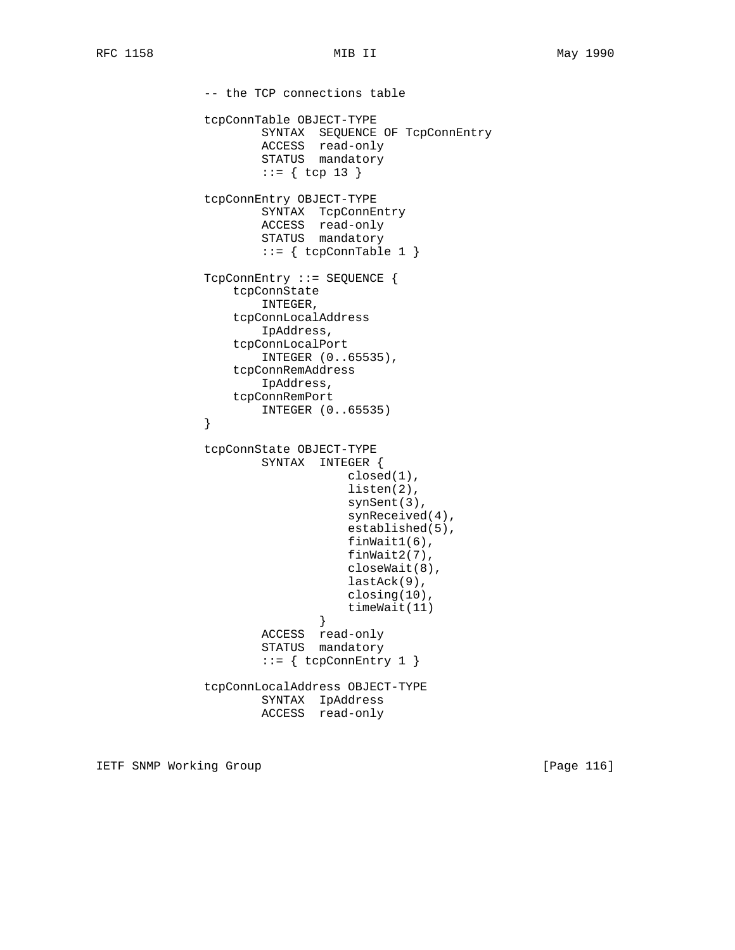-- the TCP connections table tcpConnTable OBJECT-TYPE SYNTAX SEQUENCE OF TcpConnEntry ACCESS read-only STATUS mandatory  $::= \{ \text{top } 13 \}$  tcpConnEntry OBJECT-TYPE SYNTAX TcpConnEntry ACCESS read-only STATUS mandatory  $::=$  { tcpConnTable 1 } TcpConnEntry ::= SEQUENCE { tcpConnState INTEGER, tcpConnLocalAddress IpAddress, tcpConnLocalPort INTEGER (0..65535), tcpConnRemAddress IpAddress, tcpConnRemPort INTEGER (0..65535) } tcpConnState OBJECT-TYPE SYNTAX INTEGER { closed(1), listen(2), synSent(3), synReceived(4), established(5), finWait1(6), finWait2(7), closeWait(8), lastAck(9), closing(10), timeWait(11)<br>} } ACCESS read-only STATUS mandatory  $::= \{ \text{tcpConnEntry 1 } \}$  tcpConnLocalAddress OBJECT-TYPE SYNTAX IpAddress ACCESS read-only

IETF SNMP Working Group **Example 2018** [Page 116]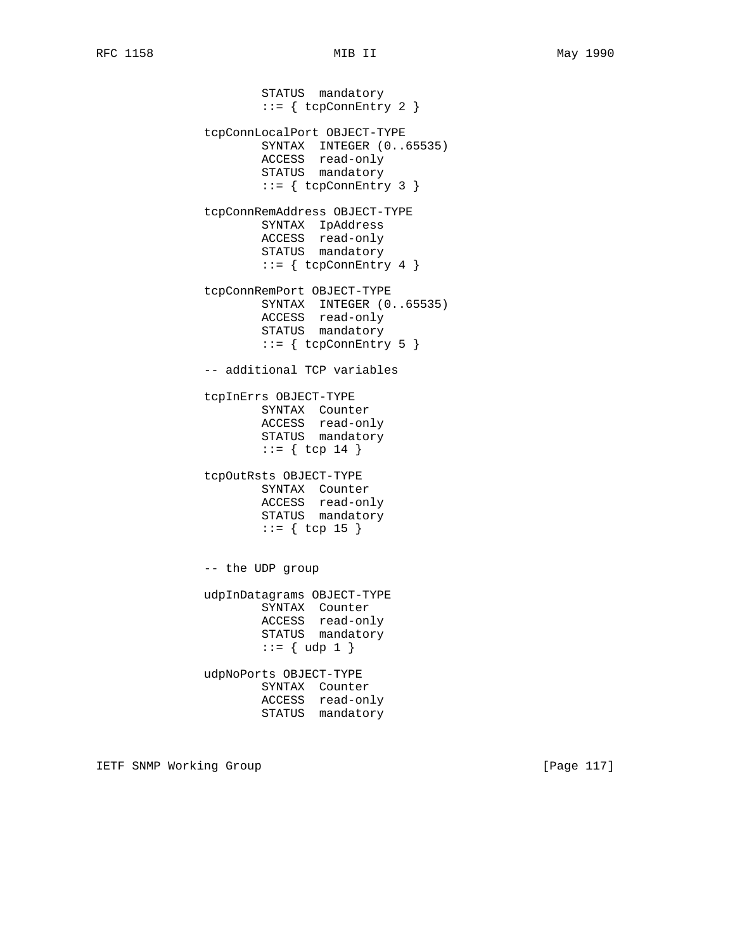STATUS mandatory  $::= \{ \text{topConnEntry 2 } \}$  tcpConnLocalPort OBJECT-TYPE SYNTAX INTEGER (0..65535) ACCESS read-only STATUS mandatory  $::=$  { tcpConnEntry 3 } tcpConnRemAddress OBJECT-TYPE SYNTAX IpAddress ACCESS read-only STATUS mandatory  $::=$  { tcpConnEntry 4 } tcpConnRemPort OBJECT-TYPE SYNTAX INTEGER (0..65535) ACCESS read-only STATUS mandatory  $::=$  { tcpConnEntry 5 } -- additional TCP variables tcpInErrs OBJECT-TYPE SYNTAX Counter ACCESS read-only STATUS mandatory  $::= \{ \text{top } 14 \}$  tcpOutRsts OBJECT-TYPE SYNTAX Counter ACCESS read-only STATUS mandatory  $::=$  { tcp 15 } -- the UDP group udpInDatagrams OBJECT-TYPE SYNTAX Counter ACCESS read-only STATUS mandatory  $::= \{ udp 1 \}$  udpNoPorts OBJECT-TYPE SYNTAX Counter ACCESS read-only STATUS mandatory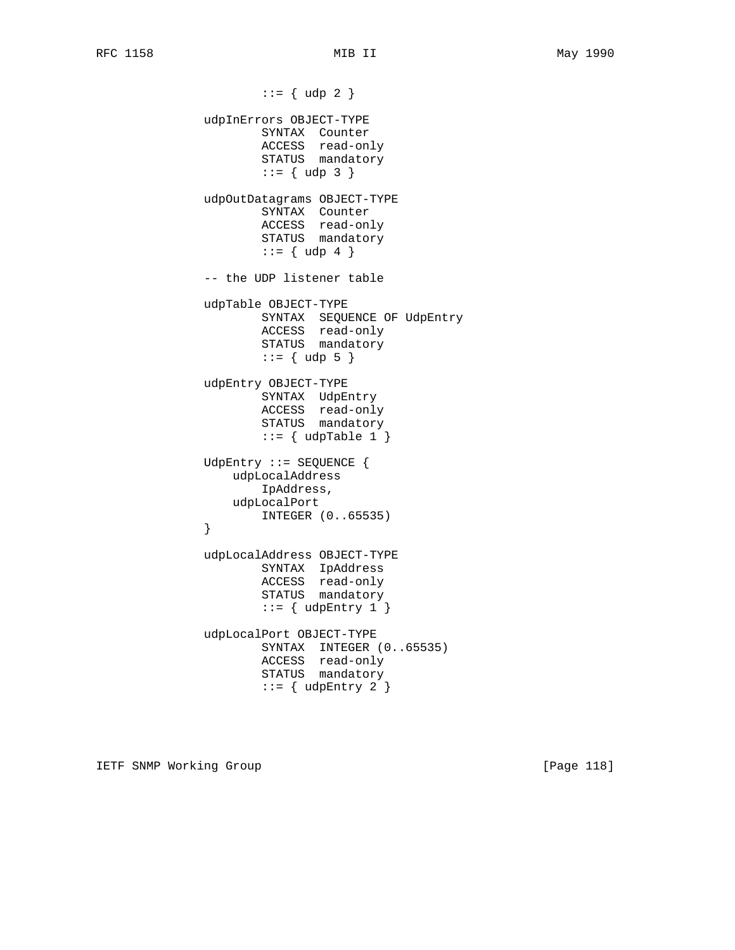$::= \{ udp 2 \}$  udpInErrors OBJECT-TYPE SYNTAX Counter ACCESS read-only STATUS mandatory  $::= \{ udp 3 \}$  udpOutDatagrams OBJECT-TYPE SYNTAX Counter ACCESS read-only STATUS mandatory  $::= \{ udp 4 \}$  -- the UDP listener table udpTable OBJECT-TYPE SYNTAX SEQUENCE OF UdpEntry ACCESS read-only STATUS mandatory  $::= \{ udp 5 \}$  udpEntry OBJECT-TYPE SYNTAX UdpEntry ACCESS read-only STATUS mandatory  $::=$  { udpTable 1 } UdpEntry ::= SEQUENCE { udpLocalAddress IpAddress, udpLocalPort INTEGER (0..65535) } udpLocalAddress OBJECT-TYPE SYNTAX IpAddress ACCESS read-only STATUS mandatory  $::=$  { udpEntry 1 } udpLocalPort OBJECT-TYPE SYNTAX INTEGER (0..65535) ACCESS read-only STATUS mandatory  $::=$  { udpEntry 2 }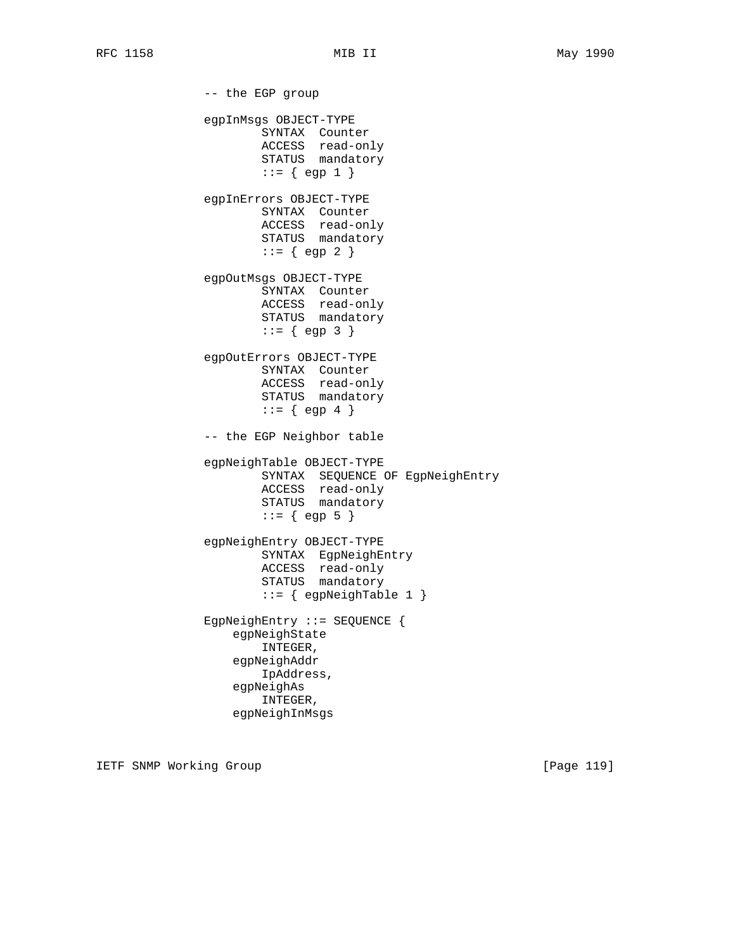-- the EGP group egpInMsgs OBJECT-TYPE SYNTAX Counter ACCESS read-only STATUS mandatory  $::= \{ \text{egp 1 } \}$  egpInErrors OBJECT-TYPE SYNTAX Counter ACCESS read-only STATUS mandatory  $::= \{ \text{egp 2 } \}$  egpOutMsgs OBJECT-TYPE SYNTAX Counter ACCESS read-only STATUS mandatory  $::= \{ \text{egp } 3 \}$  egpOutErrors OBJECT-TYPE SYNTAX Counter ACCESS read-only STATUS mandatory  $::= \{ \text{egp } 4 \}$  -- the EGP Neighbor table egpNeighTable OBJECT-TYPE SYNTAX SEQUENCE OF EgpNeighEntry ACCESS read-only STATUS mandatory  $::= \{$  egp 5  $\}$  egpNeighEntry OBJECT-TYPE SYNTAX EgpNeighEntry ACCESS read-only STATUS mandatory  $::=$  { egpNeighTable 1 } EgpNeighEntry ::= SEQUENCE { egpNeighState INTEGER, egpNeighAddr IpAddress, egpNeighAs INTEGER, egpNeighInMsgs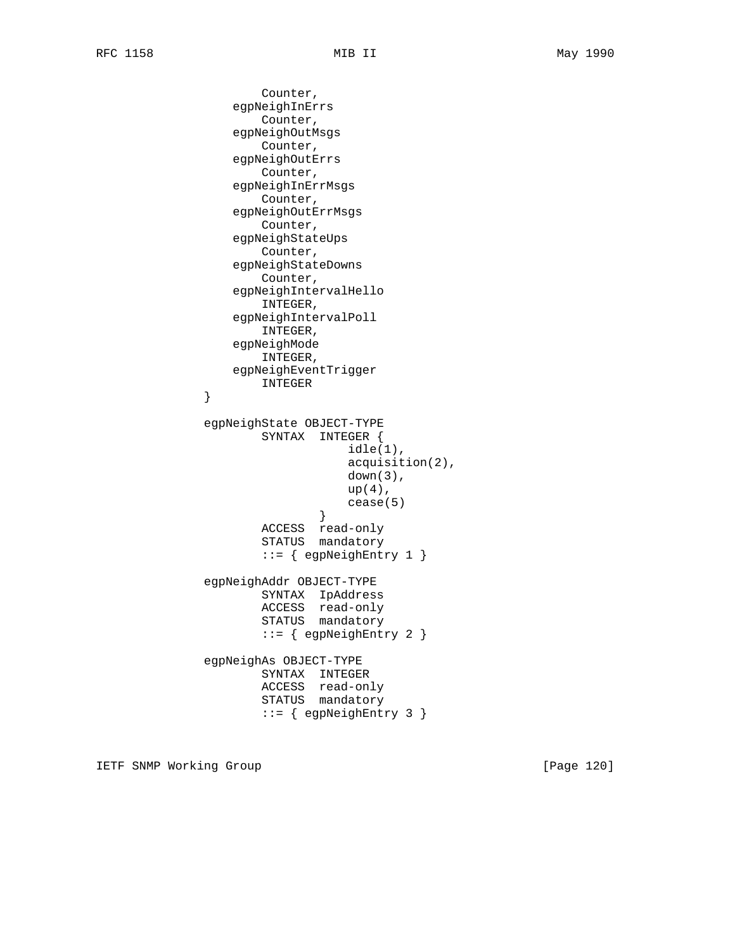```
 Counter,
                   egpNeighInErrs
                       Counter,
                   egpNeighOutMsgs
                       Counter,
                   egpNeighOutErrs
                       Counter,
                   egpNeighInErrMsgs
                       Counter,
                   egpNeighOutErrMsgs
                       Counter,
                   egpNeighStateUps
                       Counter,
                   egpNeighStateDowns
                       Counter,
                   egpNeighIntervalHello
                       INTEGER,
                   egpNeighIntervalPoll
                       INTEGER,
                   egpNeighMode
                       INTEGER,
                   egpNeighEventTrigger
                INTEGER
 }
               egpNeighState OBJECT-TYPE
                       SYNTAX INTEGER {
                                   idle(1),
                                   acquisition(2),
                                   down(3),
                                  up(4),
                              cease(5)<br>}
 }
                       ACCESS read-only
                       STATUS mandatory
                       ::= { egpNeighEntry 1 }
               egpNeighAddr OBJECT-TYPE
                       SYNTAX IpAddress
                       ACCESS read-only
                       STATUS mandatory
                       ::= { egpNeighEntry 2 }
               egpNeighAs OBJECT-TYPE
                       SYNTAX INTEGER
                       ACCESS read-only
                       STATUS mandatory
                       ::= { egpNeighEntry 3 }
```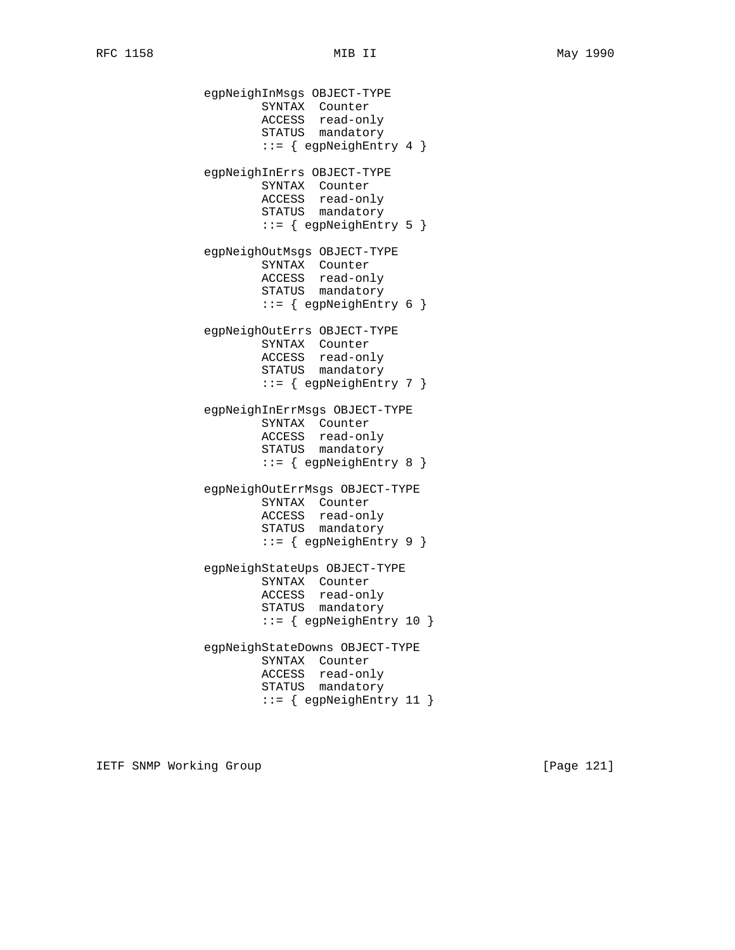egpNeighInMsgs OBJECT-TYPE SYNTAX Counter ACCESS read-only STATUS mandatory ::= { egpNeighEntry 4 } egpNeighInErrs OBJECT-TYPE SYNTAX Counter ACCESS read-only STATUS mandatory ::= { egpNeighEntry 5 } egpNeighOutMsgs OBJECT-TYPE SYNTAX Counter ACCESS read-only STATUS mandatory ::= { egpNeighEntry 6 } egpNeighOutErrs OBJECT-TYPE SYNTAX Counter ACCESS read-only STATUS mandatory ::= { egpNeighEntry 7 } egpNeighInErrMsgs OBJECT-TYPE SYNTAX Counter ACCESS read-only STATUS mandatory ::= { egpNeighEntry 8 } egpNeighOutErrMsgs OBJECT-TYPE SYNTAX Counter ACCESS read-only STATUS mandatory ::= { egpNeighEntry 9 } egpNeighStateUps OBJECT-TYPE SYNTAX Counter ACCESS read-only STATUS mandatory ::= { egpNeighEntry 10 } egpNeighStateDowns OBJECT-TYPE SYNTAX Counter ACCESS read-only STATUS mandatory ::= { egpNeighEntry 11 }

IETF SNMP Working Group **Example 2018** [Page 121]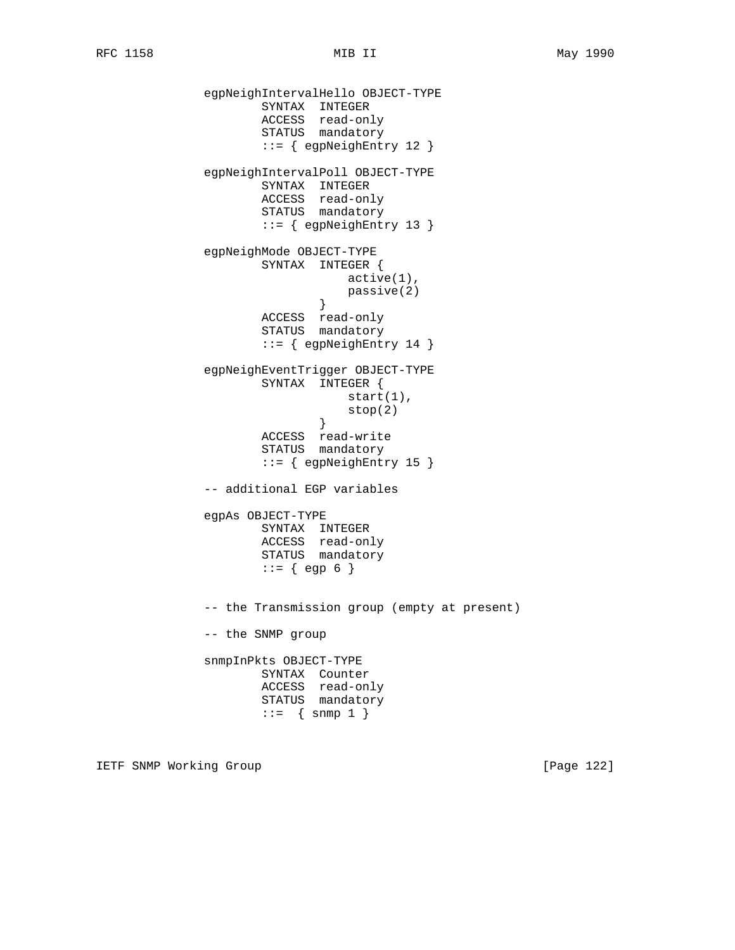```
 egpNeighIntervalHello OBJECT-TYPE
 SYNTAX INTEGER
 ACCESS read-only
STATUS mandatory
                      ::= { egpNeighEntry 12 }
               egpNeighIntervalPoll OBJECT-TYPE
                      SYNTAX INTEGER
                      ACCESS read-only
                      STATUS mandatory
                      ::= { egpNeighEntry 13 }
               egpNeighMode OBJECT-TYPE
                      SYNTAX INTEGER {
                                  active(1),
                             passive(2)<br>}
 }
                      ACCESS read-only
                      STATUS mandatory
                      ::= { egpNeighEntry 14 }
               egpNeighEventTrigger OBJECT-TYPE
                      SYNTAX INTEGER {
                                 start(1),
                             \left. \begin{array}{c} \texttt{stop(2)} \\ \texttt{)} \end{array} \right. }
                      ACCESS read-write
                      STATUS mandatory
                      ::= { egpNeighEntry 15 }
               -- additional EGP variables
               egpAs OBJECT-TYPE
                      SYNTAX INTEGER
                      ACCESS read-only
                      STATUS mandatory
                     ::= \{ egp 6 \} -- the Transmission group (empty at present)
               -- the SNMP group
               snmpInPkts OBJECT-TYPE
                      SYNTAX Counter
                      ACCESS read-only
                      STATUS mandatory
                     ::= { snmp 1 }
```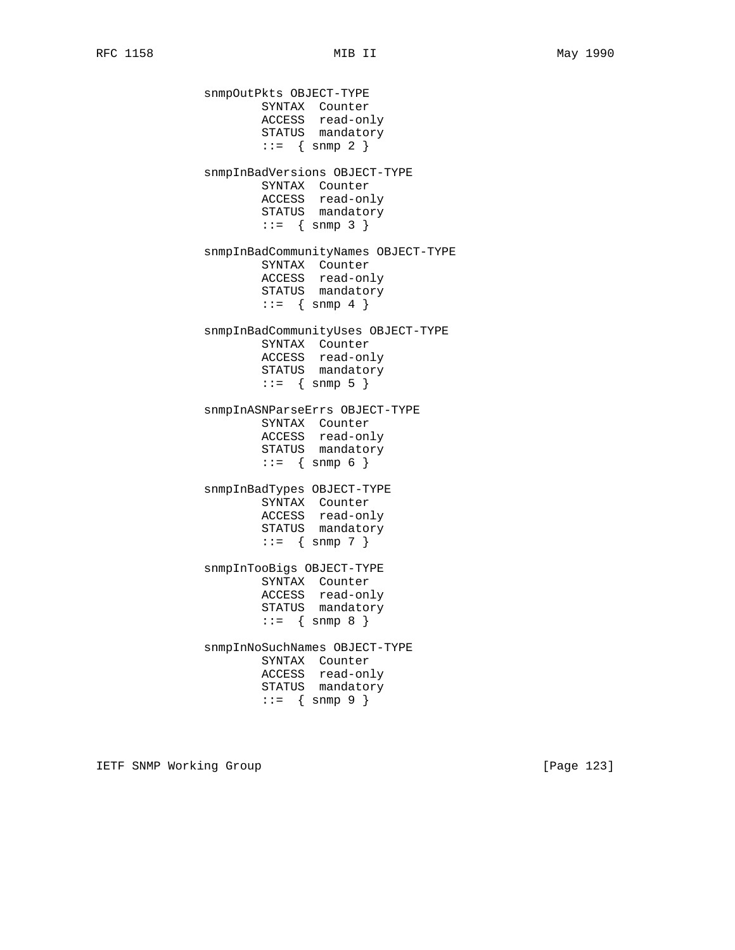snmpOutPkts OBJECT-TYPE SYNTAX Counter ACCESS read-only STATUS mandatory  $::=$  { snmp 2 } snmpInBadVersions OBJECT-TYPE SYNTAX Counter ACCESS read-only STATUS mandatory  $::= \{ \text{snmp } 3 \}$  snmpInBadCommunityNames OBJECT-TYPE SYNTAX Counter ACCESS read-only STATUS mandatory  $::=$  { snmp 4 } snmpInBadCommunityUses OBJECT-TYPE SYNTAX Counter ACCESS read-only STATUS mandatory  $::=$  { snmp 5 } snmpInASNParseErrs OBJECT-TYPE SYNTAX Counter ACCESS read-only STATUS mandatory  $::= \{ \text{snmp } 6 \}$  snmpInBadTypes OBJECT-TYPE SYNTAX Counter ACCESS read-only STATUS mandatory  $::= \{ \text{snmp } 7 \}$  snmpInTooBigs OBJECT-TYPE SYNTAX Counter ACCESS read-only STATUS mandatory  $::= \{ \text{snmp } 8 \}$  snmpInNoSuchNames OBJECT-TYPE SYNTAX Counter ACCESS read-only STATUS mandatory  $::= \{ \text{snmp } 9 \}$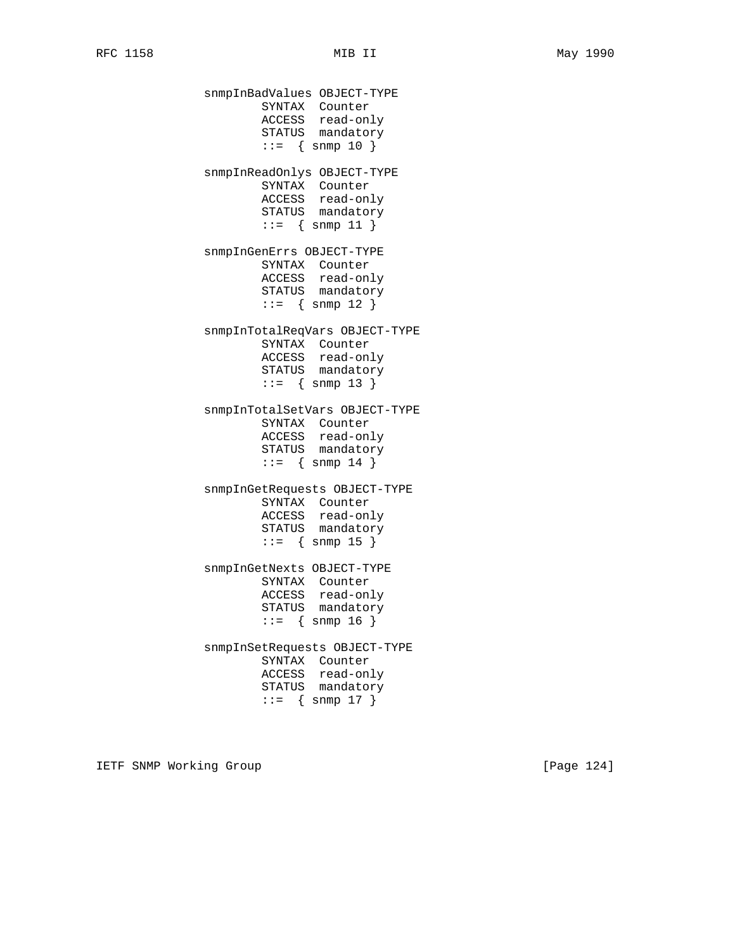snmpInBadValues OBJECT-TYPE SYNTAX Counter ACCESS read-only STATUS mandatory  $::=$  { snmp 10 } snmpInReadOnlys OBJECT-TYPE SYNTAX Counter ACCESS read-only STATUS mandatory ::= { snmp 11 } snmpInGenErrs OBJECT-TYPE SYNTAX Counter ACCESS read-only STATUS mandatory  $::=$  { snmp 12 } snmpInTotalReqVars OBJECT-TYPE SYNTAX Counter ACCESS read-only STATUS mandatory ::= { snmp 13 } snmpInTotalSetVars OBJECT-TYPE SYNTAX Counter ACCESS read-only STATUS mandatory  $::=$  { snmp 14 } snmpInGetRequests OBJECT-TYPE SYNTAX Counter ACCESS read-only STATUS mandatory  $::=$  { snmp 15 } snmpInGetNexts OBJECT-TYPE SYNTAX Counter ACCESS read-only STATUS mandatory ::= { snmp 16 } snmpInSetRequests OBJECT-TYPE SYNTAX Counter ACCESS read-only STATUS mandatory  $::=$  { snmp 17 }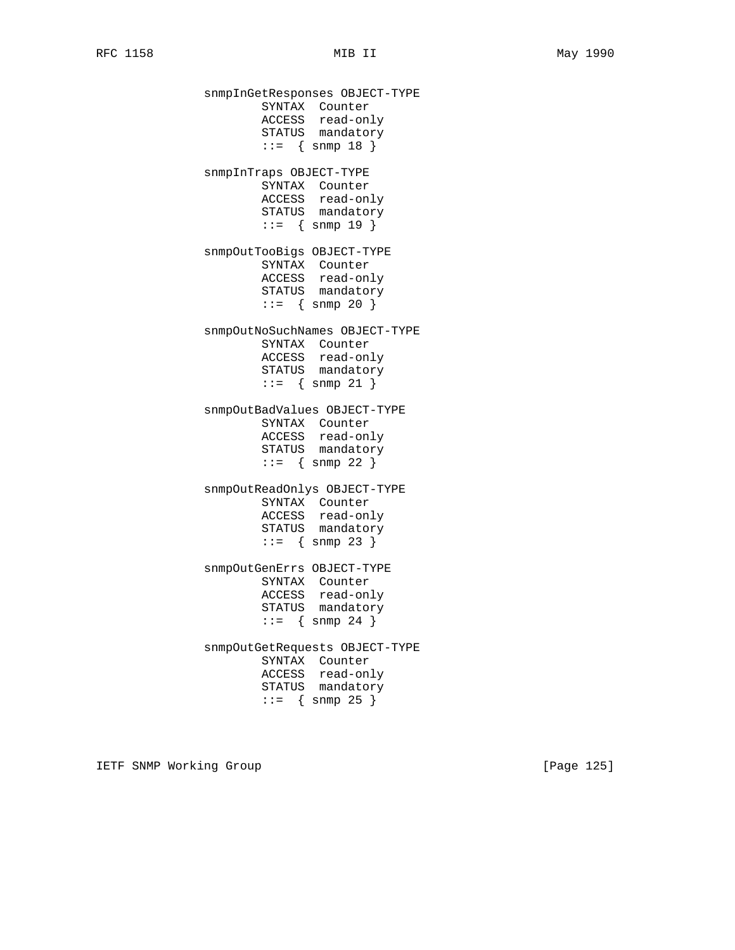snmpInGetResponses OBJECT-TYPE SYNTAX Counter ACCESS read-only STATUS mandatory ::= { snmp 18 } snmpInTraps OBJECT-TYPE SYNTAX Counter ACCESS read-only STATUS mandatory ::= { snmp 19 } snmpOutTooBigs OBJECT-TYPE SYNTAX Counter ACCESS read-only STATUS mandatory  $: := \{ \text{snmp } 20 \}$  snmpOutNoSuchNames OBJECT-TYPE SYNTAX Counter ACCESS read-only STATUS mandatory  $::=$  { snmp 21 } snmpOutBadValues OBJECT-TYPE SYNTAX Counter ACCESS read-only STATUS mandatory  $::=$  { snmp 22 } snmpOutReadOnlys OBJECT-TYPE SYNTAX Counter ACCESS read-only STATUS mandatory  $: := \{ \text{snmp } 23 \}$  snmpOutGenErrs OBJECT-TYPE SYNTAX Counter ACCESS read-only STATUS mandatory  $::=$  { snmp 24 } snmpOutGetRequests OBJECT-TYPE SYNTAX Counter ACCESS read-only STATUS mandatory  $: := \{ \text{snmp } 25 \}$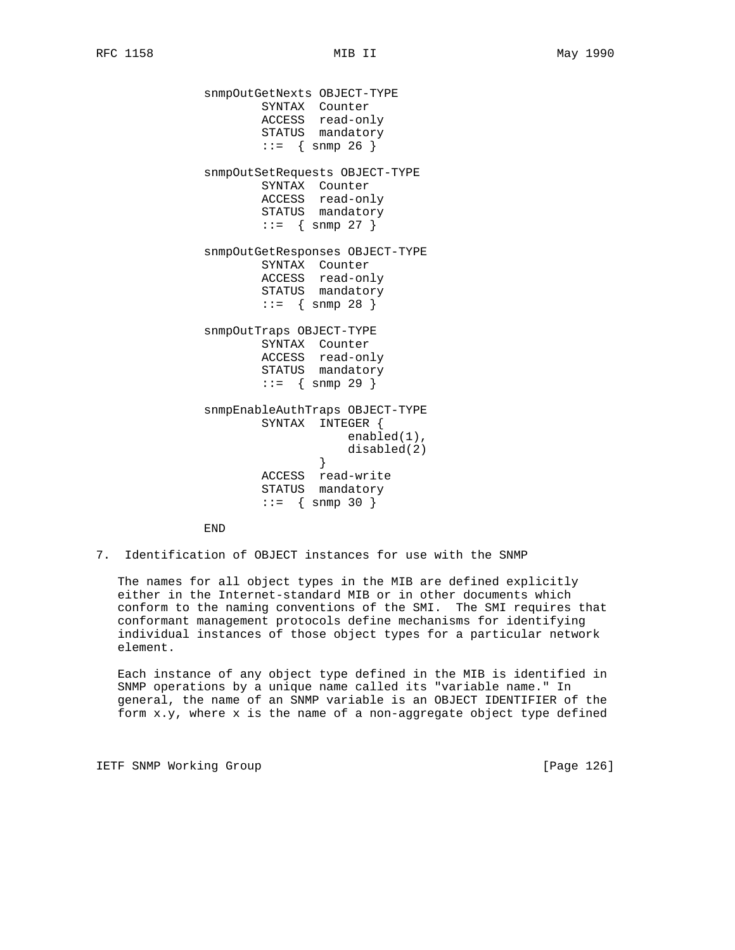snmpOutGetNexts OBJECT-TYPE SYNTAX Counter ACCESS read-only STATUS mandatory  $::=$  { snmp 26 } snmpOutSetRequests OBJECT-TYPE SYNTAX Counter ACCESS read-only STATUS mandatory  $: := \{ \text{snmp } 27 \}$  snmpOutGetResponses OBJECT-TYPE SYNTAX Counter ACCESS read-only STATUS mandatory  $: := \{ \text{snmp } 28 \}$  snmpOutTraps OBJECT-TYPE SYNTAX Counter ACCESS read-only STATUS mandatory  $::=$  { snmp 29 } snmpEnableAuthTraps OBJECT-TYPE SYNTAX INTEGER { enabled(1), disabled(2) } ACCESS read-write STATUS mandatory  $::=$  { snmp 30 }

END

7. Identification of OBJECT instances for use with the SNMP

 The names for all object types in the MIB are defined explicitly either in the Internet-standard MIB or in other documents which conform to the naming conventions of the SMI. The SMI requires that conformant management protocols define mechanisms for identifying individual instances of those object types for a particular network element.

 Each instance of any object type defined in the MIB is identified in SNMP operations by a unique name called its "variable name." In general, the name of an SNMP variable is an OBJECT IDENTIFIER of the form x.y, where x is the name of a non-aggregate object type defined

IETF SNMP Working Group **Example 2018** [Page 126]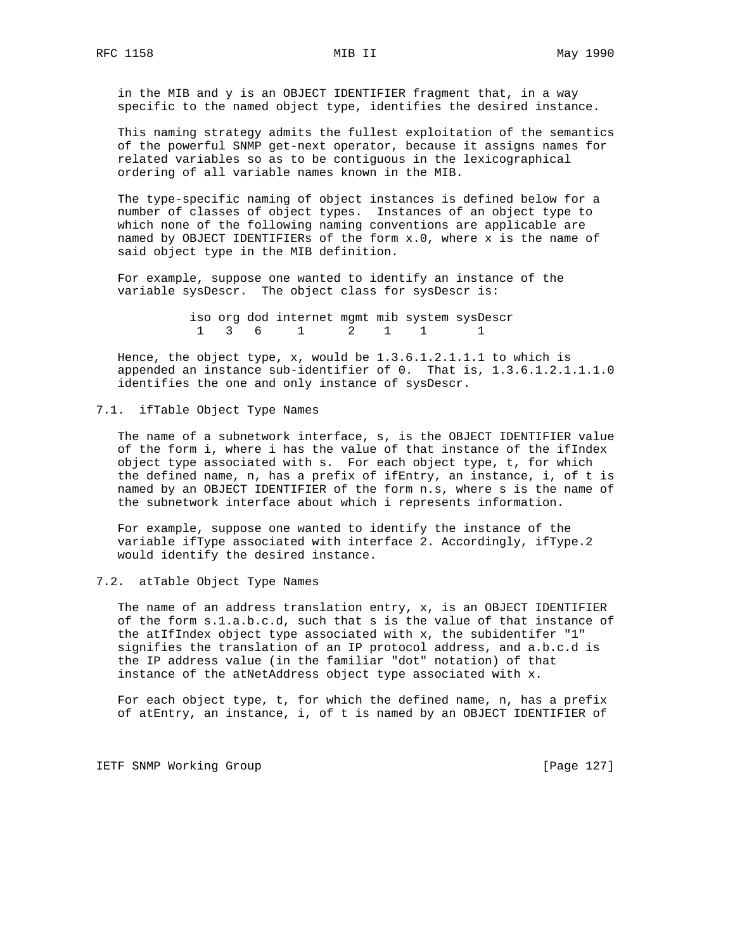in the MIB and y is an OBJECT IDENTIFIER fragment that, in a way specific to the named object type, identifies the desired instance.

 This naming strategy admits the fullest exploitation of the semantics of the powerful SNMP get-next operator, because it assigns names for related variables so as to be contiguous in the lexicographical ordering of all variable names known in the MIB.

 The type-specific naming of object instances is defined below for a number of classes of object types. Instances of an object type to which none of the following naming conventions are applicable are named by OBJECT IDENTIFIERs of the form x.0, where x is the name of said object type in the MIB definition.

 For example, suppose one wanted to identify an instance of the variable sysDescr. The object class for sysDescr is:

> iso org dod internet mgmt mib system sysDescr 1 3 6 1 2 1 1 1

 Hence, the object type, x, would be 1.3.6.1.2.1.1.1 to which is appended an instance sub-identifier of 0. That is, 1.3.6.1.2.1.1.1.0 identifies the one and only instance of sysDescr.

#### 7.1. ifTable Object Type Names

 The name of a subnetwork interface, s, is the OBJECT IDENTIFIER value of the form i, where i has the value of that instance of the ifIndex object type associated with s. For each object type, t, for which the defined name, n, has a prefix of ifEntry, an instance, i, of t is named by an OBJECT IDENTIFIER of the form n.s, where s is the name of the subnetwork interface about which i represents information.

 For example, suppose one wanted to identify the instance of the variable ifType associated with interface 2. Accordingly, ifType.2 would identify the desired instance.

7.2. atTable Object Type Names

 The name of an address translation entry, x, is an OBJECT IDENTIFIER of the form s.1.a.b.c.d, such that s is the value of that instance of the atIfIndex object type associated with x, the subidentifer "1" signifies the translation of an IP protocol address, and a.b.c.d is the IP address value (in the familiar "dot" notation) of that instance of the atNetAddress object type associated with x.

 For each object type, t, for which the defined name, n, has a prefix of atEntry, an instance, i, of t is named by an OBJECT IDENTIFIER of

IETF SNMP Working Group **Example 2018** [Page 127]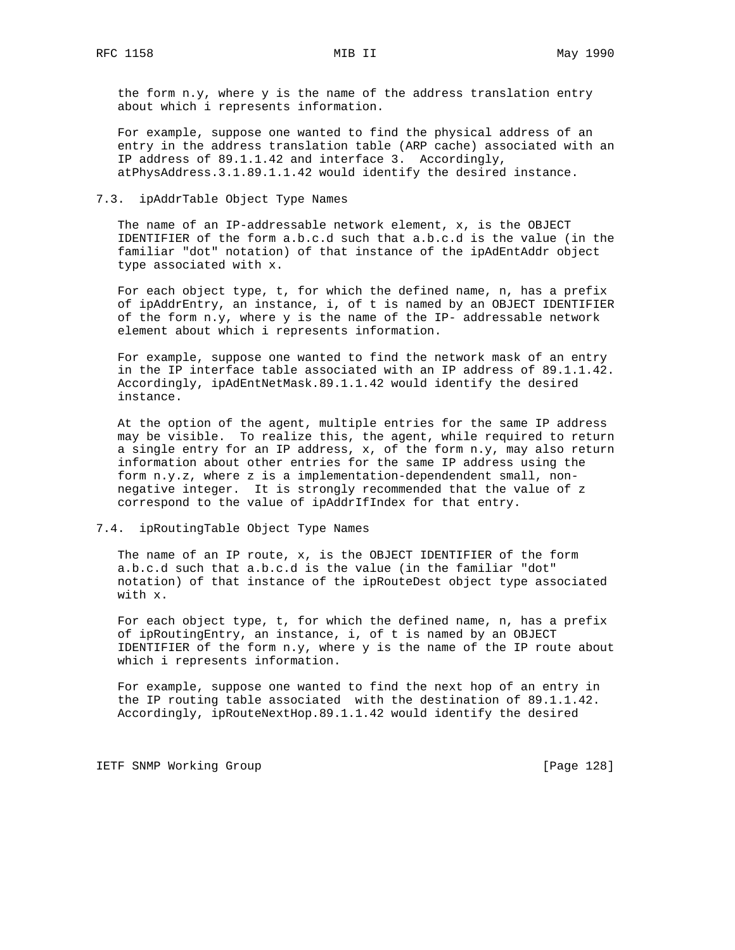the form n.y, where y is the name of the address translation entry about which i represents information.

 For example, suppose one wanted to find the physical address of an entry in the address translation table (ARP cache) associated with an IP address of 89.1.1.42 and interface 3. Accordingly, atPhysAddress.3.1.89.1.1.42 would identify the desired instance.

#### 7.3. ipAddrTable Object Type Names

 The name of an IP-addressable network element, x, is the OBJECT IDENTIFIER of the form a.b.c.d such that a.b.c.d is the value (in the familiar "dot" notation) of that instance of the ipAdEntAddr object type associated with x.

 For each object type, t, for which the defined name, n, has a prefix of ipAddrEntry, an instance, i, of t is named by an OBJECT IDENTIFIER of the form n.y, where y is the name of the IP- addressable network element about which i represents information.

 For example, suppose one wanted to find the network mask of an entry in the IP interface table associated with an IP address of 89.1.1.42. Accordingly, ipAdEntNetMask.89.1.1.42 would identify the desired instance.

 At the option of the agent, multiple entries for the same IP address may be visible. To realize this, the agent, while required to return a single entry for an IP address, x, of the form n.y, may also return information about other entries for the same IP address using the form n.y.z, where z is a implementation-dependendent small, non negative integer. It is strongly recommended that the value of z correspond to the value of ipAddrIfIndex for that entry.

## 7.4. ipRoutingTable Object Type Names

 The name of an IP route, x, is the OBJECT IDENTIFIER of the form a.b.c.d such that a.b.c.d is the value (in the familiar "dot" notation) of that instance of the ipRouteDest object type associated with x.

 For each object type, t, for which the defined name, n, has a prefix of ipRoutingEntry, an instance, i, of t is named by an OBJECT IDENTIFIER of the form  $n.y$ , where  $y$  is the name of the IP route about which i represents information.

 For example, suppose one wanted to find the next hop of an entry in the IP routing table associated with the destination of 89.1.1.42. Accordingly, ipRouteNextHop.89.1.1.42 would identify the desired

IETF SNMP Working Group **Example 2018** [Page 128]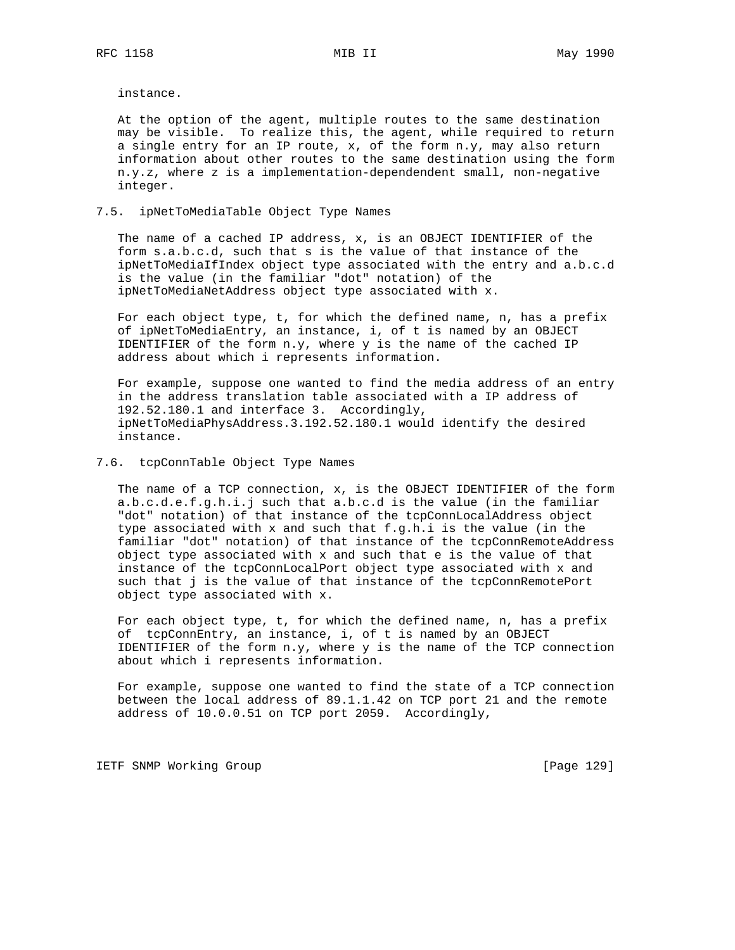instance.

 At the option of the agent, multiple routes to the same destination may be visible. To realize this, the agent, while required to return a single entry for an IP route, x, of the form n.y, may also return information about other routes to the same destination using the form n.y.z, where z is a implementation-dependendent small, non-negative integer.

## 7.5. ipNetToMediaTable Object Type Names

 The name of a cached IP address, x, is an OBJECT IDENTIFIER of the form s.a.b.c.d, such that s is the value of that instance of the ipNetToMediaIfIndex object type associated with the entry and a.b.c.d is the value (in the familiar "dot" notation) of the ipNetToMediaNetAddress object type associated with x.

 For each object type, t, for which the defined name, n, has a prefix of ipNetToMediaEntry, an instance, i, of t is named by an OBJECT IDENTIFIER of the form n.y, where y is the name of the cached IP address about which i represents information.

 For example, suppose one wanted to find the media address of an entry in the address translation table associated with a IP address of 192.52.180.1 and interface 3. Accordingly, ipNetToMediaPhysAddress.3.192.52.180.1 would identify the desired instance.

#### 7.6. tcpConnTable Object Type Names

 The name of a TCP connection, x, is the OBJECT IDENTIFIER of the form a.b.c.d.e.f.g.h.i.j such that a.b.c.d is the value (in the familiar "dot" notation) of that instance of the tcpConnLocalAddress object type associated with x and such that f.g.h.i is the value (in the familiar "dot" notation) of that instance of the tcpConnRemoteAddress object type associated with x and such that e is the value of that instance of the tcpConnLocalPort object type associated with x and such that j is the value of that instance of the tcpConnRemotePort object type associated with x.

 For each object type, t, for which the defined name, n, has a prefix of tcpConnEntry, an instance, i, of t is named by an OBJECT IDENTIFIER of the form  $n.y$ , where  $y$  is the name of the TCP connection about which i represents information.

 For example, suppose one wanted to find the state of a TCP connection between the local address of 89.1.1.42 on TCP port 21 and the remote address of 10.0.0.51 on TCP port 2059. Accordingly,

IETF SNMP Working Group **Example 2018** [Page 129]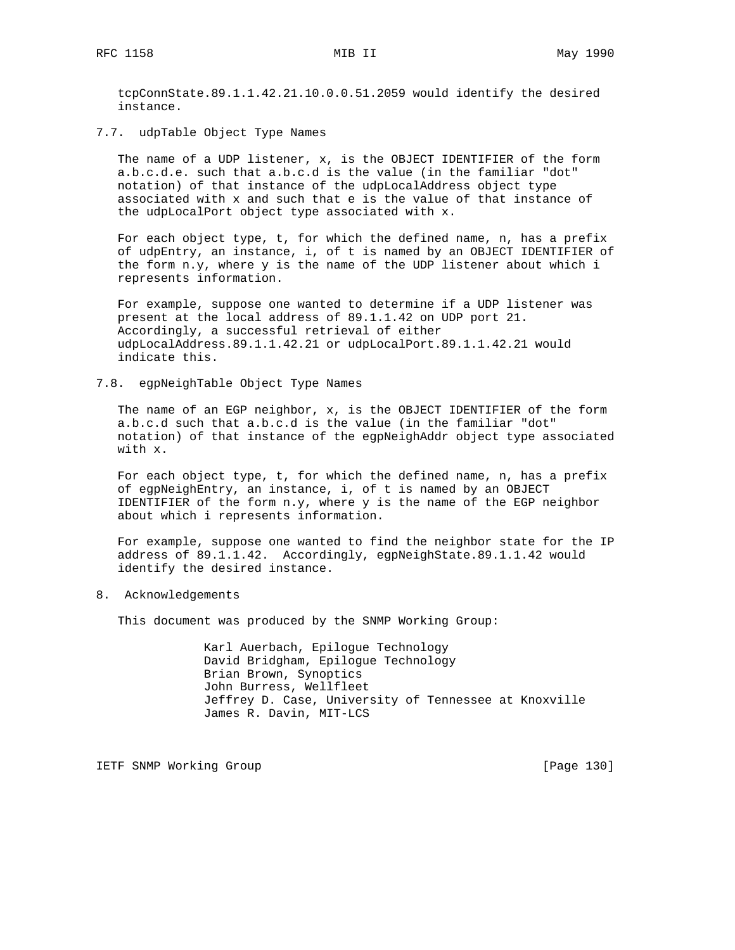tcpConnState.89.1.1.42.21.10.0.0.51.2059 would identify the desired instance.

7.7. udpTable Object Type Names

 The name of a UDP listener, x, is the OBJECT IDENTIFIER of the form a.b.c.d.e. such that a.b.c.d is the value (in the familiar "dot" notation) of that instance of the udpLocalAddress object type associated with x and such that e is the value of that instance of the udpLocalPort object type associated with x.

 For each object type, t, for which the defined name, n, has a prefix of udpEntry, an instance, i, of t is named by an OBJECT IDENTIFIER of the form n.y, where y is the name of the UDP listener about which i represents information.

 For example, suppose one wanted to determine if a UDP listener was present at the local address of 89.1.1.42 on UDP port 21. Accordingly, a successful retrieval of either udpLocalAddress.89.1.1.42.21 or udpLocalPort.89.1.1.42.21 would indicate this.

7.8. egpNeighTable Object Type Names

 The name of an EGP neighbor, x, is the OBJECT IDENTIFIER of the form a.b.c.d such that a.b.c.d is the value (in the familiar "dot" notation) of that instance of the egpNeighAddr object type associated with x.

 For each object type, t, for which the defined name, n, has a prefix of egpNeighEntry, an instance, i, of t is named by an OBJECT IDENTIFIER of the form n.y, where y is the name of the EGP neighbor about which i represents information.

 For example, suppose one wanted to find the neighbor state for the IP address of 89.1.1.42. Accordingly, egpNeighState.89.1.1.42 would identify the desired instance.

8. Acknowledgements

This document was produced by the SNMP Working Group:

 Karl Auerbach, Epilogue Technology David Bridgham, Epilogue Technology Brian Brown, Synoptics John Burress, Wellfleet Jeffrey D. Case, University of Tennessee at Knoxville James R. Davin, MIT-LCS

IETF SNMP Working Group **Example 2018** [Page 130]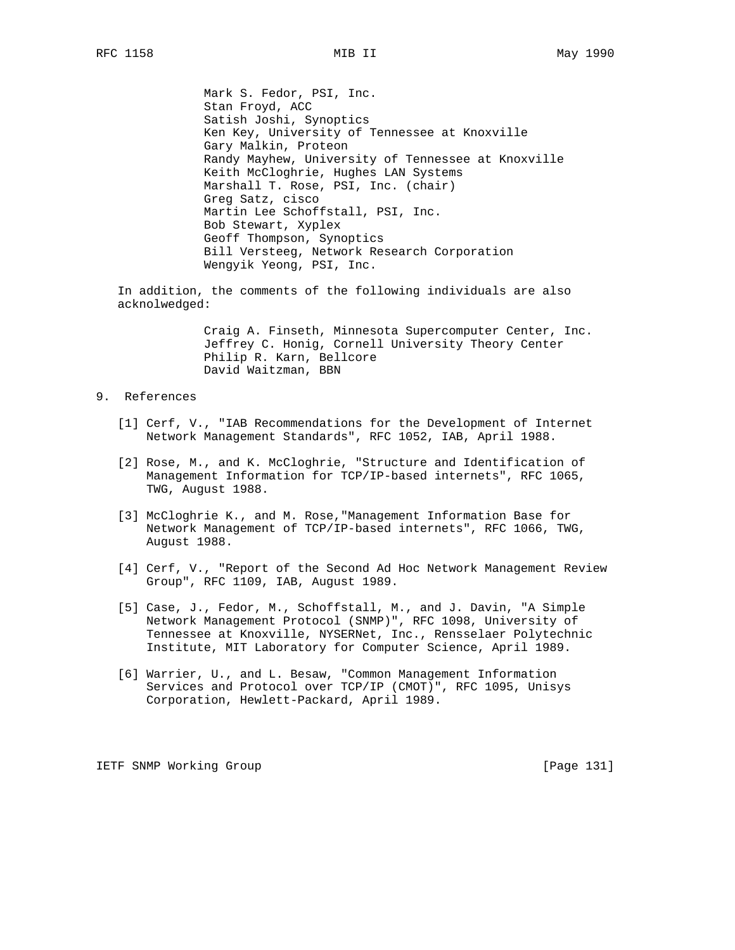Mark S. Fedor, PSI, Inc. Stan Froyd, ACC Satish Joshi, Synoptics Ken Key, University of Tennessee at Knoxville Gary Malkin, Proteon Randy Mayhew, University of Tennessee at Knoxville Keith McCloghrie, Hughes LAN Systems Marshall T. Rose, PSI, Inc. (chair) Greg Satz, cisco Martin Lee Schoffstall, PSI, Inc. Bob Stewart, Xyplex Geoff Thompson, Synoptics Bill Versteeg, Network Research Corporation Wengyik Yeong, PSI, Inc.

 In addition, the comments of the following individuals are also acknolwedged:

> Craig A. Finseth, Minnesota Supercomputer Center, Inc. Jeffrey C. Honig, Cornell University Theory Center Philip R. Karn, Bellcore David Waitzman, BBN

## 9. References

- [1] Cerf, V., "IAB Recommendations for the Development of Internet Network Management Standards", RFC 1052, IAB, April 1988.
- [2] Rose, M., and K. McCloghrie, "Structure and Identification of Management Information for TCP/IP-based internets", RFC 1065, TWG, August 1988.
- [3] McCloghrie K., and M. Rose,"Management Information Base for Network Management of TCP/IP-based internets", RFC 1066, TWG, August 1988.
- [4] Cerf, V., "Report of the Second Ad Hoc Network Management Review Group", RFC 1109, IAB, August 1989.
- [5] Case, J., Fedor, M., Schoffstall, M., and J. Davin, "A Simple Network Management Protocol (SNMP)", RFC 1098, University of Tennessee at Knoxville, NYSERNet, Inc., Rensselaer Polytechnic Institute, MIT Laboratory for Computer Science, April 1989.
- [6] Warrier, U., and L. Besaw, "Common Management Information Services and Protocol over TCP/IP (CMOT)", RFC 1095, Unisys Corporation, Hewlett-Packard, April 1989.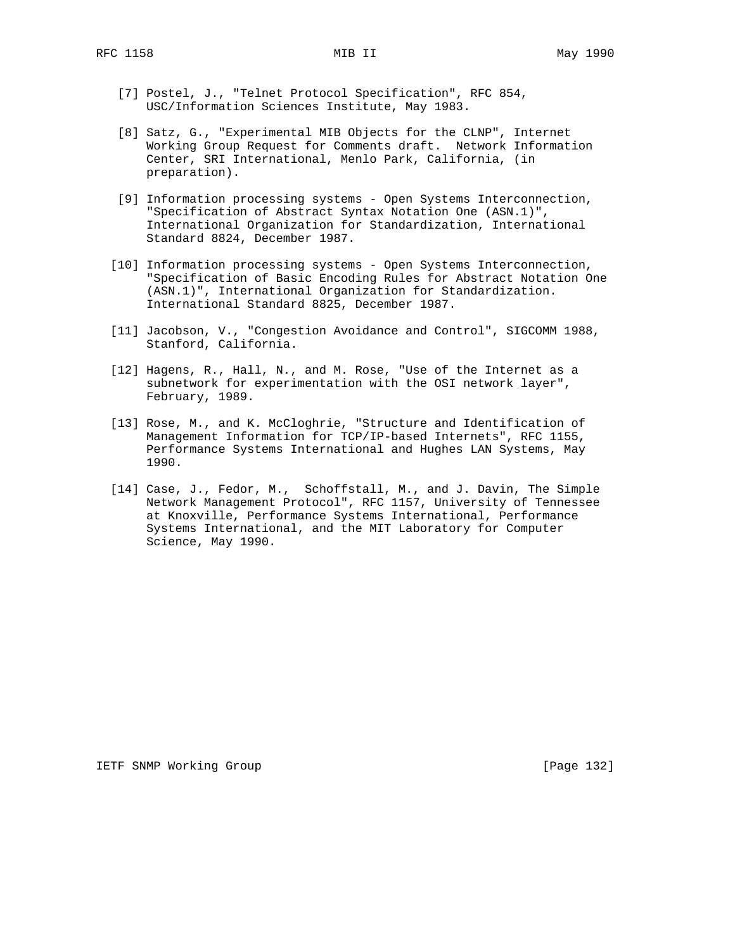- [7] Postel, J., "Telnet Protocol Specification", RFC 854, USC/Information Sciences Institute, May 1983.
- [8] Satz, G., "Experimental MIB Objects for the CLNP", Internet Working Group Request for Comments draft. Network Information Center, SRI International, Menlo Park, California, (in preparation).
- [9] Information processing systems Open Systems Interconnection, "Specification of Abstract Syntax Notation One (ASN.1)", International Organization for Standardization, International Standard 8824, December 1987.
- [10] Information processing systems Open Systems Interconnection, "Specification of Basic Encoding Rules for Abstract Notation One (ASN.1)", International Organization for Standardization. International Standard 8825, December 1987.
- [11] Jacobson, V., "Congestion Avoidance and Control", SIGCOMM 1988, Stanford, California.
- [12] Hagens, R., Hall, N., and M. Rose, "Use of the Internet as a subnetwork for experimentation with the OSI network layer", February, 1989.
- [13] Rose, M., and K. McCloghrie, "Structure and Identification of Management Information for TCP/IP-based Internets", RFC 1155, Performance Systems International and Hughes LAN Systems, May 1990.
- [14] Case, J., Fedor, M., Schoffstall, M., and J. Davin, The Simple Network Management Protocol", RFC 1157, University of Tennessee at Knoxville, Performance Systems International, Performance Systems International, and the MIT Laboratory for Computer Science, May 1990.